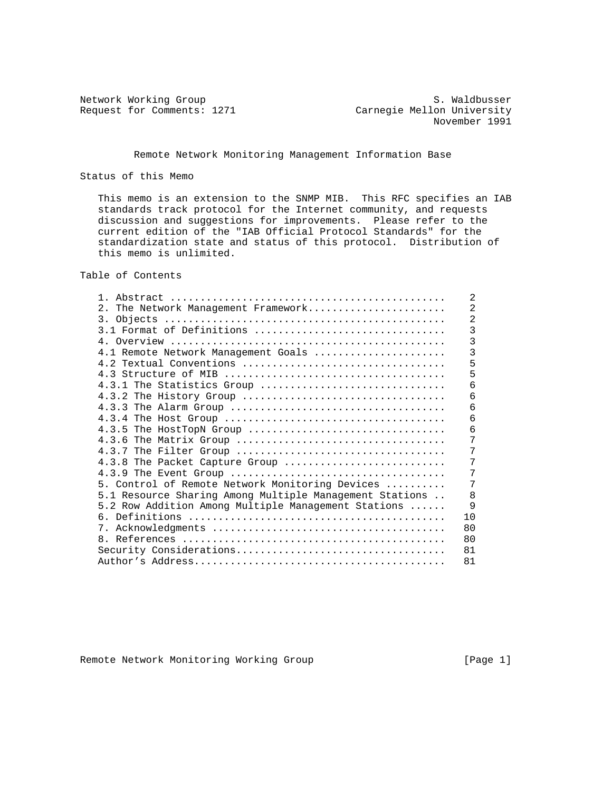Network Working Group S. Waldbusser Request for Comments: 1271 Carnegie Mellon University November 1991

### Remote Network Monitoring Management Information Base

Status of this Memo

 This memo is an extension to the SNMP MIB. This RFC specifies an IAB standards track protocol for the Internet community, and requests discussion and suggestions for improvements. Please refer to the current edition of the "IAB Official Protocol Standards" for the standardization state and status of this protocol. Distribution of this memo is unlimited.

Table of Contents

| $\mathbf{1}$ |                                                         | $\overline{2}$ |
|--------------|---------------------------------------------------------|----------------|
|              | 2. The Network Management Framework                     | $\overline{2}$ |
|              |                                                         | $\overline{2}$ |
|              | 3.1 Format of Definitions                               | 3              |
|              |                                                         | 3              |
|              | 4.1 Remote Network Management Goals                     | 3              |
|              | 4.2 Textual Conventions                                 | 5              |
|              |                                                         | 5              |
|              | 4.3.1 The Statistics Group                              | 6              |
|              | 4.3.2 The History Group                                 | 6              |
|              |                                                         | 6              |
|              |                                                         | 6              |
|              | $4.3.5$ The HostTopN Group                              | 6              |
|              |                                                         | 7              |
|              |                                                         | 7              |
|              | 4.3.8 The Packet Capture Group                          | 7              |
|              |                                                         | 7              |
|              | 5. Control of Remote Network Monitoring Devices         | 7              |
|              | 5.1 Resource Sharing Among Multiple Management Stations | 8              |
|              | 5.2 Row Addition Among Multiple Management Stations     | 9              |
|              |                                                         | 10             |
|              |                                                         | 80             |
|              |                                                         | 80             |
|              |                                                         | 81             |
|              |                                                         | 81             |

Remote Network Monitoring Working Group [Page 1]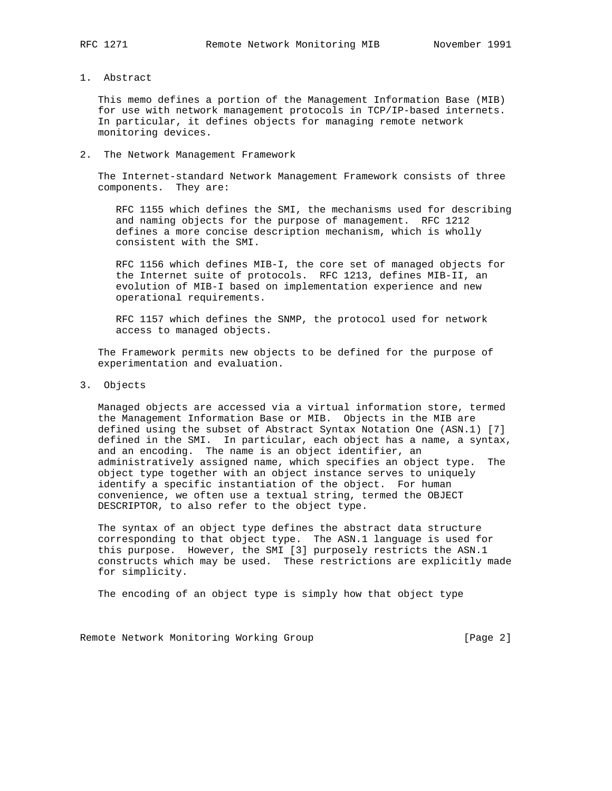- 
- 1. Abstract

 This memo defines a portion of the Management Information Base (MIB) for use with network management protocols in TCP/IP-based internets. In particular, it defines objects for managing remote network monitoring devices.

2. The Network Management Framework

 The Internet-standard Network Management Framework consists of three components. They are:

 RFC 1155 which defines the SMI, the mechanisms used for describing and naming objects for the purpose of management. RFC 1212 defines a more concise description mechanism, which is wholly consistent with the SMI.

 RFC 1156 which defines MIB-I, the core set of managed objects for the Internet suite of protocols. RFC 1213, defines MIB-II, an evolution of MIB-I based on implementation experience and new operational requirements.

 RFC 1157 which defines the SNMP, the protocol used for network access to managed objects.

 The Framework permits new objects to be defined for the purpose of experimentation and evaluation.

3. Objects

 Managed objects are accessed via a virtual information store, termed the Management Information Base or MIB. Objects in the MIB are defined using the subset of Abstract Syntax Notation One (ASN.1) [7] defined in the SMI. In particular, each object has a name, a syntax, and an encoding. The name is an object identifier, an administratively assigned name, which specifies an object type. The object type together with an object instance serves to uniquely identify a specific instantiation of the object. For human convenience, we often use a textual string, termed the OBJECT DESCRIPTOR, to also refer to the object type.

 The syntax of an object type defines the abstract data structure corresponding to that object type. The ASN.1 language is used for this purpose. However, the SMI [3] purposely restricts the ASN.1 constructs which may be used. These restrictions are explicitly made for simplicity.

The encoding of an object type is simply how that object type

Remote Network Monitoring Working Group [Page 2]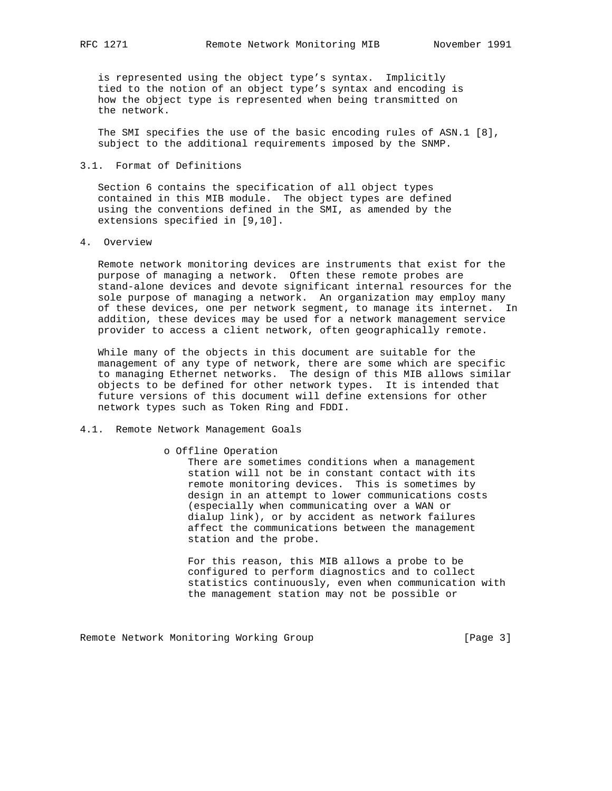is represented using the object type's syntax. Implicitly tied to the notion of an object type's syntax and encoding is how the object type is represented when being transmitted on the network.

 The SMI specifies the use of the basic encoding rules of ASN.1 [8], subject to the additional requirements imposed by the SNMP.

3.1. Format of Definitions

 Section 6 contains the specification of all object types contained in this MIB module. The object types are defined using the conventions defined in the SMI, as amended by the extensions specified in [9,10].

4. Overview

 Remote network monitoring devices are instruments that exist for the purpose of managing a network. Often these remote probes are stand-alone devices and devote significant internal resources for the sole purpose of managing a network. An organization may employ many of these devices, one per network segment, to manage its internet. In addition, these devices may be used for a network management service provider to access a client network, often geographically remote.

 While many of the objects in this document are suitable for the management of any type of network, there are some which are specific to managing Ethernet networks. The design of this MIB allows similar objects to be defined for other network types. It is intended that future versions of this document will define extensions for other network types such as Token Ring and FDDI.

4.1. Remote Network Management Goals

o Offline Operation

 There are sometimes conditions when a management station will not be in constant contact with its remote monitoring devices. This is sometimes by design in an attempt to lower communications costs (especially when communicating over a WAN or dialup link), or by accident as network failures affect the communications between the management station and the probe.

 For this reason, this MIB allows a probe to be configured to perform diagnostics and to collect statistics continuously, even when communication with the management station may not be possible or

Remote Network Monitoring Working Group [Page 3]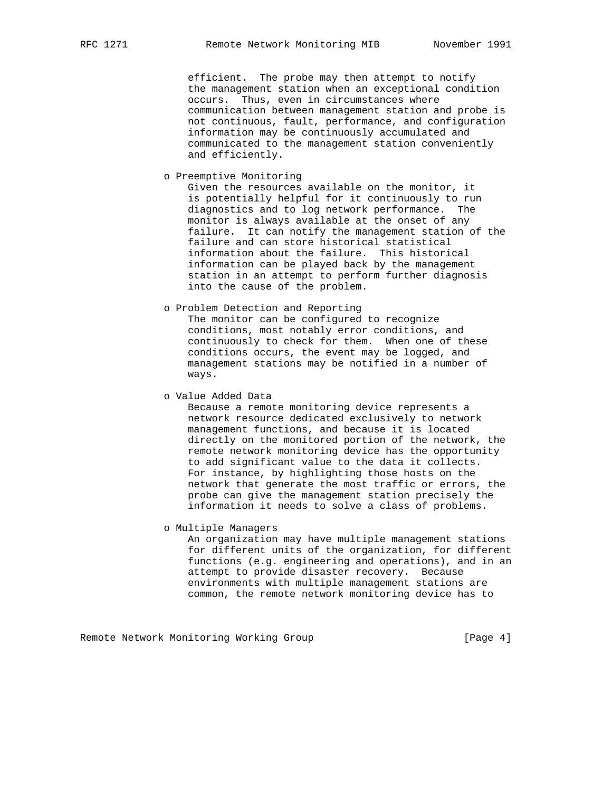efficient. The probe may then attempt to notify the management station when an exceptional condition occurs. Thus, even in circumstances where communication between management station and probe is not continuous, fault, performance, and configuration information may be continuously accumulated and communicated to the management station conveniently and efficiently.

o Preemptive Monitoring

 Given the resources available on the monitor, it is potentially helpful for it continuously to run diagnostics and to log network performance. The monitor is always available at the onset of any failure. It can notify the management station of the failure and can store historical statistical information about the failure. This historical information can be played back by the management station in an attempt to perform further diagnosis into the cause of the problem.

#### o Problem Detection and Reporting

 The monitor can be configured to recognize conditions, most notably error conditions, and continuously to check for them. When one of these conditions occurs, the event may be logged, and management stations may be notified in a number of ways.

o Value Added Data

 Because a remote monitoring device represents a network resource dedicated exclusively to network management functions, and because it is located directly on the monitored portion of the network, the remote network monitoring device has the opportunity to add significant value to the data it collects. For instance, by highlighting those hosts on the network that generate the most traffic or errors, the probe can give the management station precisely the information it needs to solve a class of problems.

#### o Multiple Managers

 An organization may have multiple management stations for different units of the organization, for different functions (e.g. engineering and operations), and in an attempt to provide disaster recovery. Because environments with multiple management stations are common, the remote network monitoring device has to

Remote Network Monitoring Working Group [Page 4]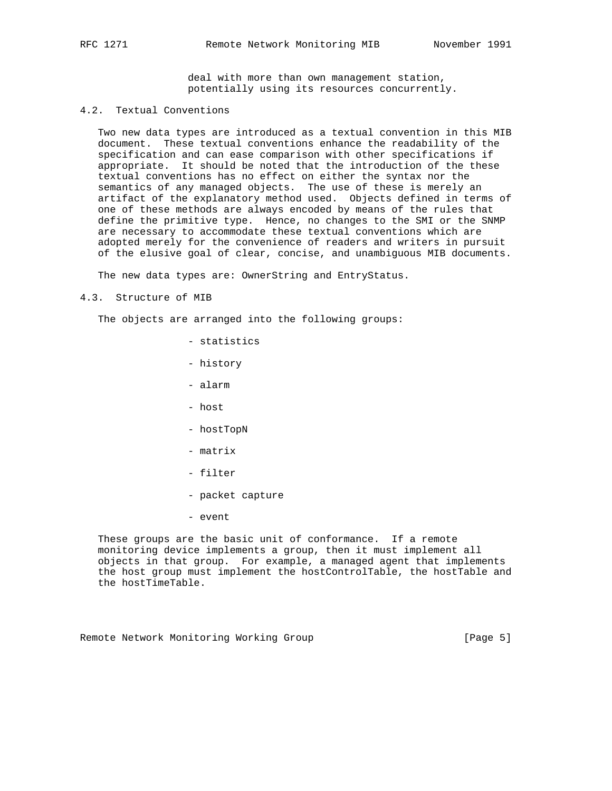deal with more than own management station, potentially using its resources concurrently.

# 4.2. Textual Conventions

 Two new data types are introduced as a textual convention in this MIB document. These textual conventions enhance the readability of the specification and can ease comparison with other specifications if appropriate. It should be noted that the introduction of the these textual conventions has no effect on either the syntax nor the semantics of any managed objects. The use of these is merely an artifact of the explanatory method used. Objects defined in terms of one of these methods are always encoded by means of the rules that define the primitive type. Hence, no changes to the SMI or the SNMP are necessary to accommodate these textual conventions which are adopted merely for the convenience of readers and writers in pursuit of the elusive goal of clear, concise, and unambiguous MIB documents.

The new data types are: OwnerString and EntryStatus.

#### 4.3. Structure of MIB

The objects are arranged into the following groups:

- statistics
- history
- alarm
- host
- hostTopN
- matrix
- filter
- packet capture
- event

 These groups are the basic unit of conformance. If a remote monitoring device implements a group, then it must implement all objects in that group. For example, a managed agent that implements the host group must implement the hostControlTable, the hostTable and the hostTimeTable.

Remote Network Monitoring Working Group [Page 5]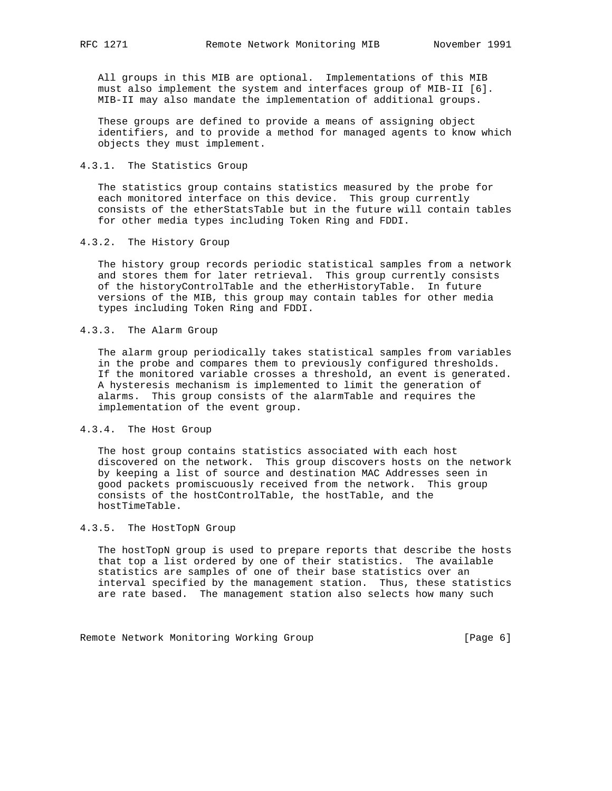All groups in this MIB are optional. Implementations of this MIB must also implement the system and interfaces group of MIB-II [6]. MIB-II may also mandate the implementation of additional groups.

 These groups are defined to provide a means of assigning object identifiers, and to provide a method for managed agents to know which objects they must implement.

### 4.3.1. The Statistics Group

 The statistics group contains statistics measured by the probe for each monitored interface on this device. This group currently consists of the etherStatsTable but in the future will contain tables for other media types including Token Ring and FDDI.

#### 4.3.2. The History Group

 The history group records periodic statistical samples from a network and stores them for later retrieval. This group currently consists of the historyControlTable and the etherHistoryTable. In future versions of the MIB, this group may contain tables for other media types including Token Ring and FDDI.

### 4.3.3. The Alarm Group

 The alarm group periodically takes statistical samples from variables in the probe and compares them to previously configured thresholds. If the monitored variable crosses a threshold, an event is generated. A hysteresis mechanism is implemented to limit the generation of alarms. This group consists of the alarmTable and requires the implementation of the event group.

# 4.3.4. The Host Group

 The host group contains statistics associated with each host discovered on the network. This group discovers hosts on the network by keeping a list of source and destination MAC Addresses seen in good packets promiscuously received from the network. This group consists of the hostControlTable, the hostTable, and the hostTimeTable.

### 4.3.5. The HostTopN Group

 The hostTopN group is used to prepare reports that describe the hosts that top a list ordered by one of their statistics. The available statistics are samples of one of their base statistics over an interval specified by the management station. Thus, these statistics are rate based. The management station also selects how many such

Remote Network Monitoring Working Group [Page 6]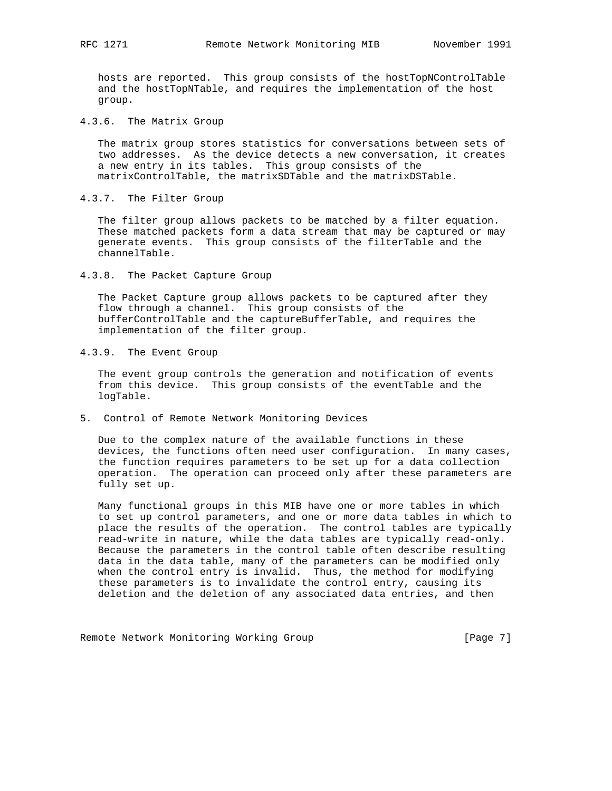hosts are reported. This group consists of the hostTopNControlTable and the hostTopNTable, and requires the implementation of the host group.

4.3.6. The Matrix Group

 The matrix group stores statistics for conversations between sets of two addresses. As the device detects a new conversation, it creates a new entry in its tables. This group consists of the matrixControlTable, the matrixSDTable and the matrixDSTable.

4.3.7. The Filter Group

 The filter group allows packets to be matched by a filter equation. These matched packets form a data stream that may be captured or may generate events. This group consists of the filterTable and the channelTable.

4.3.8. The Packet Capture Group

 The Packet Capture group allows packets to be captured after they flow through a channel. This group consists of the bufferControlTable and the captureBufferTable, and requires the implementation of the filter group.

4.3.9. The Event Group

 The event group controls the generation and notification of events from this device. This group consists of the eventTable and the logTable.

5. Control of Remote Network Monitoring Devices

 Due to the complex nature of the available functions in these devices, the functions often need user configuration. In many cases, the function requires parameters to be set up for a data collection operation. The operation can proceed only after these parameters are fully set up.

 Many functional groups in this MIB have one or more tables in which to set up control parameters, and one or more data tables in which to place the results of the operation. The control tables are typically read-write in nature, while the data tables are typically read-only. Because the parameters in the control table often describe resulting data in the data table, many of the parameters can be modified only when the control entry is invalid. Thus, the method for modifying these parameters is to invalidate the control entry, causing its deletion and the deletion of any associated data entries, and then

Remote Network Monitoring Working Group [Page 7]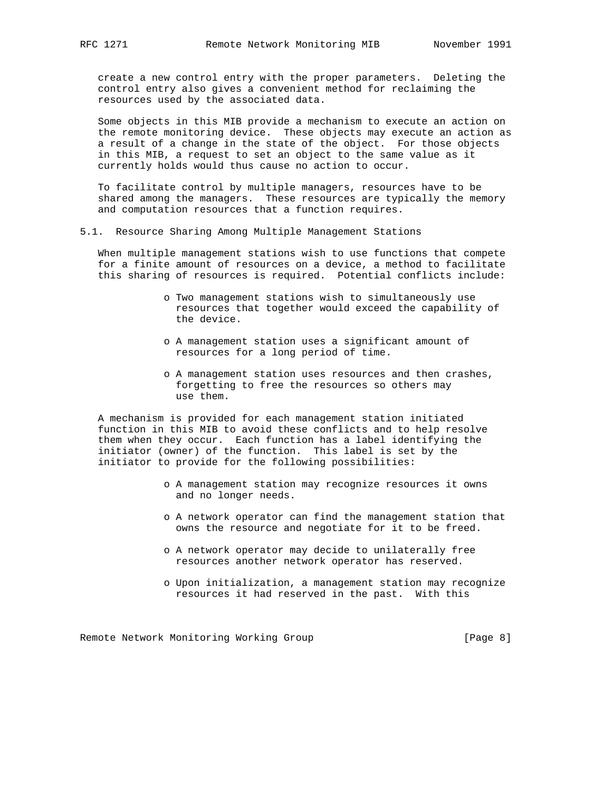create a new control entry with the proper parameters. Deleting the control entry also gives a convenient method for reclaiming the resources used by the associated data.

 Some objects in this MIB provide a mechanism to execute an action on the remote monitoring device. These objects may execute an action as a result of a change in the state of the object. For those objects in this MIB, a request to set an object to the same value as it currently holds would thus cause no action to occur.

 To facilitate control by multiple managers, resources have to be shared among the managers. These resources are typically the memory and computation resources that a function requires.

5.1. Resource Sharing Among Multiple Management Stations

 When multiple management stations wish to use functions that compete for a finite amount of resources on a device, a method to facilitate this sharing of resources is required. Potential conflicts include:

- o Two management stations wish to simultaneously use resources that together would exceed the capability of the device.
- o A management station uses a significant amount of resources for a long period of time.
- o A management station uses resources and then crashes, forgetting to free the resources so others may use them.

 A mechanism is provided for each management station initiated function in this MIB to avoid these conflicts and to help resolve them when they occur. Each function has a label identifying the initiator (owner) of the function. This label is set by the initiator to provide for the following possibilities:

- o A management station may recognize resources it owns and no longer needs.
- o A network operator can find the management station that owns the resource and negotiate for it to be freed.
- o A network operator may decide to unilaterally free resources another network operator has reserved.
- o Upon initialization, a management station may recognize resources it had reserved in the past. With this

Remote Network Monitoring Working Group [Page 8]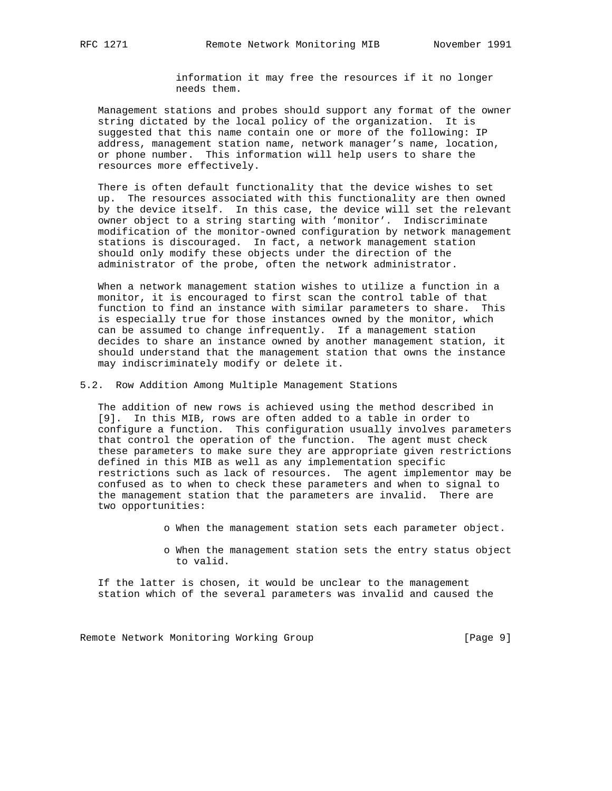information it may free the resources if it no longer needs them.

 Management stations and probes should support any format of the owner string dictated by the local policy of the organization. It is suggested that this name contain one or more of the following: IP address, management station name, network manager's name, location, or phone number. This information will help users to share the resources more effectively.

 There is often default functionality that the device wishes to set up. The resources associated with this functionality are then owned by the device itself. In this case, the device will set the relevant owner object to a string starting with 'monitor'. Indiscriminate modification of the monitor-owned configuration by network management stations is discouraged. In fact, a network management station should only modify these objects under the direction of the administrator of the probe, often the network administrator.

 When a network management station wishes to utilize a function in a monitor, it is encouraged to first scan the control table of that function to find an instance with similar parameters to share. This is especially true for those instances owned by the monitor, which can be assumed to change infrequently. If a management station decides to share an instance owned by another management station, it should understand that the management station that owns the instance may indiscriminately modify or delete it.

5.2. Row Addition Among Multiple Management Stations

 The addition of new rows is achieved using the method described in [9]. In this MIB, rows are often added to a table in order to configure a function. This configuration usually involves parameters that control the operation of the function. The agent must check these parameters to make sure they are appropriate given restrictions defined in this MIB as well as any implementation specific restrictions such as lack of resources. The agent implementor may be confused as to when to check these parameters and when to signal to the management station that the parameters are invalid. There are two opportunities:

o When the management station sets each parameter object.

 o When the management station sets the entry status object to valid.

 If the latter is chosen, it would be unclear to the management station which of the several parameters was invalid and caused the

Remote Network Monitoring Working Group [Page 9]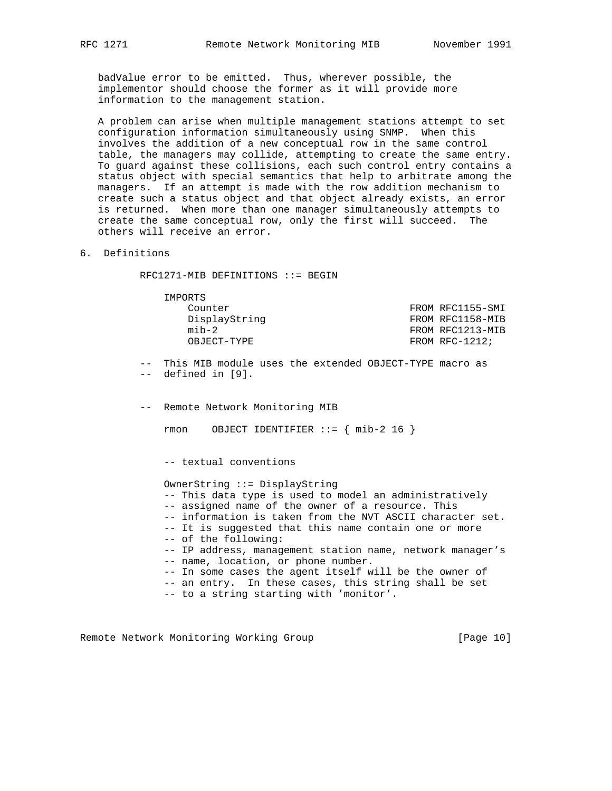badValue error to be emitted. Thus, wherever possible, the implementor should choose the former as it will provide more information to the management station.

 A problem can arise when multiple management stations attempt to set configuration information simultaneously using SNMP. When this involves the addition of a new conceptual row in the same control table, the managers may collide, attempting to create the same entry. To guard against these collisions, each such control entry contains a status object with special semantics that help to arbitrate among the managers. If an attempt is made with the row addition mechanism to create such a status object and that object already exists, an error is returned. When more than one manager simultaneously attempts to create the same conceptual row, only the first will succeed. The others will receive an error.

# 6. Definitions

RFC1271-MIB DEFINITIONS ::= BEGIN

| IMPORTS       |                  |
|---------------|------------------|
| Counter       | FROM RFC1155-SMI |
| DisplayString | FROM RFC1158-MIB |
| $min-2$       | FROM RFC1213-MIB |
| OBJECT-TYPE   | FROM RFC-1212;   |
|               |                  |

- -- This MIB module uses the extended OBJECT-TYPE macro as -- defined in [9].
- -- Remote Network Monitoring MIB
	- rmon OBJECT IDENTIFIER  $::=$  { mib-2 16 }

-- textual conventions

 OwnerString ::= DisplayString -- This data type is used to model an administratively -- assigned name of the owner of a resource. This -- information is taken from the NVT ASCII character set. -- It is suggested that this name contain one or more -- of the following: -- IP address, management station name, network manager's -- name, location, or phone number. -- In some cases the agent itself will be the owner of -- an entry. In these cases, this string shall be set -- to a string starting with 'monitor'.

Remote Network Monitoring Working Group [Page 10]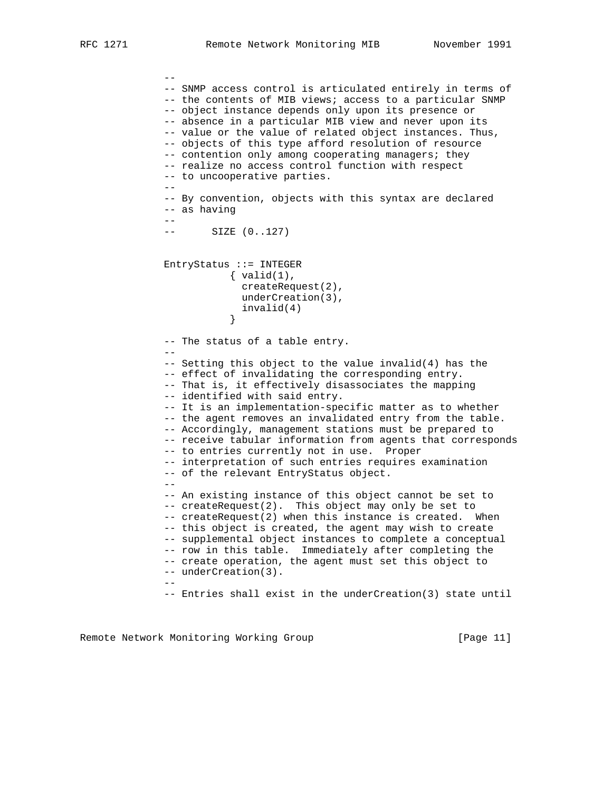--

```
 -- SNMP access control is articulated entirely in terms of
             -- the contents of MIB views; access to a particular SNMP
              -- object instance depends only upon its presence or
              -- absence in a particular MIB view and never upon its
              -- value or the value of related object instances. Thus,
              -- objects of this type afford resolution of resource
             -- contention only among cooperating managers; they
              -- realize no access control function with respect
              -- to uncooperative parties.
 --
              -- By convention, objects with this syntax are declared
              -- as having
 --
              -- SIZE (0..127)
              EntryStatus ::= INTEGER
                       \{ valid(1),
                          createRequest(2),
                          underCreation(3),
                        invalid(4)<br>}
 }
              -- The status of a table entry.
 --
              -- Setting this object to the value invalid(4) has the
              -- effect of invalidating the corresponding entry.
              -- That is, it effectively disassociates the mapping
              -- identified with said entry.
              -- It is an implementation-specific matter as to whether
              -- the agent removes an invalidated entry from the table.
              -- Accordingly, management stations must be prepared to
              -- receive tabular information from agents that corresponds
              -- to entries currently not in use. Proper
              -- interpretation of such entries requires examination
              -- of the relevant EntryStatus object.
 --
              -- An existing instance of this object cannot be set to
              -- createRequest(2). This object may only be set to
              -- createRequest(2) when this instance is created. When
              -- this object is created, the agent may wish to create
              -- supplemental object instances to complete a conceptual
              -- row in this table. Immediately after completing the
              -- create operation, the agent must set this object to
              -- underCreation(3).
 --
              -- Entries shall exist in the underCreation(3) state until
```
Remote Network Monitoring Working Group [Page 11]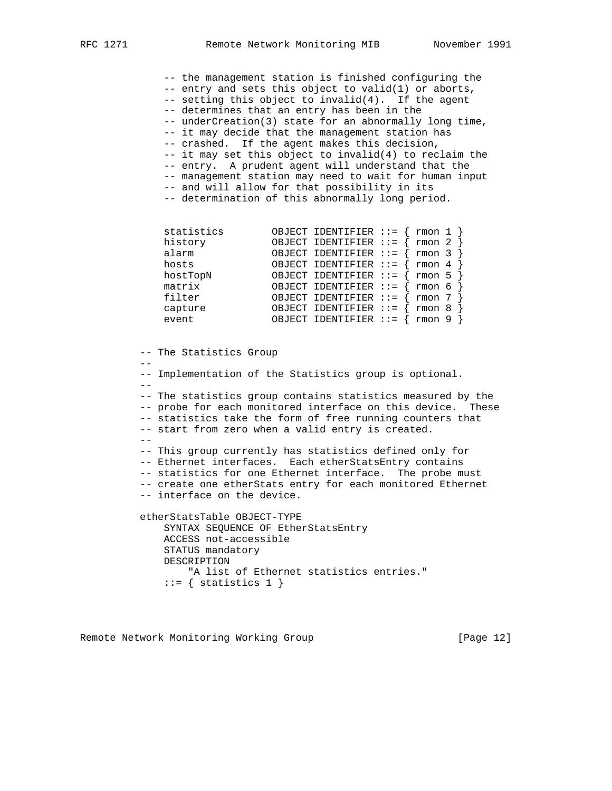-- the management station is finished configuring the -- entry and sets this object to valid(1) or aborts, -- setting this object to invalid(4). If the agent -- determines that an entry has been in the -- underCreation(3) state for an abnormally long time, -- it may decide that the management station has -- crashed. If the agent makes this decision, -- it may set this object to invalid(4) to reclaim the -- entry. A prudent agent will understand that the -- management station may need to wait for human input -- and will allow for that possibility in its -- determination of this abnormally long period.

| statistics | OBJECT IDENTIFIER ::=   | rmon 1 |  |
|------------|-------------------------|--------|--|
| history    | OBJECT IDENTIFIER ::=   | rmon 2 |  |
| alarm      | OBJECT IDENTIFIER ::=   | rmon 3 |  |
| hosts      | OBJECT IDENTIFIER ::=   | rmon 4 |  |
| hostTopN   | OBJECT IDENTIFIER ::=   | rmon 5 |  |
| matrix     | OBJECT IDENTIFIER ::=   | rmon 6 |  |
| filter     | OBJECT IDENTIFIER ::=   | rmon   |  |
| capture    | OBJECT IDENTIFIER ::=   | rmon 8 |  |
| event      | OBJECT IDENTIFIER $::=$ | rmon   |  |

 -- The Statistics Group -- -- Implementation of the Statistics group is optional. -- -- The statistics group contains statistics measured by the -- probe for each monitored interface on this device. These -- statistics take the form of free running counters that -- start from zero when a valid entry is created. -- -- This group currently has statistics defined only for -- Ethernet interfaces. Each etherStatsEntry contains -- statistics for one Ethernet interface. The probe must -- create one etherStats entry for each monitored Ethernet -- interface on the device. etherStatsTable OBJECT-TYPE SYNTAX SEQUENCE OF EtherStatsEntry ACCESS not-accessible STATUS mandatory DESCRIPTION "A list of Ethernet statistics entries."  $::=$  { statistics 1 }

Remote Network Monitoring Working Group [Page 12]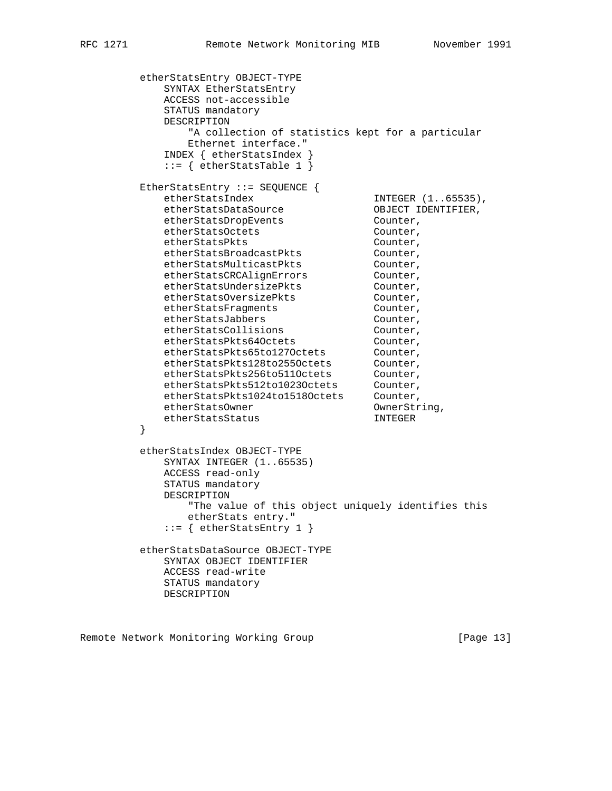etherStatsEntry OBJECT-TYPE SYNTAX EtherStatsEntry ACCESS not-accessible STATUS mandatory DESCRIPTION "A collection of statistics kept for a particular Ethernet interface." INDEX { etherStatsIndex }  $::=$  { etherStatsTable 1 } EtherStatsEntry ::= SEQUENCE { etherStatsIndex INTEGER (1..65535), etherStatsDataSource OBJECT IDENTIFIER, etherStatsDropEvents enter, etherStatsOctets Counter, etherStatsPkts
and the counter,  $\sim$  Counter, etherStatsBroadcastPkts Counter, etherStatsMulticastPkts Counter, etherStatsCRCAlignErrors Counter, etherStatsUndersizePkts Counter, etherStatsOversizePkts Counter, etherStatsFragments entitled counter, etherStatsJabbers Counter, etherStatsCollisions Counter, etherStatsPkts64Octets Counter, etherStatsPkts65to1270ctets Counter, etherStatsPkts128to2550ctets Counter, etherStatsPkts256to5110ctets Counter, etherStatsPkts512to10230ctets Counter, etherStatsPkts1024to1518Octets Counter, etherStatsOwner Communications of the Communications of the Communications of the Communications of the Communications of the Communications of the Communications of the Communications of the Communications of the Communic etherStatsStatus INTEGER } etherStatsIndex OBJECT-TYPE SYNTAX INTEGER (1..65535) ACCESS read-only STATUS mandatory DESCRIPTION "The value of this object uniquely identifies this etherStats entry."  $::=$  { etherStatsEntry 1 } etherStatsDataSource OBJECT-TYPE SYNTAX OBJECT IDENTIFIER ACCESS read-write STATUS mandatory DESCRIPTION

Remote Network Monitoring Working Group [Page 13]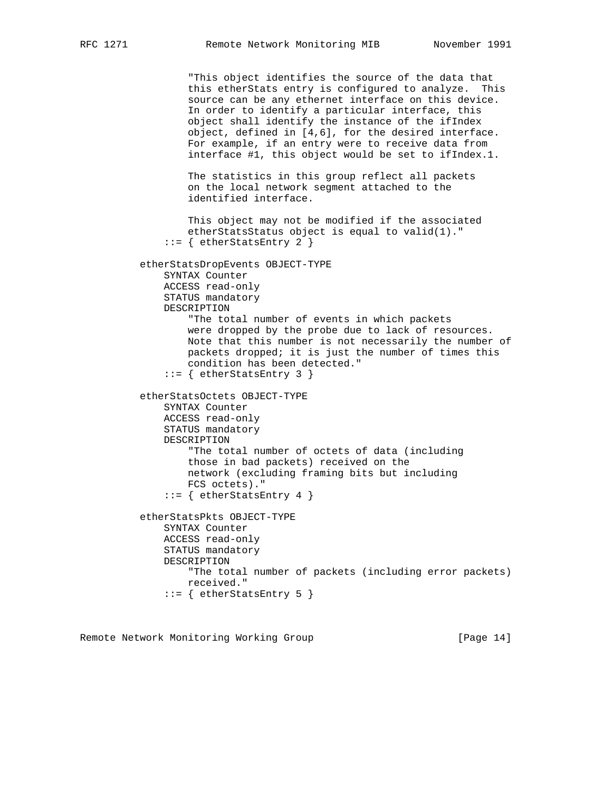"This object identifies the source of the data that this etherStats entry is configured to analyze. This source can be any ethernet interface on this device. In order to identify a particular interface, this object shall identify the instance of the ifIndex object, defined in [4,6], for the desired interface. For example, if an entry were to receive data from interface #1, this object would be set to ifIndex.1. The statistics in this group reflect all packets on the local network segment attached to the identified interface. This object may not be modified if the associated etherStatsStatus object is equal to valid(1)."  $::=$  { etherStatsEntry 2 } etherStatsDropEvents OBJECT-TYPE SYNTAX Counter ACCESS read-only STATUS mandatory DESCRIPTION "The total number of events in which packets were dropped by the probe due to lack of resources. Note that this number is not necessarily the number of packets dropped; it is just the number of times this condition has been detected." ::= { etherStatsEntry 3 } etherStatsOctets OBJECT-TYPE SYNTAX Counter ACCESS read-only STATUS mandatory DESCRIPTION "The total number of octets of data (including those in bad packets) received on the network (excluding framing bits but including FCS octets)."  $::=$  { etherStatsEntry 4 } etherStatsPkts OBJECT-TYPE SYNTAX Counter ACCESS read-only STATUS mandatory DESCRIPTION "The total number of packets (including error packets) received."  $::=$  { etherStatsEntry 5 }

Remote Network Monitoring Working Group [Page 14]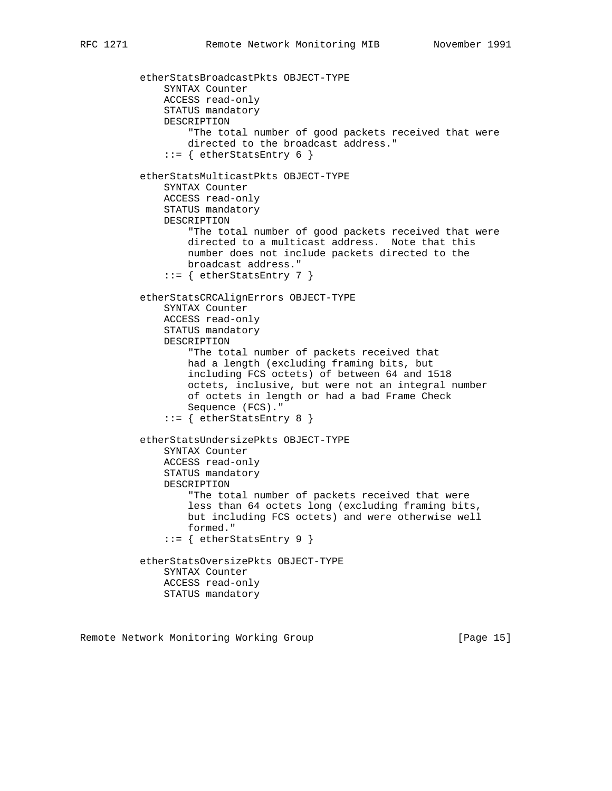etherStatsBroadcastPkts OBJECT-TYPE SYNTAX Counter ACCESS read-only STATUS mandatory DESCRIPTION "The total number of good packets received that were directed to the broadcast address."  $::=$  { etherStatsEntry 6 } etherStatsMulticastPkts OBJECT-TYPE SYNTAX Counter ACCESS read-only STATUS mandatory DESCRIPTION "The total number of good packets received that were directed to a multicast address. Note that this number does not include packets directed to the broadcast address." ::= { etherStatsEntry 7 } etherStatsCRCAlignErrors OBJECT-TYPE SYNTAX Counter ACCESS read-only STATUS mandatory DESCRIPTION "The total number of packets received that had a length (excluding framing bits, but including FCS octets) of between 64 and 1518 octets, inclusive, but were not an integral number of octets in length or had a bad Frame Check Sequence (FCS)."  $::=$  { etherStatsEntry 8 } etherStatsUndersizePkts OBJECT-TYPE SYNTAX Counter ACCESS read-only STATUS mandatory DESCRIPTION "The total number of packets received that were less than 64 octets long (excluding framing bits, but including FCS octets) and were otherwise well formed." ::= { etherStatsEntry 9 } etherStatsOversizePkts OBJECT-TYPE SYNTAX Counter ACCESS read-only STATUS mandatory

Remote Network Monitoring Working Group [Page 15]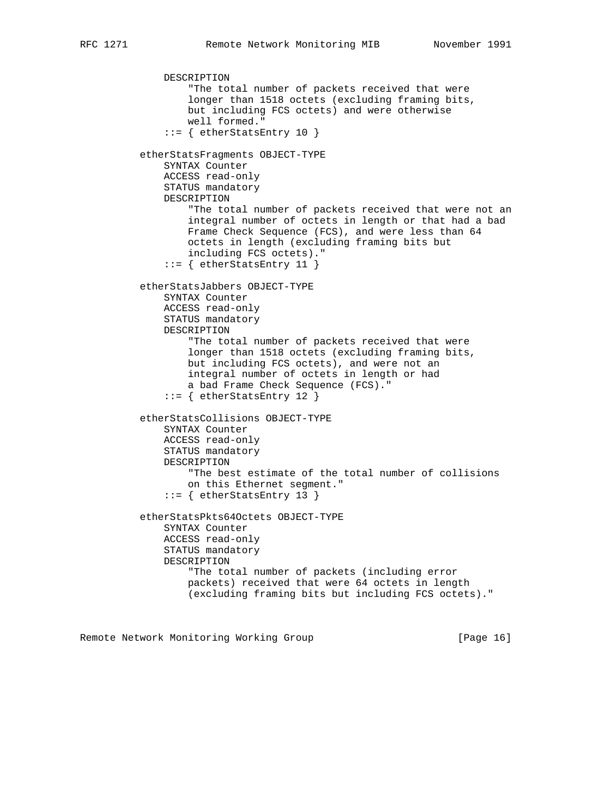```
 DESCRIPTION
         "The total number of packets received that were
         longer than 1518 octets (excluding framing bits,
         but including FCS octets) and were otherwise
         well formed."
     ::= { etherStatsEntry 10 }
 etherStatsFragments OBJECT-TYPE
     SYNTAX Counter
     ACCESS read-only
     STATUS mandatory
     DESCRIPTION
         "The total number of packets received that were not an
         integral number of octets in length or that had a bad
         Frame Check Sequence (FCS), and were less than 64
         octets in length (excluding framing bits but
         including FCS octets)."
     ::= { etherStatsEntry 11 }
 etherStatsJabbers OBJECT-TYPE
     SYNTAX Counter
     ACCESS read-only
     STATUS mandatory
     DESCRIPTION
         "The total number of packets received that were
         longer than 1518 octets (excluding framing bits,
         but including FCS octets), and were not an
         integral number of octets in length or had
         a bad Frame Check Sequence (FCS)."
     ::= { etherStatsEntry 12 }
 etherStatsCollisions OBJECT-TYPE
     SYNTAX Counter
     ACCESS read-only
     STATUS mandatory
     DESCRIPTION
         "The best estimate of the total number of collisions
        on this Ethernet segment."
    ::= { etherStatsEntry 13 }
 etherStatsPkts64Octets OBJECT-TYPE
     SYNTAX Counter
     ACCESS read-only
     STATUS mandatory
     DESCRIPTION
         "The total number of packets (including error
         packets) received that were 64 octets in length
         (excluding framing bits but including FCS octets)."
```
Remote Network Monitoring Working Group [Page 16]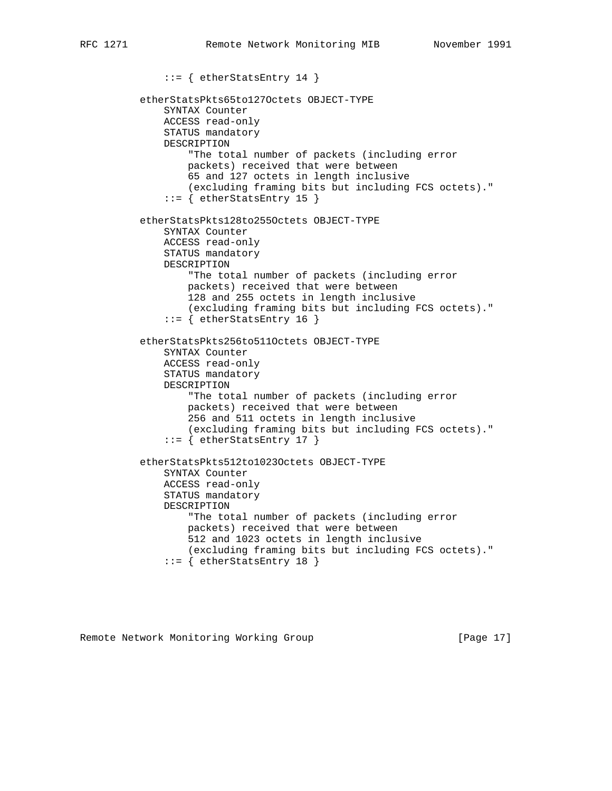::= { etherStatsEntry 14 } etherStatsPkts65to127Octets OBJECT-TYPE SYNTAX Counter ACCESS read-only STATUS mandatory DESCRIPTION "The total number of packets (including error packets) received that were between 65 and 127 octets in length inclusive (excluding framing bits but including FCS octets)." ::= { etherStatsEntry 15 } etherStatsPkts128to255Octets OBJECT-TYPE SYNTAX Counter ACCESS read-only STATUS mandatory DESCRIPTION "The total number of packets (including error packets) received that were between 128 and 255 octets in length inclusive (excluding framing bits but including FCS octets)."  $::=$  { etherStatsEntry 16 } etherStatsPkts256to511Octets OBJECT-TYPE SYNTAX Counter ACCESS read-only STATUS mandatory DESCRIPTION "The total number of packets (including error packets) received that were between 256 and 511 octets in length inclusive (excluding framing bits but including FCS octets)." ::= { etherStatsEntry 17 } etherStatsPkts512to1023Octets OBJECT-TYPE SYNTAX Counter ACCESS read-only STATUS mandatory DESCRIPTION "The total number of packets (including error packets) received that were between 512 and 1023 octets in length inclusive (excluding framing bits but including FCS octets)."  $::=$  { etherStatsEntry 18 }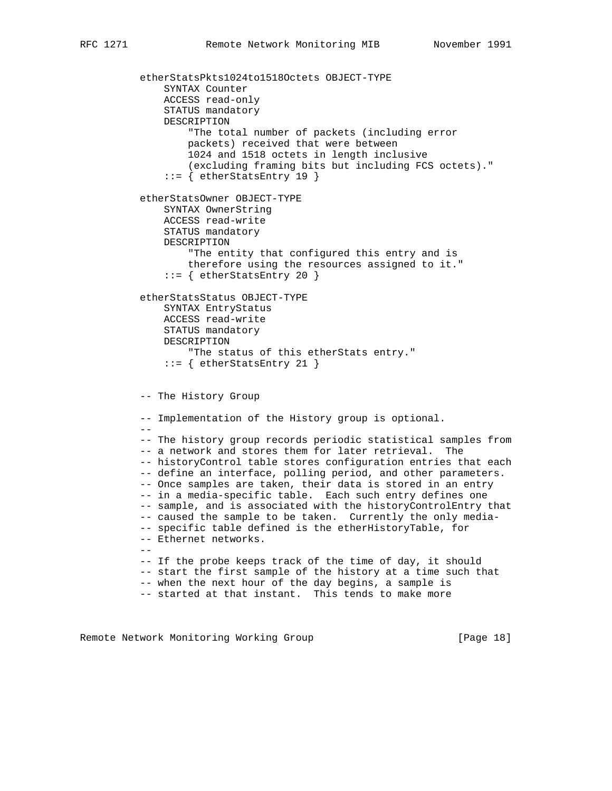etherStatsPkts1024to1518Octets OBJECT-TYPE SYNTAX Counter ACCESS read-only STATUS mandatory DESCRIPTION "The total number of packets (including error packets) received that were between 1024 and 1518 octets in length inclusive (excluding framing bits but including FCS octets)."  $::=$  { etherStatsEntry 19 } etherStatsOwner OBJECT-TYPE SYNTAX OwnerString ACCESS read-write STATUS mandatory DESCRIPTION "The entity that configured this entry and is therefore using the resources assigned to it." ::= { etherStatsEntry 20 } etherStatsStatus OBJECT-TYPE SYNTAX EntryStatus ACCESS read-write STATUS mandatory DESCRIPTION "The status of this etherStats entry." ::= { etherStatsEntry 21 } -- The History Group -- Implementation of the History group is optional.  $-$  -- The history group records periodic statistical samples from -- a network and stores them for later retrieval. The -- historyControl table stores configuration entries that each -- define an interface, polling period, and other parameters. -- Once samples are taken, their data is stored in an entry -- in a media-specific table. Each such entry defines one -- sample, and is associated with the historyControlEntry that -- caused the sample to be taken. Currently the only media- -- specific table defined is the etherHistoryTable, for -- Ethernet networks. -- -- If the probe keeps track of the time of day, it should -- start the first sample of the history at a time such that -- when the next hour of the day begins, a sample is -- started at that instant. This tends to make more

Remote Network Monitoring Working Group [Page 18]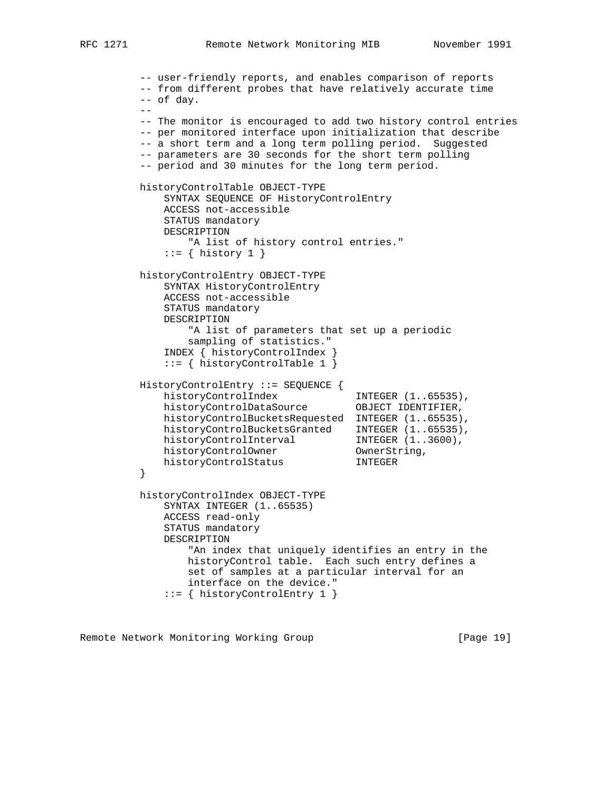```
 -- user-friendly reports, and enables comparison of reports
          -- from different probes that have relatively accurate time
          -- of day.
 --
          -- The monitor is encouraged to add two history control entries
          -- per monitored interface upon initialization that describe
         -- a short term and a long term polling period. Suggested
          -- parameters are 30 seconds for the short term polling
          -- period and 30 minutes for the long term period.
          historyControlTable OBJECT-TYPE
              SYNTAX SEQUENCE OF HistoryControlEntry
              ACCESS not-accessible
              STATUS mandatory
              DESCRIPTION
                 "A list of history control entries."
             ::= \{ history 1 \} historyControlEntry OBJECT-TYPE
              SYNTAX HistoryControlEntry
              ACCESS not-accessible
              STATUS mandatory
              DESCRIPTION
                  "A list of parameters that set up a periodic
                  sampling of statistics."
              INDEX { historyControlIndex }
              ::= { historyControlTable 1 }
         HistoryControlEntry ::= SEQUENCE {<br>historyControlIndex
historyControlIndex INTEGER (1..65535),
 historyControlDataSource OBJECT IDENTIFIER,
              historyControlBucketsRequested INTEGER (1..65535),
 historyControlBucketsGranted INTEGER (1..65535),
historyControlInterval MTEGER (1..3600),
historyControlOwner Constant Control OwnerString,
 historyControlStatus INTEGER
 }
          historyControlIndex OBJECT-TYPE
              SYNTAX INTEGER (1..65535)
              ACCESS read-only
              STATUS mandatory
              DESCRIPTION
                  "An index that uniquely identifies an entry in the
                  historyControl table. Each such entry defines a
                  set of samples at a particular interval for an
                  interface on the device."
              ::= { historyControlEntry 1 }
```
Remote Network Monitoring Working Group [Page 19]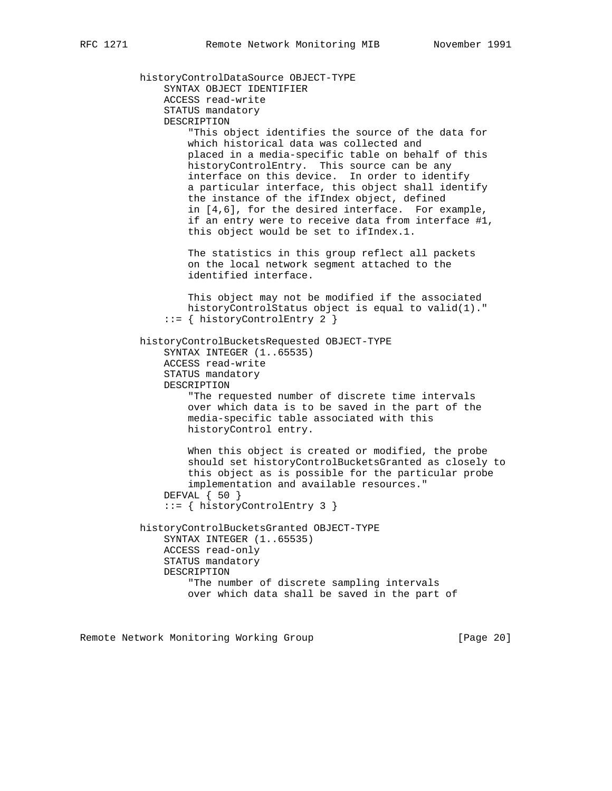historyControlDataSource OBJECT-TYPE SYNTAX OBJECT IDENTIFIER ACCESS read-write STATUS mandatory DESCRIPTION "This object identifies the source of the data for which historical data was collected and placed in a media-specific table on behalf of this historyControlEntry. This source can be any interface on this device. In order to identify a particular interface, this object shall identify the instance of the ifIndex object, defined in [4,6], for the desired interface. For example, if an entry were to receive data from interface #1, this object would be set to ifIndex.1. The statistics in this group reflect all packets on the local network segment attached to the identified interface. This object may not be modified if the associated historyControlStatus object is equal to valid(1)." ::= { historyControlEntry 2 } historyControlBucketsRequested OBJECT-TYPE SYNTAX INTEGER (1..65535) ACCESS read-write STATUS mandatory DESCRIPTION "The requested number of discrete time intervals over which data is to be saved in the part of the media-specific table associated with this historyControl entry. When this object is created or modified, the probe should set historyControlBucketsGranted as closely to this object as is possible for the particular probe implementation and available resources." DEFVAL { 50 } ::= { historyControlEntry 3 } historyControlBucketsGranted OBJECT-TYPE SYNTAX INTEGER (1..65535) ACCESS read-only STATUS mandatory DESCRIPTION "The number of discrete sampling intervals over which data shall be saved in the part of

Remote Network Monitoring Working Group [976] [Page 20]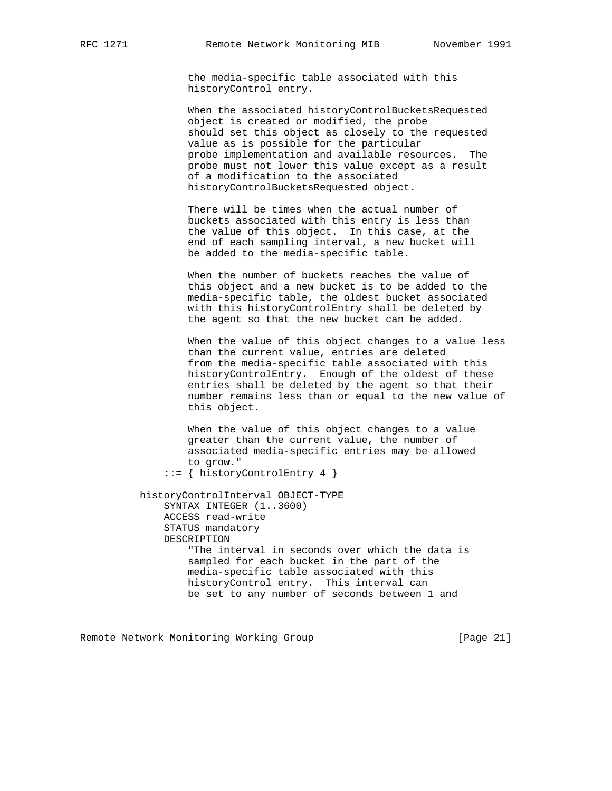the media-specific table associated with this historyControl entry.

 When the associated historyControlBucketsRequested object is created or modified, the probe should set this object as closely to the requested value as is possible for the particular probe implementation and available resources. The probe must not lower this value except as a result of a modification to the associated historyControlBucketsRequested object.

 There will be times when the actual number of buckets associated with this entry is less than the value of this object. In this case, at the end of each sampling interval, a new bucket will be added to the media-specific table.

 When the number of buckets reaches the value of this object and a new bucket is to be added to the media-specific table, the oldest bucket associated with this historyControlEntry shall be deleted by the agent so that the new bucket can be added.

 When the value of this object changes to a value less than the current value, entries are deleted from the media-specific table associated with this historyControlEntry. Enough of the oldest of these entries shall be deleted by the agent so that their number remains less than or equal to the new value of this object.

 When the value of this object changes to a value greater than the current value, the number of associated media-specific entries may be allowed to grow."

::= { historyControlEntry 4 }

```
 historyControlInterval OBJECT-TYPE
     SYNTAX INTEGER (1..3600)
     ACCESS read-write
     STATUS mandatory
     DESCRIPTION
         "The interval in seconds over which the data is
         sampled for each bucket in the part of the
         media-specific table associated with this
         historyControl entry. This interval can
         be set to any number of seconds between 1 and
```
Remote Network Monitoring Working Group [Page 21]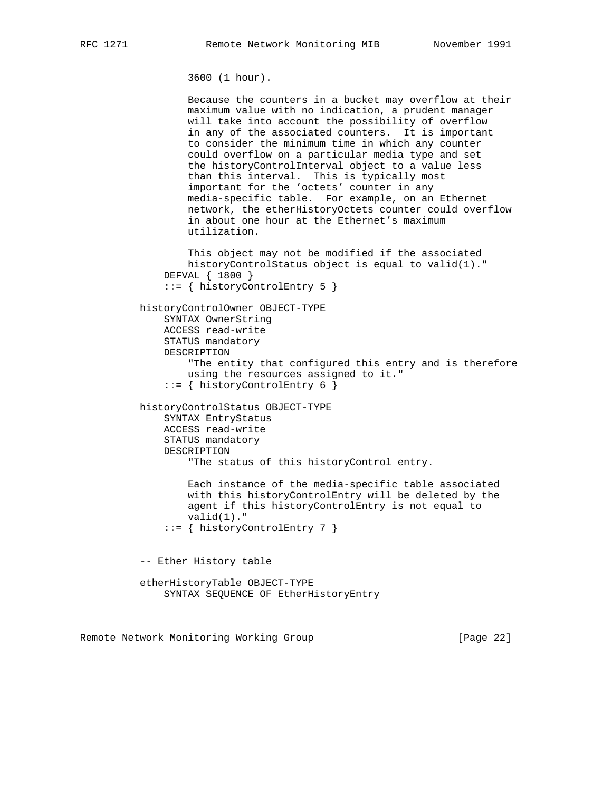3600 (1 hour).

 Because the counters in a bucket may overflow at their maximum value with no indication, a prudent manager will take into account the possibility of overflow in any of the associated counters. It is important to consider the minimum time in which any counter could overflow on a particular media type and set the historyControlInterval object to a value less than this interval. This is typically most important for the 'octets' counter in any media-specific table. For example, on an Ethernet network, the etherHistoryOctets counter could overflow in about one hour at the Ethernet's maximum utilization.

 This object may not be modified if the associated historyControlStatus object is equal to valid(1)." DEFVAL { 1800 } ::= { historyControlEntry 5 }

 historyControlOwner OBJECT-TYPE SYNTAX OwnerString ACCESS read-write STATUS mandatory DESCRIPTION "The entity that configured this entry and is therefore using the resources assigned to it." ::= { historyControlEntry 6 }

 historyControlStatus OBJECT-TYPE SYNTAX EntryStatus ACCESS read-write STATUS mandatory DESCRIPTION "The status of this historyControl entry.

 Each instance of the media-specific table associated with this historyControlEntry will be deleted by the agent if this historyControlEntry is not equal to valid(1)." ::= { historyControlEntry 7 }

-- Ether History table

 etherHistoryTable OBJECT-TYPE SYNTAX SEQUENCE OF EtherHistoryEntry

Remote Network Monitoring Working Group [Page 22]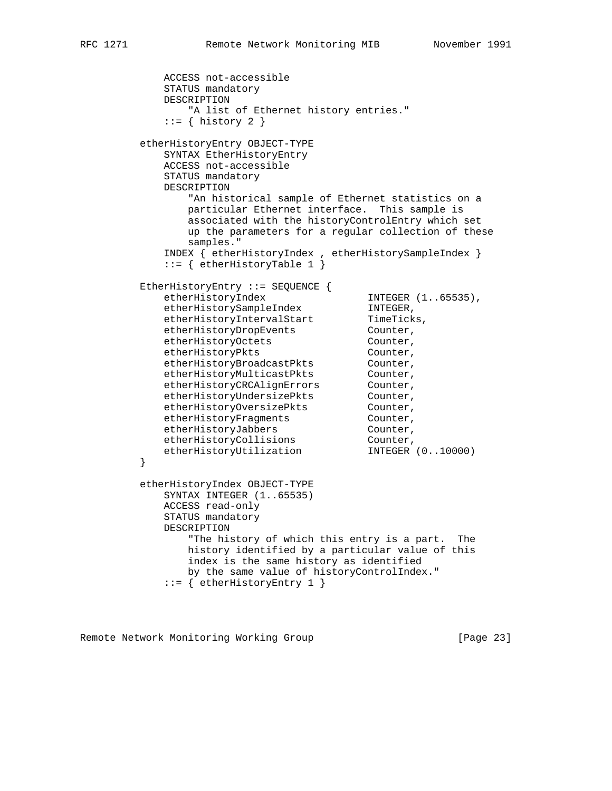```
 ACCESS not-accessible
            STATUS mandatory
            DESCRIPTION
               "A list of Ethernet history entries."
           ::= { history 2 }
         etherHistoryEntry OBJECT-TYPE
            SYNTAX EtherHistoryEntry
            ACCESS not-accessible
            STATUS mandatory
            DESCRIPTION
               "An historical sample of Ethernet statistics on a
               particular Ethernet interface. This sample is
               associated with the historyControlEntry which set
               up the parameters for a regular collection of these
               samples."
            INDEX { etherHistoryIndex , etherHistorySampleIndex }
            ::= { etherHistoryTable 1 }
        EtherHistoryEntry ::= SEQUENCE {
etherHistoryIndex                     INTEGER (1..65535),
etherHistorySampleIndex INTEGER,
etherHistoryIntervalStart TimeTicks,
etherHistoryDropEvents Counter,
etherHistoryOctets Counter,
etherHistoryPkts Counter,
etherHistoryBroadcastPkts Counter,
etherHistoryMulticastPkts Counter,
etherHistoryCRCAlignErrors Counter,
etherHistoryUndersizePkts Counter,
etherHistoryOversizePkts Counter,
etherHistoryFragments Counter,
etherHistoryJabbers Counter,
etherHistoryCollisions Counter,
 etherHistoryUtilization INTEGER (0..10000)
 }
         etherHistoryIndex OBJECT-TYPE
            SYNTAX INTEGER (1..65535)
            ACCESS read-only
            STATUS mandatory
            DESCRIPTION
               "The history of which this entry is a part. The
               history identified by a particular value of this
               index is the same history as identified
               by the same value of historyControlIndex."
           ::= { etherHistoryEntry 1 }
```
Remote Network Monitoring Working Group [Page 23]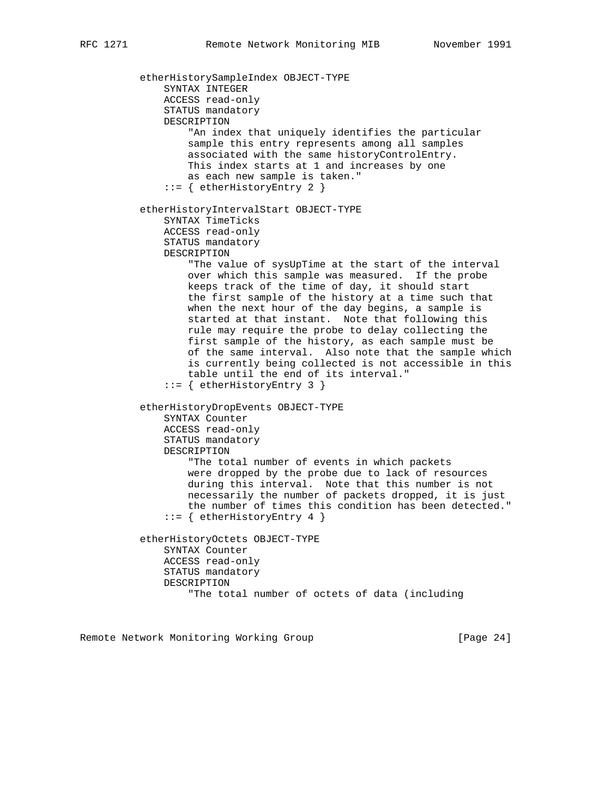etherHistorySampleIndex OBJECT-TYPE SYNTAX INTEGER ACCESS read-only STATUS mandatory DESCRIPTION "An index that uniquely identifies the particular sample this entry represents among all samples associated with the same historyControlEntry. This index starts at 1 and increases by one as each new sample is taken." ::= { etherHistoryEntry 2 } etherHistoryIntervalStart OBJECT-TYPE SYNTAX TimeTicks ACCESS read-only STATUS mandatory DESCRIPTION "The value of sysUpTime at the start of the interval over which this sample was measured. If the probe keeps track of the time of day, it should start the first sample of the history at a time such that when the next hour of the day begins, a sample is started at that instant. Note that following this rule may require the probe to delay collecting the first sample of the history, as each sample must be of the same interval. Also note that the sample which is currently being collected is not accessible in this table until the end of its interval." ::= { etherHistoryEntry 3 } etherHistoryDropEvents OBJECT-TYPE SYNTAX Counter ACCESS read-only STATUS mandatory DESCRIPTION "The total number of events in which packets were dropped by the probe due to lack of resources during this interval. Note that this number is not necessarily the number of packets dropped, it is just the number of times this condition has been detected."  $::=$  { etherHistoryEntry 4 } etherHistoryOctets OBJECT-TYPE SYNTAX Counter ACCESS read-only STATUS mandatory DESCRIPTION "The total number of octets of data (including

Remote Network Monitoring Working Group [Page 24]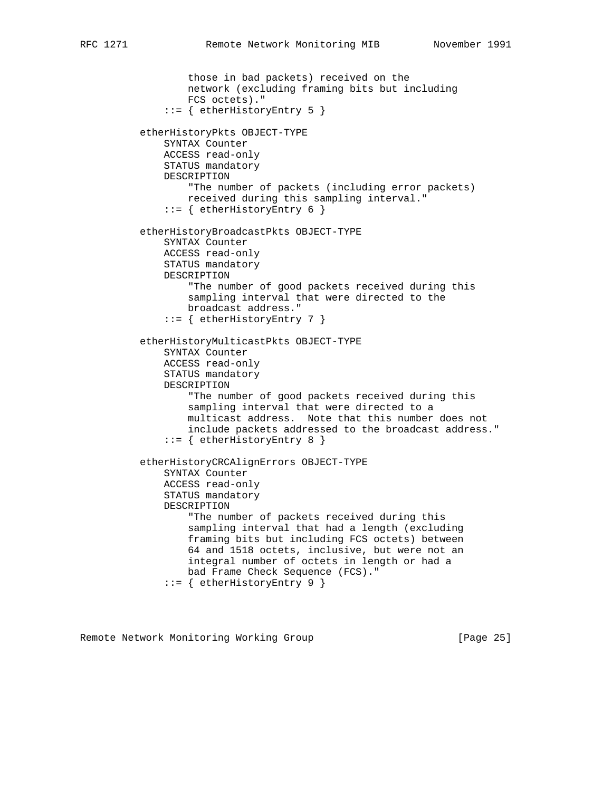```
 those in bad packets) received on the
         network (excluding framing bits but including
         FCS octets)."
     ::= { etherHistoryEntry 5 }
 etherHistoryPkts OBJECT-TYPE
     SYNTAX Counter
     ACCESS read-only
     STATUS mandatory
     DESCRIPTION
         "The number of packets (including error packets)
         received during this sampling interval."
     ::= { etherHistoryEntry 6 }
 etherHistoryBroadcastPkts OBJECT-TYPE
     SYNTAX Counter
     ACCESS read-only
     STATUS mandatory
     DESCRIPTION
         "The number of good packets received during this
         sampling interval that were directed to the
         broadcast address."
    ::= { etherHistoryEntry 7 }
 etherHistoryMulticastPkts OBJECT-TYPE
     SYNTAX Counter
     ACCESS read-only
     STATUS mandatory
     DESCRIPTION
         "The number of good packets received during this
         sampling interval that were directed to a
         multicast address. Note that this number does not
         include packets addressed to the broadcast address."
     ::= { etherHistoryEntry 8 }
 etherHistoryCRCAlignErrors OBJECT-TYPE
     SYNTAX Counter
     ACCESS read-only
     STATUS mandatory
     DESCRIPTION
         "The number of packets received during this
         sampling interval that had a length (excluding
         framing bits but including FCS octets) between
         64 and 1518 octets, inclusive, but were not an
         integral number of octets in length or had a
         bad Frame Check Sequence (FCS)."
     ::= { etherHistoryEntry 9 }
```
Remote Network Monitoring Working Group [Page 25]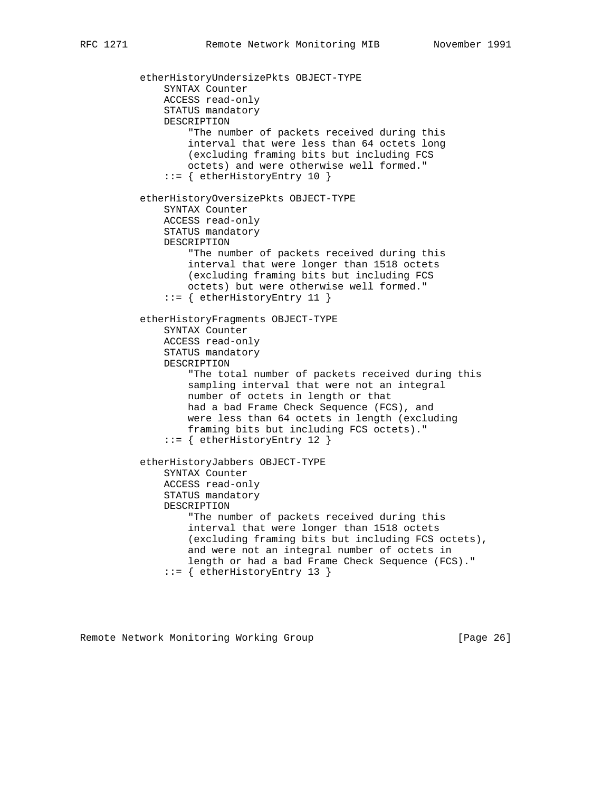etherHistoryUndersizePkts OBJECT-TYPE SYNTAX Counter ACCESS read-only STATUS mandatory DESCRIPTION "The number of packets received during this interval that were less than 64 octets long (excluding framing bits but including FCS octets) and were otherwise well formed." ::= { etherHistoryEntry 10 } etherHistoryOversizePkts OBJECT-TYPE SYNTAX Counter ACCESS read-only STATUS mandatory DESCRIPTION "The number of packets received during this interval that were longer than 1518 octets (excluding framing bits but including FCS octets) but were otherwise well formed." ::= { etherHistoryEntry 11 } etherHistoryFragments OBJECT-TYPE SYNTAX Counter ACCESS read-only STATUS mandatory DESCRIPTION "The total number of packets received during this sampling interval that were not an integral number of octets in length or that had a bad Frame Check Sequence (FCS), and were less than 64 octets in length (excluding framing bits but including FCS octets)." ::= { etherHistoryEntry 12 } etherHistoryJabbers OBJECT-TYPE SYNTAX Counter ACCESS read-only STATUS mandatory DESCRIPTION "The number of packets received during this interval that were longer than 1518 octets (excluding framing bits but including FCS octets), and were not an integral number of octets in length or had a bad Frame Check Sequence (FCS)." ::= { etherHistoryEntry 13 }

Remote Network Monitoring Working Group [Page 26]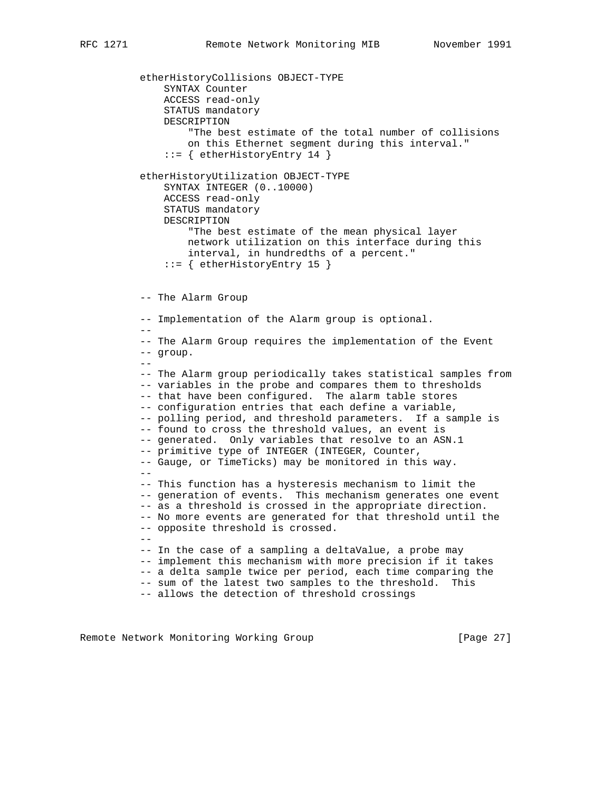```
 etherHistoryCollisions OBJECT-TYPE
              SYNTAX Counter
              ACCESS read-only
              STATUS mandatory
              DESCRIPTION
                   "The best estimate of the total number of collisions
                   on this Ethernet segment during this interval."
               ::= { etherHistoryEntry 14 }
           etherHistoryUtilization OBJECT-TYPE
              SYNTAX INTEGER (0..10000)
              ACCESS read-only
              STATUS mandatory
              DESCRIPTION
                   "The best estimate of the mean physical layer
                  network utilization on this interface during this
                  interval, in hundredths of a percent."
               ::= { etherHistoryEntry 15 }
          -- The Alarm Group
          -- Implementation of the Alarm group is optional.
 --
           -- The Alarm Group requires the implementation of the Event
           -- group.
 --
          -- The Alarm group periodically takes statistical samples from
          -- variables in the probe and compares them to thresholds
          -- that have been configured. The alarm table stores
          -- configuration entries that each define a variable,
          -- polling period, and threshold parameters. If a sample is
          -- found to cross the threshold values, an event is
          -- generated. Only variables that resolve to an ASN.1
         -- primitive type of INTEGER (INTEGER, Counter,
          -- Gauge, or TimeTicks) may be monitored in this way.
          --
          -- This function has a hysteresis mechanism to limit the
          -- generation of events. This mechanism generates one event
          -- as a threshold is crossed in the appropriate direction.
          -- No more events are generated for that threshold until the
          -- opposite threshold is crossed.
         - -- In the case of a sampling a deltaValue, a probe may
          -- implement this mechanism with more precision if it takes
          -- a delta sample twice per period, each time comparing the
          -- sum of the latest two samples to the threshold. This
          -- allows the detection of threshold crossings
```
Remote Network Monitoring Working Group [Page 27]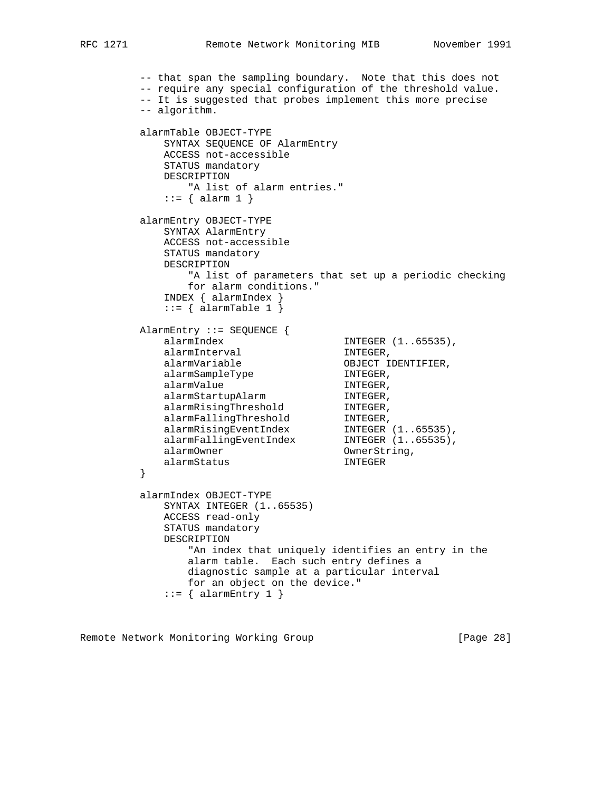```
 -- that span the sampling boundary. Note that this does not
        -- require any special configuration of the threshold value.
        -- It is suggested that probes implement this more precise
         -- algorithm.
        alarmTable OBJECT-TYPE
            SYNTAX SEQUENCE OF AlarmEntry
            ACCESS not-accessible
            STATUS mandatory
            DESCRIPTION
               "A list of alarm entries."
           ::= { alarm 1 }
        alarmEntry OBJECT-TYPE
            SYNTAX AlarmEntry
            ACCESS not-accessible
            STATUS mandatory
            DESCRIPTION
               "A list of parameters that set up a periodic checking
               for alarm conditions."
            INDEX { alarmIndex }
           ::= { alarmTable 1 }
        AlarmEntry ::= SEQUENCE {
alarmIndex 1NTEGER (1..65535),
alarmInterval interval
 alarmVariable OBJECT IDENTIFIER,
alarmSampleType INTEGER,
alarmValue in the INTEGER,
alarmStartupAlarm INTEGER,
alarmRisingThreshold INTEGER,
alarmFallingThreshold INTEGER,
 alarmRisingEventIndex INTEGER (1..65535),
 alarmFallingEventIndex INTEGER (1..65535),
alarmOwner controlled by OwnerString,
 alarmStatus INTEGER
 }
        alarmIndex OBJECT-TYPE
            SYNTAX INTEGER (1..65535)
            ACCESS read-only
            STATUS mandatory
            DESCRIPTION
               "An index that uniquely identifies an entry in the
               alarm table. Each such entry defines a
               diagnostic sample at a particular interval
               for an object on the device."
           ::= { alarmEntry 1 }
```
Remote Network Monitoring Working Group [Page 28]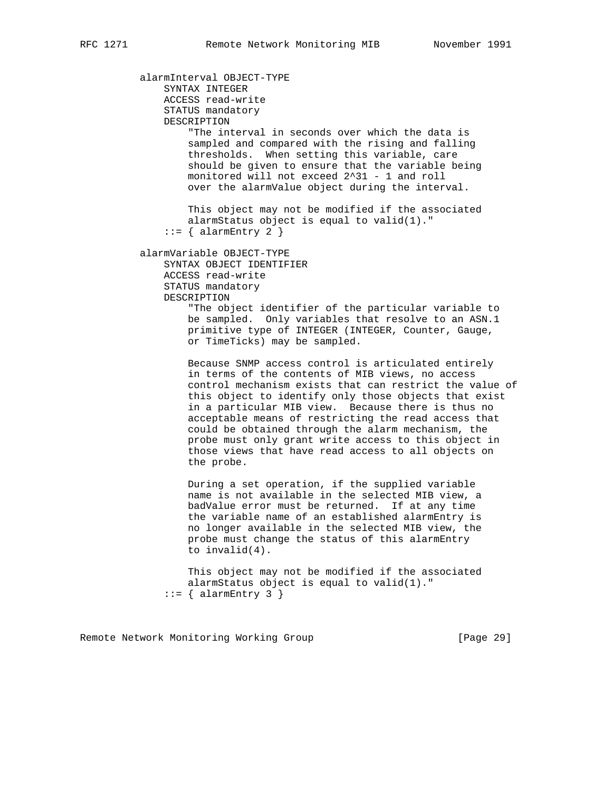alarmInterval OBJECT-TYPE SYNTAX INTEGER ACCESS read-write STATUS mandatory DESCRIPTION "The interval in seconds over which the data is sampled and compared with the rising and falling thresholds. When setting this variable, care should be given to ensure that the variable being monitored will not exceed 2^31 - 1 and roll over the alarmValue object during the interval. This object may not be modified if the associated alarmStatus object is equal to valid(1)."  $::=$  { alarmEntry 2 } alarmVariable OBJECT-TYPE SYNTAX OBJECT IDENTIFIER ACCESS read-write STATUS mandatory DESCRIPTION "The object identifier of the particular variable to

 be sampled. Only variables that resolve to an ASN.1 primitive type of INTEGER (INTEGER, Counter, Gauge, or TimeTicks) may be sampled.

 Because SNMP access control is articulated entirely in terms of the contents of MIB views, no access control mechanism exists that can restrict the value of this object to identify only those objects that exist in a particular MIB view. Because there is thus no acceptable means of restricting the read access that could be obtained through the alarm mechanism, the probe must only grant write access to this object in those views that have read access to all objects on the probe.

 During a set operation, if the supplied variable name is not available in the selected MIB view, a badValue error must be returned. If at any time the variable name of an established alarmEntry is no longer available in the selected MIB view, the probe must change the status of this alarmEntry to invalid(4).

 This object may not be modified if the associated alarmStatus object is equal to valid(1)."  $::=$  { alarmEntry 3 }

Remote Network Monitoring Working Group [Page 29]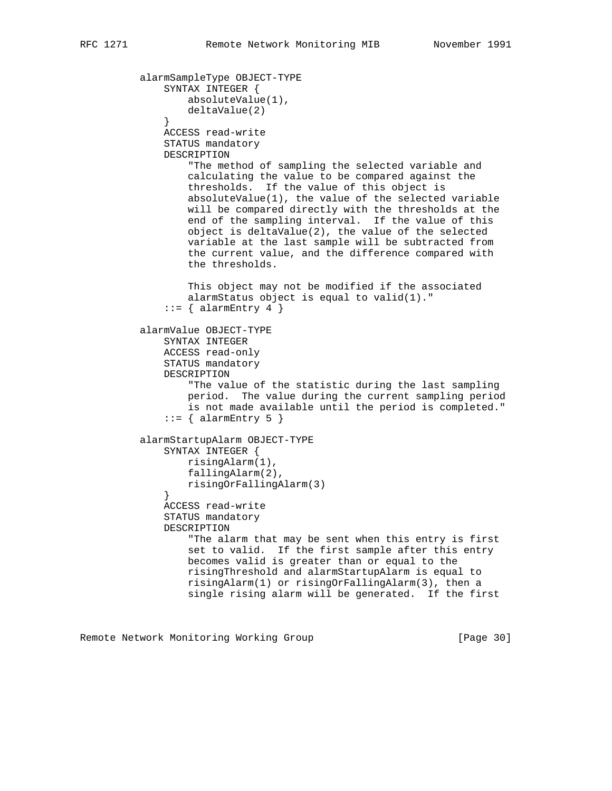```
 alarmSampleType OBJECT-TYPE
              SYNTAX INTEGER {
                   absoluteValue(1),
                  deltaValue(2)
 }
              ACCESS read-write
              STATUS mandatory
              DESCRIPTION
                   "The method of sampling the selected variable and
                   calculating the value to be compared against the
                   thresholds. If the value of this object is
                   absoluteValue(1), the value of the selected variable
                  will be compared directly with the thresholds at the
                   end of the sampling interval. If the value of this
                  object is deltaValue(2), the value of the selected
                  variable at the last sample will be subtracted from
                   the current value, and the difference compared with
                   the thresholds.
                   This object may not be modified if the associated
                   alarmStatus object is equal to valid(1)."
              ::= { alarmEntry 4 }
          alarmValue OBJECT-TYPE
              SYNTAX INTEGER
              ACCESS read-only
              STATUS mandatory
              DESCRIPTION
                   "The value of the statistic during the last sampling
                   period. The value during the current sampling period
                   is not made available until the period is completed."
              ::= { alarmEntry 5 }
          alarmStartupAlarm OBJECT-TYPE
              SYNTAX INTEGER {
                  risingAlarm(1),
                  fallingAlarm(2),
              risingOrFallingAlarm(3)<br>}
 }
              ACCESS read-write
              STATUS mandatory
              DESCRIPTION
                   "The alarm that may be sent when this entry is first
                   set to valid. If the first sample after this entry
                  becomes valid is greater than or equal to the
                  risingThreshold and alarmStartupAlarm is equal to
                  risingAlarm(1) or risingOrFallingAlarm(3), then a
                  single rising alarm will be generated. If the first
```
Remote Network Monitoring Working Group [Page 30]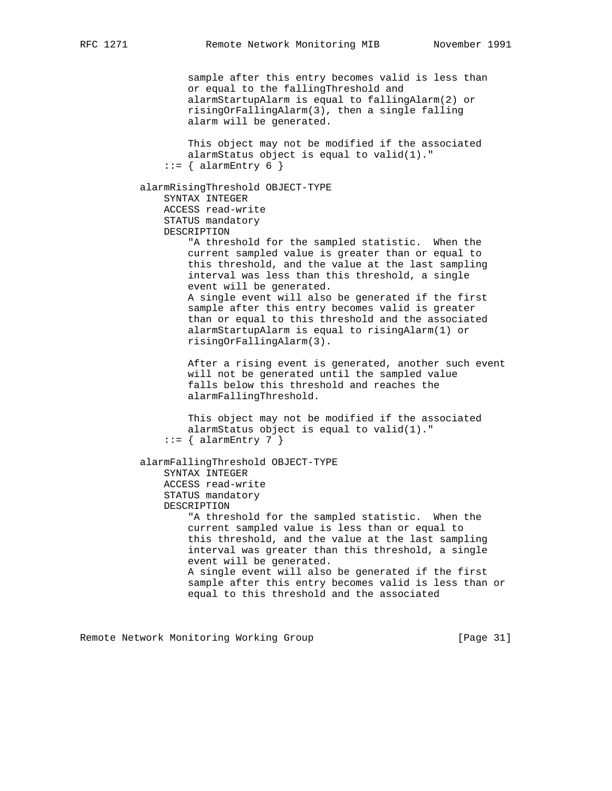sample after this entry becomes valid is less than or equal to the fallingThreshold and alarmStartupAlarm is equal to fallingAlarm(2) or risingOrFallingAlarm(3), then a single falling alarm will be generated. This object may not be modified if the associated alarmStatus object is equal to valid(1)."  $::=$  { alarmEntry 6 } alarmRisingThreshold OBJECT-TYPE SYNTAX INTEGER ACCESS read-write STATUS mandatory DESCRIPTION "A threshold for the sampled statistic. When the current sampled value is greater than or equal to this threshold, and the value at the last sampling interval was less than this threshold, a single event will be generated. A single event will also be generated if the first sample after this entry becomes valid is greater than or equal to this threshold and the associated alarmStartupAlarm is equal to risingAlarm(1) or risingOrFallingAlarm(3). After a rising event is generated, another such event will not be generated until the sampled value falls below this threshold and reaches the alarmFallingThreshold. This object may not be modified if the associated alarmStatus object is equal to valid(1)."  $::=$  { alarmEntry 7 } alarmFallingThreshold OBJECT-TYPE SYNTAX INTEGER ACCESS read-write STATUS mandatory DESCRIPTION "A threshold for the sampled statistic. When the current sampled value is less than or equal to this threshold, and the value at the last sampling interval was greater than this threshold, a single event will be generated. A single event will also be generated if the first sample after this entry becomes valid is less than or equal to this threshold and the associated

Remote Network Monitoring Working Group [Page 31]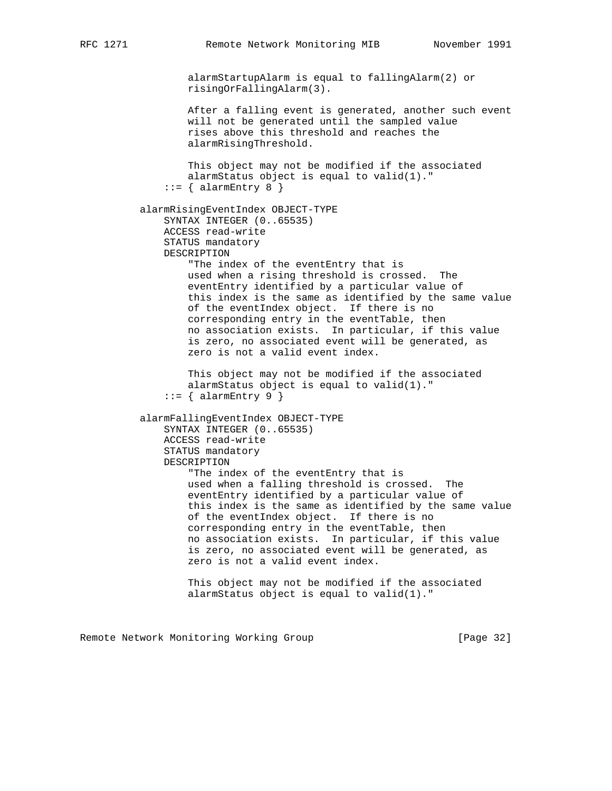alarmStartupAlarm is equal to fallingAlarm(2) or risingOrFallingAlarm(3). After a falling event is generated, another such event will not be generated until the sampled value rises above this threshold and reaches the alarmRisingThreshold. This object may not be modified if the associated alarmStatus object is equal to valid(1)."  $::=$  { alarmEntry 8 } alarmRisingEventIndex OBJECT-TYPE SYNTAX INTEGER (0..65535) ACCESS read-write STATUS mandatory DESCRIPTION "The index of the eventEntry that is used when a rising threshold is crossed. The eventEntry identified by a particular value of this index is the same as identified by the same value of the eventIndex object. If there is no corresponding entry in the eventTable, then no association exists. In particular, if this value is zero, no associated event will be generated, as zero is not a valid event index. This object may not be modified if the associated alarmStatus object is equal to valid(1)."  $::=$  { alarmEntry 9 } alarmFallingEventIndex OBJECT-TYPE SYNTAX INTEGER (0..65535) ACCESS read-write STATUS mandatory DESCRIPTION "The index of the eventEntry that is used when a falling threshold is crossed. The eventEntry identified by a particular value of this index is the same as identified by the same value of the eventIndex object. If there is no corresponding entry in the eventTable, then no association exists. In particular, if this value is zero, no associated event will be generated, as zero is not a valid event index. This object may not be modified if the associated alarmStatus object is equal to valid(1)."

Remote Network Monitoring Working Group [Page 32]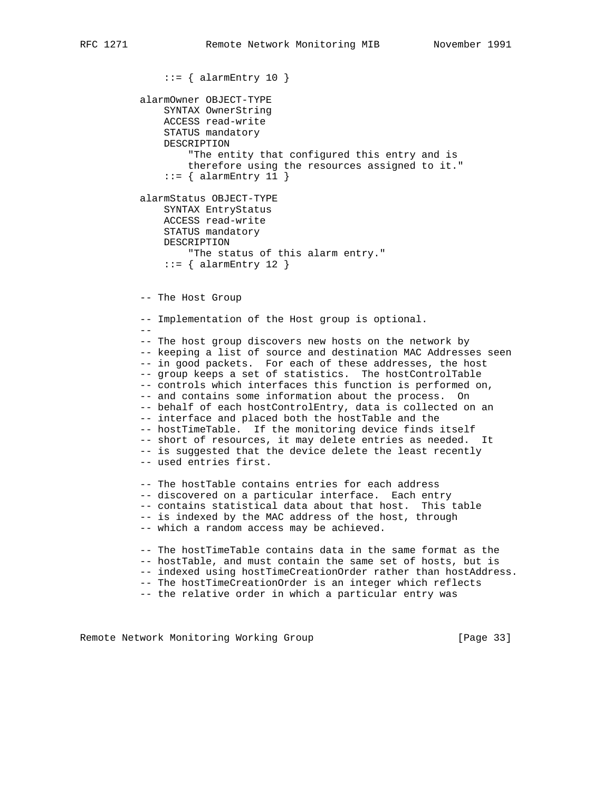```
::= { alarmEntry 10 }
          alarmOwner OBJECT-TYPE
              SYNTAX OwnerString
              ACCESS read-write
              STATUS mandatory
              DESCRIPTION
                   "The entity that configured this entry and is
                   therefore using the resources assigned to it."
              ::= { alarmEntry 11 }
          alarmStatus OBJECT-TYPE
              SYNTAX EntryStatus
              ACCESS read-write
              STATUS mandatory
              DESCRIPTION
                  "The status of this alarm entry."
             ::= { alarmEntry 12 }
          -- The Host Group
          -- Implementation of the Host group is optional.
 --
           -- The host group discovers new hosts on the network by
           -- keeping a list of source and destination MAC Addresses seen
         -- in good packets. For each of these addresses, the host
          -- group keeps a set of statistics. The hostControlTable
          -- controls which interfaces this function is performed on,
          -- and contains some information about the process. On
          -- behalf of each hostControlEntry, data is collected on an
          -- interface and placed both the hostTable and the
         -- hostTimeTable. If the monitoring device finds itself
          -- short of resources, it may delete entries as needed. It
          -- is suggested that the device delete the least recently
          -- used entries first.
          -- The hostTable contains entries for each address
          -- discovered on a particular interface. Each entry
          -- contains statistical data about that host. This table
          -- is indexed by the MAC address of the host, through
          -- which a random access may be achieved.
          -- The hostTimeTable contains data in the same format as the
          -- hostTable, and must contain the same set of hosts, but is
          -- indexed using hostTimeCreationOrder rather than hostAddress.
          -- The hostTimeCreationOrder is an integer which reflects
          -- the relative order in which a particular entry was
```
Remote Network Monitoring Working Group [Page 33]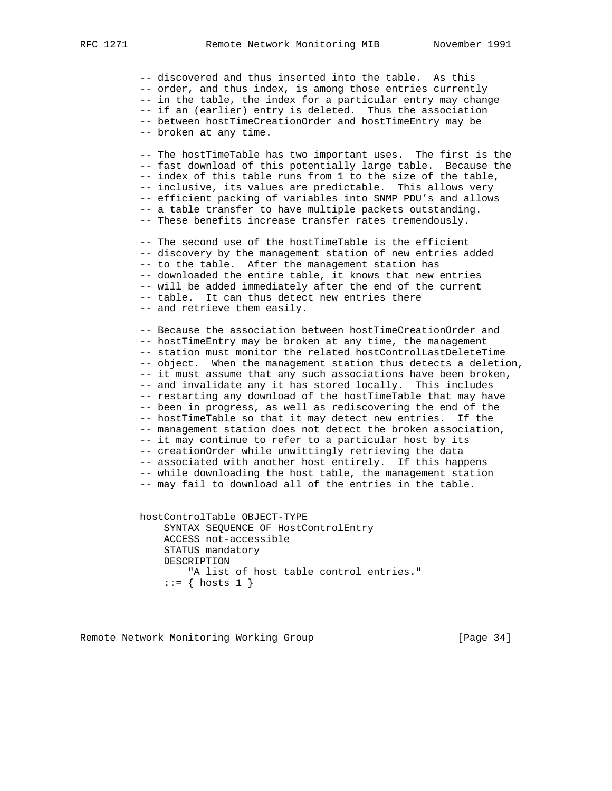-- discovered and thus inserted into the table. As this -- order, and thus index, is among those entries currently -- in the table, the index for a particular entry may change -- if an (earlier) entry is deleted. Thus the association -- between hostTimeCreationOrder and hostTimeEntry may be -- broken at any time.

 -- The hostTimeTable has two important uses. The first is the -- fast download of this potentially large table. Because the -- index of this table runs from 1 to the size of the table, -- inclusive, its values are predictable. This allows very -- efficient packing of variables into SNMP PDU's and allows -- a table transfer to have multiple packets outstanding. -- These benefits increase transfer rates tremendously.

 -- The second use of the hostTimeTable is the efficient -- discovery by the management station of new entries added -- to the table. After the management station has -- downloaded the entire table, it knows that new entries -- will be added immediately after the end of the current -- table. It can thus detect new entries there -- and retrieve them easily.

 -- Because the association between hostTimeCreationOrder and -- hostTimeEntry may be broken at any time, the management -- station must monitor the related hostControlLastDeleteTime -- object. When the management station thus detects a deletion, -- it must assume that any such associations have been broken, -- and invalidate any it has stored locally. This includes -- restarting any download of the hostTimeTable that may have -- been in progress, as well as rediscovering the end of the -- hostTimeTable so that it may detect new entries. If the -- management station does not detect the broken association, -- it may continue to refer to a particular host by its -- creationOrder while unwittingly retrieving the data -- associated with another host entirely. If this happens -- while downloading the host table, the management station -- may fail to download all of the entries in the table.

 hostControlTable OBJECT-TYPE SYNTAX SEQUENCE OF HostControlEntry ACCESS not-accessible STATUS mandatory DESCRIPTION "A list of host table control entries."  $::=$  { hosts 1 }

Remote Network Monitoring Working Group [Page 34]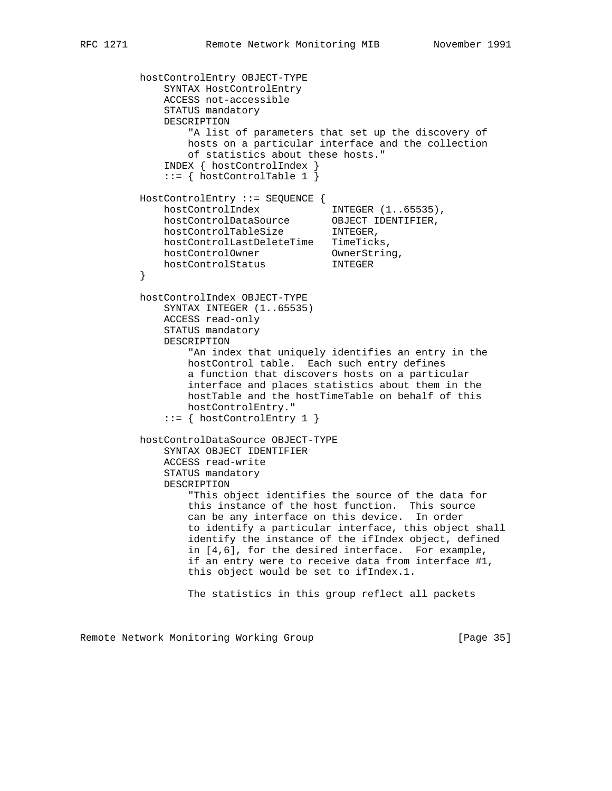hostControlEntry OBJECT-TYPE SYNTAX HostControlEntry ACCESS not-accessible STATUS mandatory DESCRIPTION "A list of parameters that set up the discovery of hosts on a particular interface and the collection of statistics about these hosts." INDEX { hostControlIndex }  $::=$  { hostControlTable 1 } HostControlEntry ::= SEQUENCE { hostControlIndex MINTEGER (1..65535), hostControlDataSource OBJECT IDENTIFIER, hostControlTableSize INTEGER, hostControlLastDeleteTime TimeTicks, hostControlOwner **Confluence** OwnerString, hostControlStatus INTEGER } hostControlIndex OBJECT-TYPE SYNTAX INTEGER (1..65535) ACCESS read-only STATUS mandatory DESCRIPTION "An index that uniquely identifies an entry in the hostControl table. Each such entry defines a function that discovers hosts on a particular interface and places statistics about them in the hostTable and the hostTimeTable on behalf of this hostControlEntry."  $::=$  { hostControlEntry 1 } hostControlDataSource OBJECT-TYPE SYNTAX OBJECT IDENTIFIER ACCESS read-write STATUS mandatory DESCRIPTION "This object identifies the source of the data for this instance of the host function. This source can be any interface on this device. In order to identify a particular interface, this object shall identify the instance of the ifIndex object, defined in [4,6], for the desired interface. For example, if an entry were to receive data from interface #1, this object would be set to ifIndex.1. The statistics in this group reflect all packets

Remote Network Monitoring Working Group [Page 35]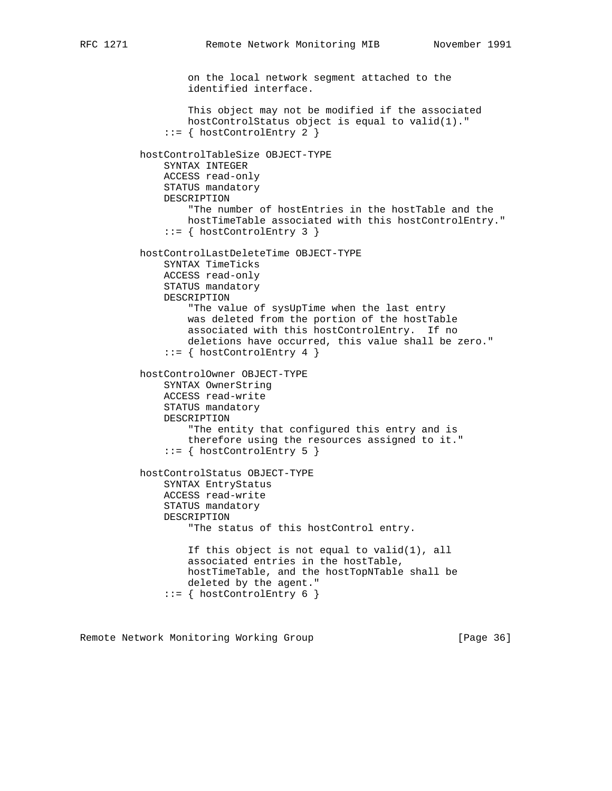on the local network segment attached to the identified interface. This object may not be modified if the associated hostControlStatus object is equal to valid(1)." ::= { hostControlEntry 2 } hostControlTableSize OBJECT-TYPE SYNTAX INTEGER ACCESS read-only STATUS mandatory DESCRIPTION "The number of hostEntries in the hostTable and the hostTimeTable associated with this hostControlEntry." ::= { hostControlEntry 3 } hostControlLastDeleteTime OBJECT-TYPE SYNTAX TimeTicks ACCESS read-only STATUS mandatory DESCRIPTION "The value of sysUpTime when the last entry was deleted from the portion of the hostTable associated with this hostControlEntry. If no deletions have occurred, this value shall be zero."  $::=$  { hostControlEntry 4 } hostControlOwner OBJECT-TYPE SYNTAX OwnerString ACCESS read-write STATUS mandatory DESCRIPTION "The entity that configured this entry and is therefore using the resources assigned to it."  $::=$  { hostControlEntry 5 } hostControlStatus OBJECT-TYPE SYNTAX EntryStatus ACCESS read-write STATUS mandatory DESCRIPTION "The status of this hostControl entry. If this object is not equal to valid(1), all associated entries in the hostTable, hostTimeTable, and the hostTopNTable shall be deleted by the agent." ::= { hostControlEntry 6 }

Remote Network Monitoring Working Group [Page 36]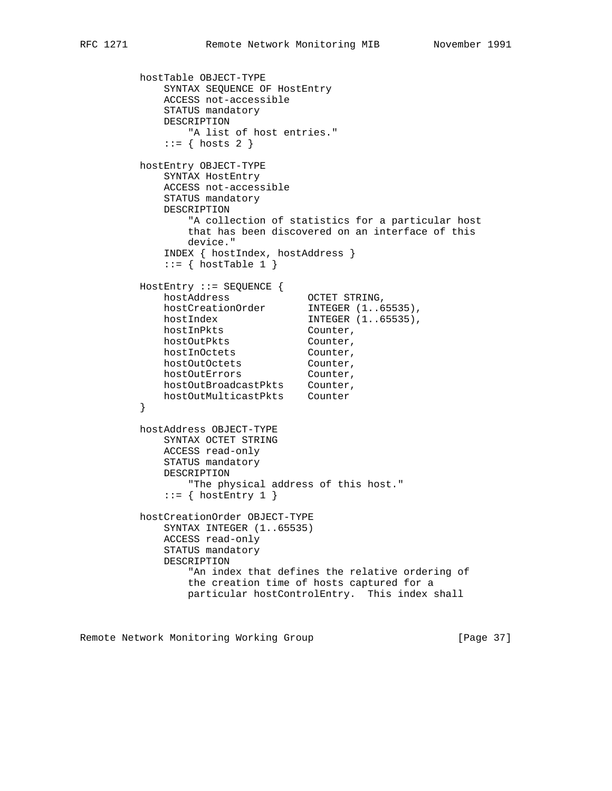```
 hostTable OBJECT-TYPE
            SYNTAX SEQUENCE OF HostEntry
            ACCESS not-accessible
            STATUS mandatory
            DESCRIPTION
               "A list of host entries."
           ::= { hosts 2 }
         hostEntry OBJECT-TYPE
            SYNTAX HostEntry
            ACCESS not-accessible
            STATUS mandatory
            DESCRIPTION
               "A collection of statistics for a particular host
               that has been discovered on an interface of this
               device."
            INDEX { hostIndex, hostAddress }
           ::= { hostTable 1 }
 HostEntry ::= SEQUENCE {
hostAddress OCTET STRING,
hostCreationOrder INTEGER (1..65535),
hostIndex INTEGER (1..65535),
hostInPkts Counter,
hostOutPkts Counter,
hostInOctets Counter,
hostOutOctets Counter,
hostOutErrors Counter,
 hostOutBroadcastPkts Counter,
 hostOutMulticastPkts Counter
 }
         hostAddress OBJECT-TYPE
            SYNTAX OCTET STRING
            ACCESS read-only
            STATUS mandatory
            DESCRIPTION
               "The physical address of this host."
           ::= { hostEntry 1 }
         hostCreationOrder OBJECT-TYPE
            SYNTAX INTEGER (1..65535)
            ACCESS read-only
            STATUS mandatory
            DESCRIPTION
                "An index that defines the relative ordering of
               the creation time of hosts captured for a
               particular hostControlEntry. This index shall
```
Remote Network Monitoring Working Group [Page 37]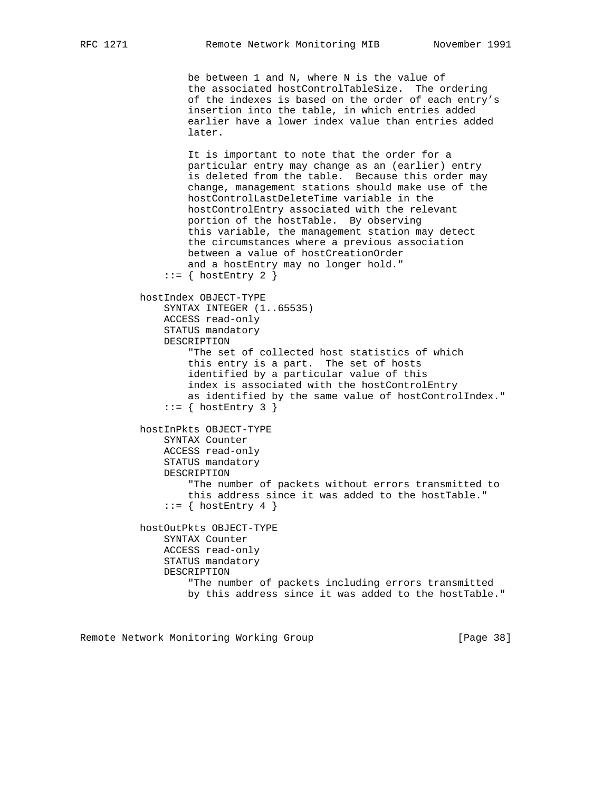be between 1 and N, where N is the value of the associated hostControlTableSize. The ordering of the indexes is based on the order of each entry's insertion into the table, in which entries added earlier have a lower index value than entries added later. It is important to note that the order for a particular entry may change as an (earlier) entry is deleted from the table. Because this order may change, management stations should make use of the hostControlLastDeleteTime variable in the hostControlEntry associated with the relevant portion of the hostTable. By observing this variable, the management station may detect the circumstances where a previous association between a value of hostCreationOrder and a hostEntry may no longer hold."  $::=$  { hostEntry 2 } hostIndex OBJECT-TYPE SYNTAX INTEGER (1..65535) ACCESS read-only STATUS mandatory DESCRIPTION "The set of collected host statistics of which this entry is a part. The set of hosts identified by a particular value of this index is associated with the hostControlEntry as identified by the same value of hostControlIndex."  $::=$  { hostEntry 3 } hostInPkts OBJECT-TYPE SYNTAX Counter ACCESS read-only STATUS mandatory DESCRIPTION "The number of packets without errors transmitted to this address since it was added to the hostTable."  $::=$  { hostEntry 4 } hostOutPkts OBJECT-TYPE SYNTAX Counter ACCESS read-only STATUS mandatory DESCRIPTION "The number of packets including errors transmitted by this address since it was added to the hostTable."

Remote Network Monitoring Working Group [Page 38]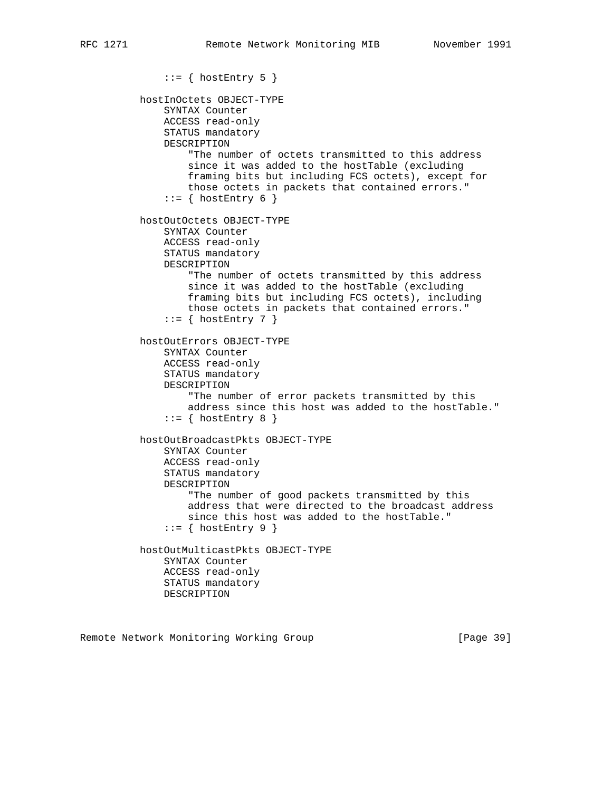$::=$  { hostEntry 5 } hostInOctets OBJECT-TYPE SYNTAX Counter ACCESS read-only STATUS mandatory DESCRIPTION "The number of octets transmitted to this address since it was added to the hostTable (excluding framing bits but including FCS octets), except for those octets in packets that contained errors."  $::=$  { hostEntry 6 } hostOutOctets OBJECT-TYPE SYNTAX Counter ACCESS read-only STATUS mandatory DESCRIPTION "The number of octets transmitted by this address since it was added to the hostTable (excluding framing bits but including FCS octets), including those octets in packets that contained errors."  $::=$  { hostEntry 7 } hostOutErrors OBJECT-TYPE SYNTAX Counter ACCESS read-only STATUS mandatory DESCRIPTION "The number of error packets transmitted by this address since this host was added to the hostTable."  $::=$  { hostEntry 8 } hostOutBroadcastPkts OBJECT-TYPE SYNTAX Counter ACCESS read-only STATUS mandatory DESCRIPTION "The number of good packets transmitted by this address that were directed to the broadcast address since this host was added to the hostTable."  $::=$  { hostEntry 9 } hostOutMulticastPkts OBJECT-TYPE SYNTAX Counter ACCESS read-only STATUS mandatory DESCRIPTION

Remote Network Monitoring Working Group [Page 39]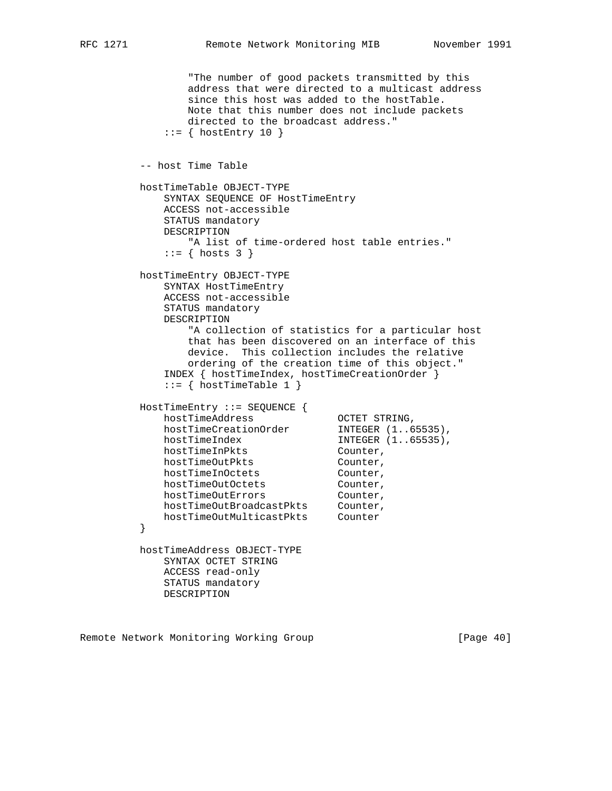"The number of good packets transmitted by this address that were directed to a multicast address since this host was added to the hostTable. Note that this number does not include packets directed to the broadcast address."  $::=$  { hostEntry 10 } -- host Time Table hostTimeTable OBJECT-TYPE SYNTAX SEQUENCE OF HostTimeEntry ACCESS not-accessible STATUS mandatory DESCRIPTION "A list of time-ordered host table entries."  $::=$  { hosts 3 } hostTimeEntry OBJECT-TYPE SYNTAX HostTimeEntry ACCESS not-accessible STATUS mandatory DESCRIPTION "A collection of statistics for a particular host that has been discovered on an interface of this device. This collection includes the relative ordering of the creation time of this object." INDEX { hostTimeIndex, hostTimeCreationOrder }  $::=$  { hostTimeTable 1 } HostTimeEntry ::= SEQUENCE { hostTimeAddress OCTET STRING, hostTimeCreationOrder INTEGER (1..65535), hostTimeIndex INTEGER (1..65535), hostTimeInPkts Counter, hostTimeOutPkts Counter,<br>hostTimeInOctets Counter, hostTimeInOctets Counter, hostTimeOutOctets Counter, hostTimeOutErrors Counter, hostTimeOutBroadcastPkts Counter, hostTimeOutMulticastPkts Counter } hostTimeAddress OBJECT-TYPE SYNTAX OCTET STRING ACCESS read-only STATUS mandatory DESCRIPTION

Remote Network Monitoring Working Group [Page 40]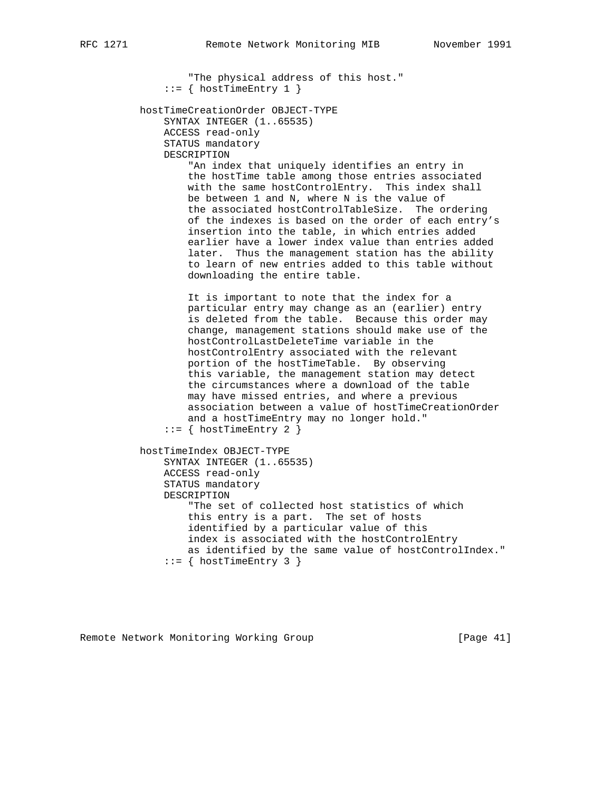"The physical address of this host."  $::=$  { hostTimeEntry 1 }

 hostTimeCreationOrder OBJECT-TYPE SYNTAX INTEGER (1..65535) ACCESS read-only STATUS mandatory DESCRIPTION

> "An index that uniquely identifies an entry in the hostTime table among those entries associated with the same hostControlEntry. This index shall be between 1 and N, where N is the value of the associated hostControlTableSize. The ordering of the indexes is based on the order of each entry's insertion into the table, in which entries added earlier have a lower index value than entries added later. Thus the management station has the ability to learn of new entries added to this table without downloading the entire table.

 It is important to note that the index for a particular entry may change as an (earlier) entry is deleted from the table. Because this order may change, management stations should make use of the hostControlLastDeleteTime variable in the hostControlEntry associated with the relevant portion of the hostTimeTable. By observing this variable, the management station may detect the circumstances where a download of the table may have missed entries, and where a previous association between a value of hostTimeCreationOrder and a hostTimeEntry may no longer hold."  $::=$  { hostTimeEntry 2 }

 hostTimeIndex OBJECT-TYPE SYNTAX INTEGER (1..65535) ACCESS read-only STATUS mandatory DESCRIPTION "The set of collected host statistics of which this entry is a part. The set of hosts identified by a particular value of this index is associated with the hostControlEntry as identified by the same value of hostControlIndex."  $::=$  { hostTimeEntry 3 }

Remote Network Monitoring Working Group [Page 41]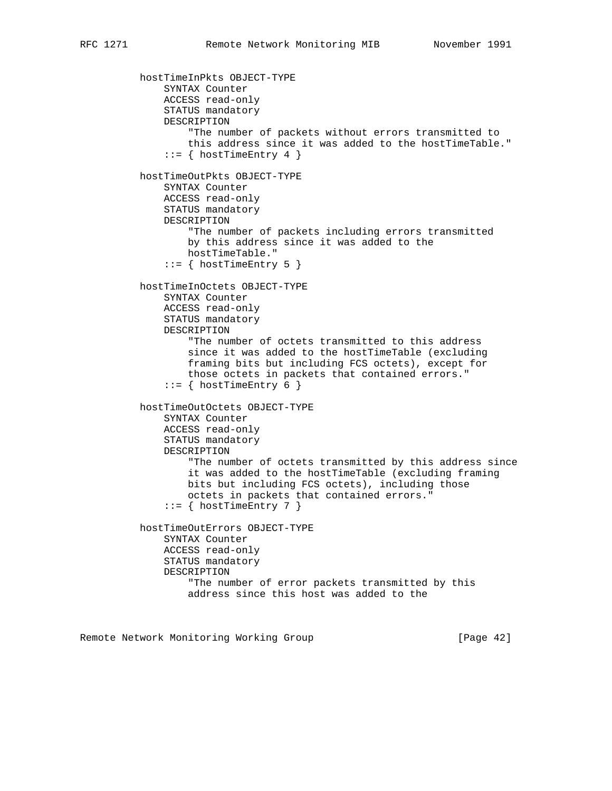hostTimeInPkts OBJECT-TYPE SYNTAX Counter ACCESS read-only STATUS mandatory DESCRIPTION "The number of packets without errors transmitted to this address since it was added to the hostTimeTable."  $::=$  { hostTimeEntry 4 } hostTimeOutPkts OBJECT-TYPE SYNTAX Counter ACCESS read-only STATUS mandatory DESCRIPTION "The number of packets including errors transmitted by this address since it was added to the hostTimeTable."  $::=$  { hostTimeEntry 5 } hostTimeInOctets OBJECT-TYPE SYNTAX Counter ACCESS read-only STATUS mandatory DESCRIPTION "The number of octets transmitted to this address since it was added to the hostTimeTable (excluding framing bits but including FCS octets), except for those octets in packets that contained errors."  $::=$  { hostTimeEntry 6 } hostTimeOutOctets OBJECT-TYPE SYNTAX Counter ACCESS read-only STATUS mandatory DESCRIPTION "The number of octets transmitted by this address since it was added to the hostTimeTable (excluding framing bits but including FCS octets), including those octets in packets that contained errors."  $::=$  { hostTimeEntry 7 } hostTimeOutErrors OBJECT-TYPE SYNTAX Counter ACCESS read-only STATUS mandatory DESCRIPTION "The number of error packets transmitted by this address since this host was added to the

Remote Network Monitoring Working Group [Page 42]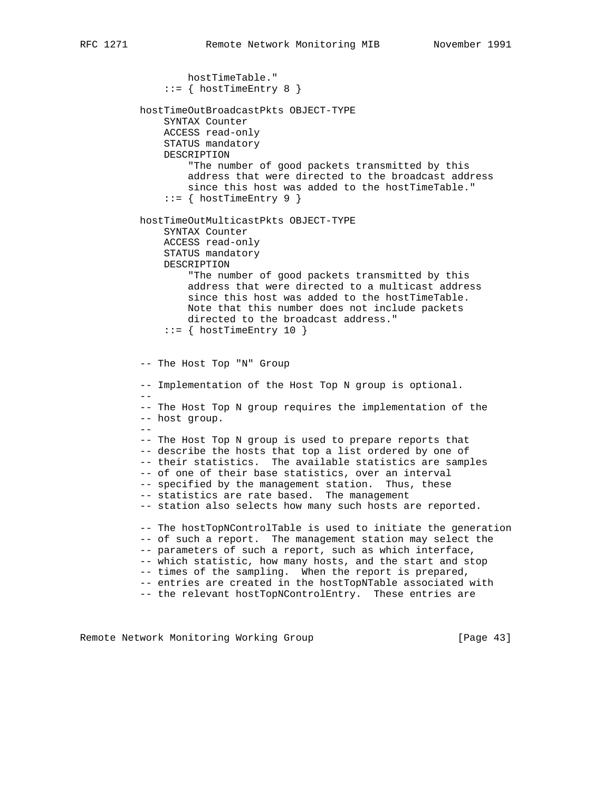```
 hostTimeTable."
              ::= { hostTimeEntry 8 }
          hostTimeOutBroadcastPkts OBJECT-TYPE
               SYNTAX Counter
               ACCESS read-only
               STATUS mandatory
               DESCRIPTION
                   "The number of good packets transmitted by this
                   address that were directed to the broadcast address
                   since this host was added to the hostTimeTable."
              ::= { hostTimeEntry 9 }
          hostTimeOutMulticastPkts OBJECT-TYPE
               SYNTAX Counter
               ACCESS read-only
               STATUS mandatory
              DESCRIPTION
                   "The number of good packets transmitted by this
                   address that were directed to a multicast address
                   since this host was added to the hostTimeTable.
                  Note that this number does not include packets
                  directed to the broadcast address."
              ::= { hostTimeEntry 10 }
           -- The Host Top "N" Group
          -- Implementation of the Host Top N group is optional.
 --
          -- The Host Top N group requires the implementation of the
          -- host group.
          --
          -- The Host Top N group is used to prepare reports that
          -- describe the hosts that top a list ordered by one of
          -- their statistics. The available statistics are samples
          -- of one of their base statistics, over an interval
          -- specified by the management station. Thus, these
          -- statistics are rate based. The management
          -- station also selects how many such hosts are reported.
          -- The hostTopNControlTable is used to initiate the generation
          -- of such a report. The management station may select the
          -- parameters of such a report, such as which interface,
          -- which statistic, how many hosts, and the start and stop
          -- times of the sampling. When the report is prepared,
          -- entries are created in the hostTopNTable associated with
          -- the relevant hostTopNControlEntry. These entries are
```
Remote Network Monitoring Working Group [Page 43]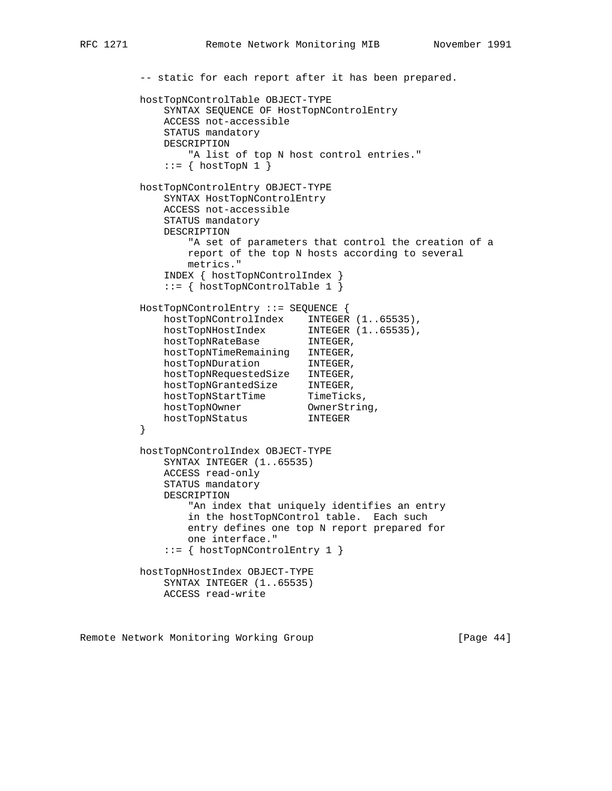-- static for each report after it has been prepared. hostTopNControlTable OBJECT-TYPE SYNTAX SEQUENCE OF HostTopNControlEntry ACCESS not-accessible STATUS mandatory DESCRIPTION "A list of top N host control entries."  $::=$  { hostTopN 1 } hostTopNControlEntry OBJECT-TYPE SYNTAX HostTopNControlEntry ACCESS not-accessible STATUS mandatory DESCRIPTION "A set of parameters that control the creation of a report of the top N hosts according to several metrics." INDEX { hostTopNControlIndex } ::= { hostTopNControlTable 1 } HostTopNControlEntry ::= SEQUENCE { hostTopNControlIndex INTEGER (1..65535), hostTopNHostIndex INTEGER (1..65535), hostTopNRateBase INTEGER, hostTopNTimeRemaining INTEGER, hostTopNDuration INTEGER, hostTopNRequestedSize INTEGER, hostTopNGrantedSize INTEGER,<br>hostTopNStartTime TimeTick hostIopNStartTime TimeTicks,<br>hostTopNStartTime TimeTicks, hostTopNOwner **OwnerString**,<br>hostTopNStatus INTEGER hostTopNStatus } hostTopNControlIndex OBJECT-TYPE SYNTAX INTEGER (1..65535) ACCESS read-only STATUS mandatory DESCRIPTION "An index that uniquely identifies an entry in the hostTopNControl table. Each such entry defines one top N report prepared for one interface." ::= { hostTopNControlEntry 1 } hostTopNHostIndex OBJECT-TYPE SYNTAX INTEGER (1..65535) ACCESS read-write

Remote Network Monitoring Working Group [976] [Page 44]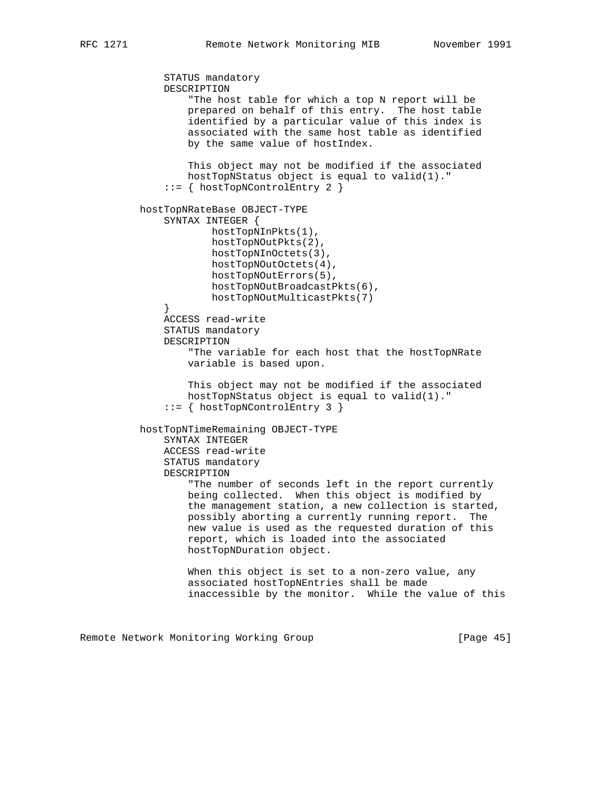```
 STATUS mandatory
               DESCRIPTION
                   "The host table for which a top N report will be
                   prepared on behalf of this entry. The host table
                   identified by a particular value of this index is
                   associated with the same host table as identified
                   by the same value of hostIndex.
                   This object may not be modified if the associated
                  hostTopNStatus object is equal to valid(1)."
               ::= { hostTopNControlEntry 2 }
          hostTopNRateBase OBJECT-TYPE
               SYNTAX INTEGER {
                       hostTopNInPkts(1),
                       hostTopNOutPkts(2),
                       hostTopNInOctets(3),
                       hostTopNOutOctets(4),
                       hostTopNOutErrors(5),
                       hostTopNOutBroadcastPkts(6),
                       hostTopNOutMulticastPkts(7)
 }
               ACCESS read-write
               STATUS mandatory
               DESCRIPTION
                   "The variable for each host that the hostTopNRate
                   variable is based upon.
                   This object may not be modified if the associated
                   hostTopNStatus object is equal to valid(1)."
               ::= { hostTopNControlEntry 3 }
          hostTopNTimeRemaining OBJECT-TYPE
               SYNTAX INTEGER
               ACCESS read-write
               STATUS mandatory
               DESCRIPTION
                   "The number of seconds left in the report currently
                   being collected. When this object is modified by
                   the management station, a new collection is started,
                   possibly aborting a currently running report. The
                   new value is used as the requested duration of this
                   report, which is loaded into the associated
                   hostTopNDuration object.
                  When this object is set to a non-zero value, any
                   associated hostTopNEntries shall be made
                   inaccessible by the monitor. While the value of this
```
Remote Network Monitoring Working Group [Page 45]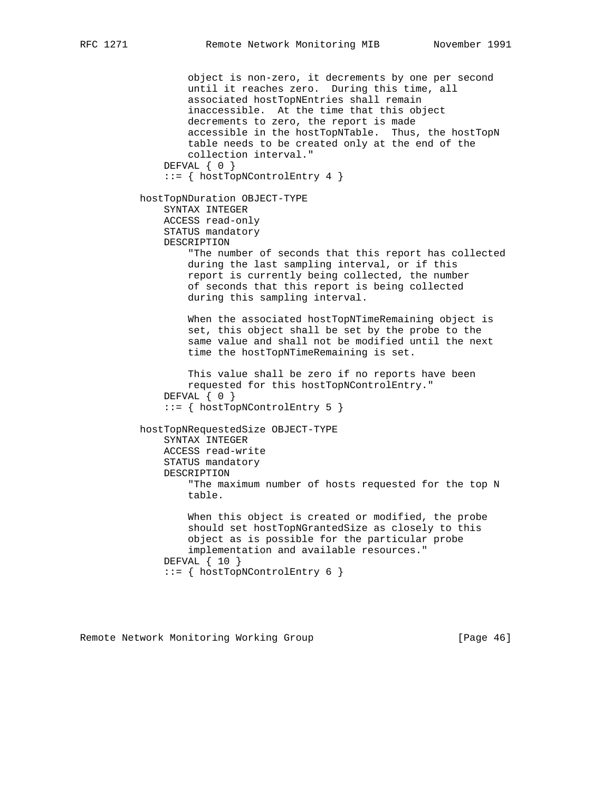object is non-zero, it decrements by one per second until it reaches zero. During this time, all associated hostTopNEntries shall remain inaccessible. At the time that this object decrements to zero, the report is made accessible in the hostTopNTable. Thus, the hostTopN table needs to be created only at the end of the collection interval." DEFVAL { 0 } ::= { hostTopNControlEntry 4 } hostTopNDuration OBJECT-TYPE SYNTAX INTEGER ACCESS read-only STATUS mandatory DESCRIPTION "The number of seconds that this report has collected during the last sampling interval, or if this report is currently being collected, the number of seconds that this report is being collected during this sampling interval. When the associated hostTopNTimeRemaining object is set, this object shall be set by the probe to the same value and shall not be modified until the next time the hostTopNTimeRemaining is set. This value shall be zero if no reports have been requested for this hostTopNControlEntry." DEFVAL { 0 } ::= { hostTopNControlEntry 5 } hostTopNRequestedSize OBJECT-TYPE SYNTAX INTEGER ACCESS read-write STATUS mandatory DESCRIPTION "The maximum number of hosts requested for the top N table. When this object is created or modified, the probe should set hostTopNGrantedSize as closely to this object as is possible for the particular probe implementation and available resources." DEFVAL { 10 } ::= { hostTopNControlEntry 6 }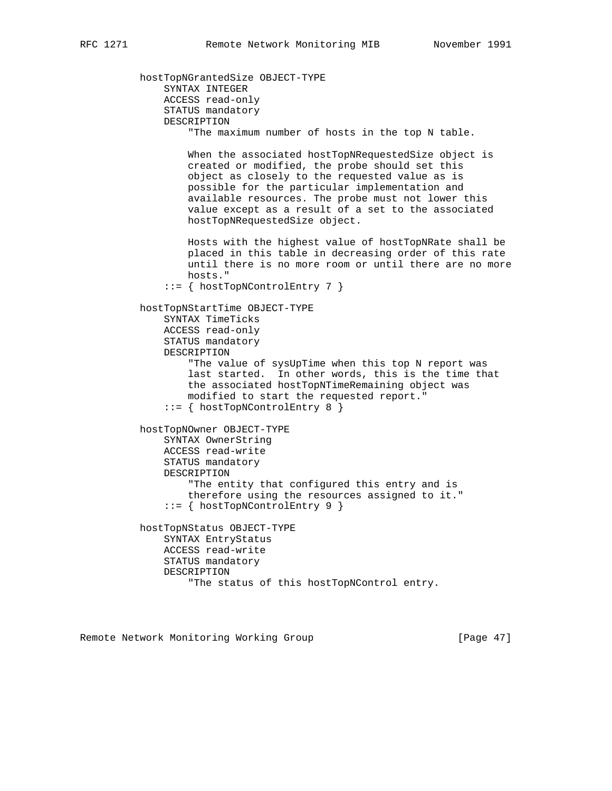hostTopNGrantedSize OBJECT-TYPE SYNTAX INTEGER ACCESS read-only STATUS mandatory DESCRIPTION "The maximum number of hosts in the top N table. When the associated hostTopNRequestedSize object is created or modified, the probe should set this object as closely to the requested value as is possible for the particular implementation and available resources. The probe must not lower this value except as a result of a set to the associated hostTopNRequestedSize object. Hosts with the highest value of hostTopNRate shall be placed in this table in decreasing order of this rate until there is no more room or until there are no more hosts." ::= { hostTopNControlEntry 7 } hostTopNStartTime OBJECT-TYPE SYNTAX TimeTicks ACCESS read-only STATUS mandatory DESCRIPTION "The value of sysUpTime when this top N report was last started. In other words, this is the time that the associated hostTopNTimeRemaining object was modified to start the requested report." ::= { hostTopNControlEntry 8 } hostTopNOwner OBJECT-TYPE SYNTAX OwnerString ACCESS read-write STATUS mandatory DESCRIPTION "The entity that configured this entry and is therefore using the resources assigned to it." ::= { hostTopNControlEntry 9 } hostTopNStatus OBJECT-TYPE SYNTAX EntryStatus ACCESS read-write STATUS mandatory DESCRIPTION "The status of this hostTopNControl entry.

Remote Network Monitoring Working Group [Page 47]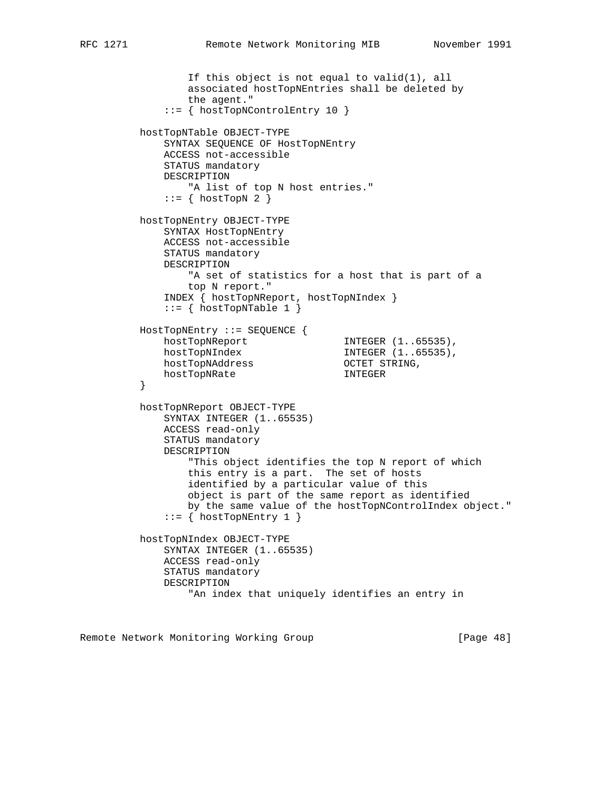```
 If this object is not equal to valid(1), all
                    associated hostTopNEntries shall be deleted by
                    the agent."
                ::= { hostTopNControlEntry 10 }
           hostTopNTable OBJECT-TYPE
                SYNTAX SEQUENCE OF HostTopNEntry
                ACCESS not-accessible
                STATUS mandatory
                DESCRIPTION
                    "A list of top N host entries."
               ::= { hostTopN 2 }
           hostTopNEntry OBJECT-TYPE
                SYNTAX HostTopNEntry
                ACCESS not-accessible
                STATUS mandatory
                DESCRIPTION
                    "A set of statistics for a host that is part of a
                    top N report."
                INDEX { hostTopNReport, hostTopNIndex }
               ::= { hostTopNTable 1 }
           HostTopNEntry ::= SEQUENCE {
               hostTopNReport INTEGER (1..65535),<br>https://www.integer.com/www.integer.com/www.integer.com/www.integer.com/
               hostTopNIndex INTEGER (1..65535),<br>hostTopNAddress OCTET STRING,
              hostIopNIndex<br>hostTopNAddress<br>hestWarNPate
           hostTopNRate INTEGER<br>}
 }
           hostTopNReport OBJECT-TYPE
                SYNTAX INTEGER (1..65535)
                ACCESS read-only
                STATUS mandatory
                DESCRIPTION
                    "This object identifies the top N report of which
                    this entry is a part. The set of hosts
                    identified by a particular value of this
                    object is part of the same report as identified
                    by the same value of the hostTopNControlIndex object."
               ::= \{ hostTopNEntry 1 \} hostTopNIndex OBJECT-TYPE
                SYNTAX INTEGER (1..65535)
                ACCESS read-only
                STATUS mandatory
                DESCRIPTION
                    "An index that uniquely identifies an entry in
```
Remote Network Monitoring Working Group [Page 48]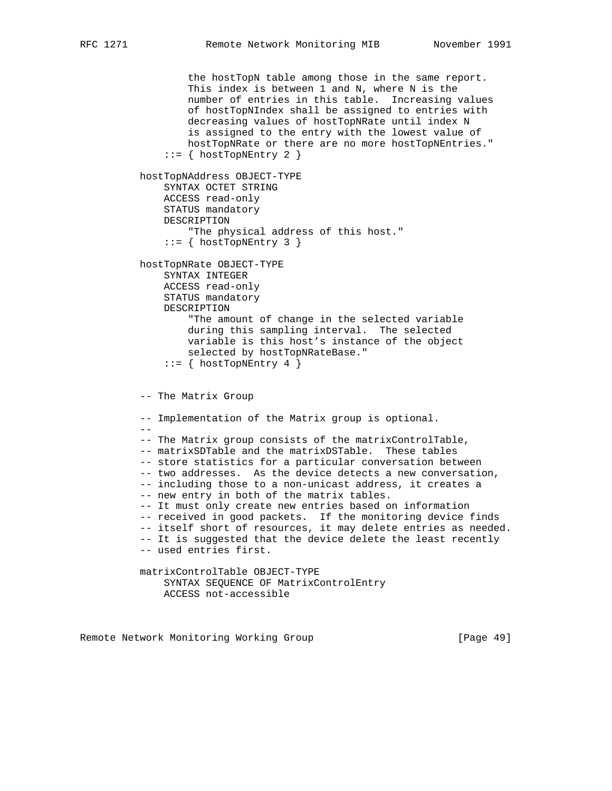the hostTopN table among those in the same report. This index is between 1 and N, where N is the number of entries in this table. Increasing values of hostTopNIndex shall be assigned to entries with decreasing values of hostTopNRate until index N is assigned to the entry with the lowest value of hostTopNRate or there are no more hostTopNEntries."  $::=$  { hostTopNEntry 2 } hostTopNAddress OBJECT-TYPE SYNTAX OCTET STRING ACCESS read-only STATUS mandatory DESCRIPTION "The physical address of this host."  $::=$  { hostTopNEntry 3 } hostTopNRate OBJECT-TYPE SYNTAX INTEGER ACCESS read-only STATUS mandatory DESCRIPTION "The amount of change in the selected variable during this sampling interval. The selected variable is this host's instance of the object selected by hostTopNRateBase."  $::=$  { hostTopNEntry 4 } -- The Matrix Group -- Implementation of the Matrix group is optional.  $-$  -- The Matrix group consists of the matrixControlTable, -- matrixSDTable and the matrixDSTable. These tables -- store statistics for a particular conversation between -- two addresses. As the device detects a new conversation, -- including those to a non-unicast address, it creates a -- new entry in both of the matrix tables. -- It must only create new entries based on information -- received in good packets. If the monitoring device finds -- itself short of resources, it may delete entries as needed. -- It is suggested that the device delete the least recently -- used entries first. matrixControlTable OBJECT-TYPE SYNTAX SEQUENCE OF MatrixControlEntry ACCESS not-accessible

Remote Network Monitoring Working Group [Page 49]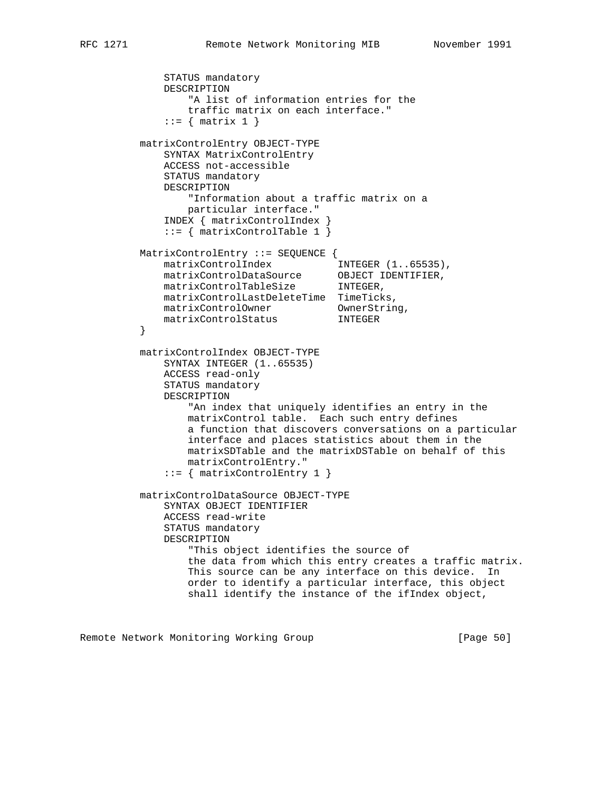```
 STATUS mandatory
              DESCRIPTION
                  "A list of information entries for the
                  traffic matrix on each interface."
             ::= { matrix 1 }
          matrixControlEntry OBJECT-TYPE
              SYNTAX MatrixControlEntry
              ACCESS not-accessible
              STATUS mandatory
              DESCRIPTION
                 "Information about a traffic matrix on a
                 particular interface."
              INDEX { matrixControlIndex }
              ::= { matrixControlTable 1 }
          MatrixControlEntry ::= SEQUENCE {
matrixControlIndex INTEGER (1..65535),
 matrixControlDataSource OBJECT IDENTIFIER,
matrixControlTableSize INTEGER,
             matrixControlLastDeleteTime TimeTicks,
matrixControlOwner Confluence OwnerString,
 matrixControlStatus INTEGER
 }
          matrixControlIndex OBJECT-TYPE
              SYNTAX INTEGER (1..65535)
              ACCESS read-only
              STATUS mandatory
              DESCRIPTION
                  "An index that uniquely identifies an entry in the
                 matrixControl table. Each such entry defines
                  a function that discovers conversations on a particular
                 interface and places statistics about them in the
                 matrixSDTable and the matrixDSTable on behalf of this
                 matrixControlEntry."
              ::= { matrixControlEntry 1 }
          matrixControlDataSource OBJECT-TYPE
              SYNTAX OBJECT IDENTIFIER
              ACCESS read-write
              STATUS mandatory
              DESCRIPTION
                  "This object identifies the source of
                  the data from which this entry creates a traffic matrix.
                  This source can be any interface on this device. In
                 order to identify a particular interface, this object
                 shall identify the instance of the ifIndex object,
```
Remote Network Monitoring Working Group [Page 50]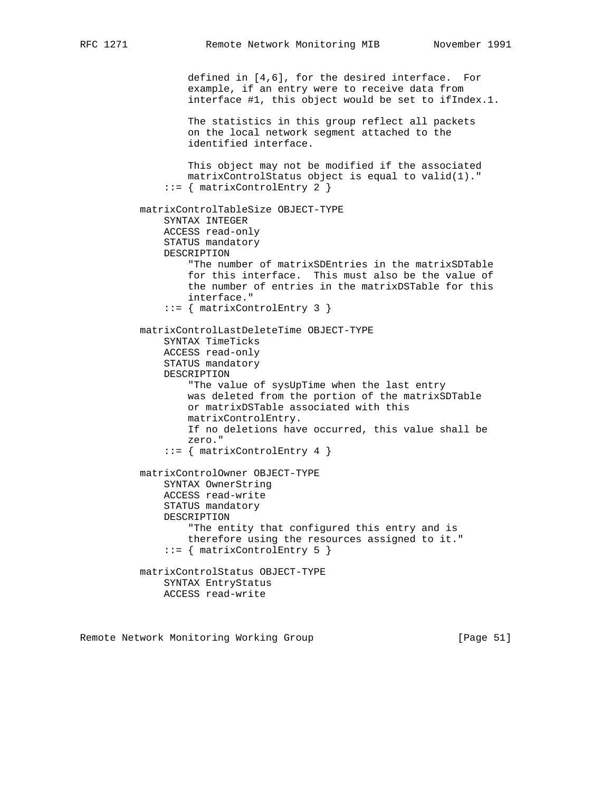defined in [4,6], for the desired interface. For example, if an entry were to receive data from interface #1, this object would be set to ifIndex.1. The statistics in this group reflect all packets on the local network segment attached to the identified interface. This object may not be modified if the associated matrixControlStatus object is equal to valid(1)." ::= { matrixControlEntry 2 } matrixControlTableSize OBJECT-TYPE SYNTAX INTEGER ACCESS read-only STATUS mandatory DESCRIPTION "The number of matrixSDEntries in the matrixSDTable for this interface. This must also be the value of the number of entries in the matrixDSTable for this interface." ::= { matrixControlEntry 3 } matrixControlLastDeleteTime OBJECT-TYPE SYNTAX TimeTicks ACCESS read-only STATUS mandatory DESCRIPTION "The value of sysUpTime when the last entry was deleted from the portion of the matrixSDTable or matrixDSTable associated with this matrixControlEntry. If no deletions have occurred, this value shall be zero." ::= { matrixControlEntry 4 } matrixControlOwner OBJECT-TYPE SYNTAX OwnerString ACCESS read-write STATUS mandatory DESCRIPTION "The entity that configured this entry and is therefore using the resources assigned to it."  $::=$  { matrixControlEntry 5 } matrixControlStatus OBJECT-TYPE SYNTAX EntryStatus ACCESS read-write

Remote Network Monitoring Working Group [Page 51]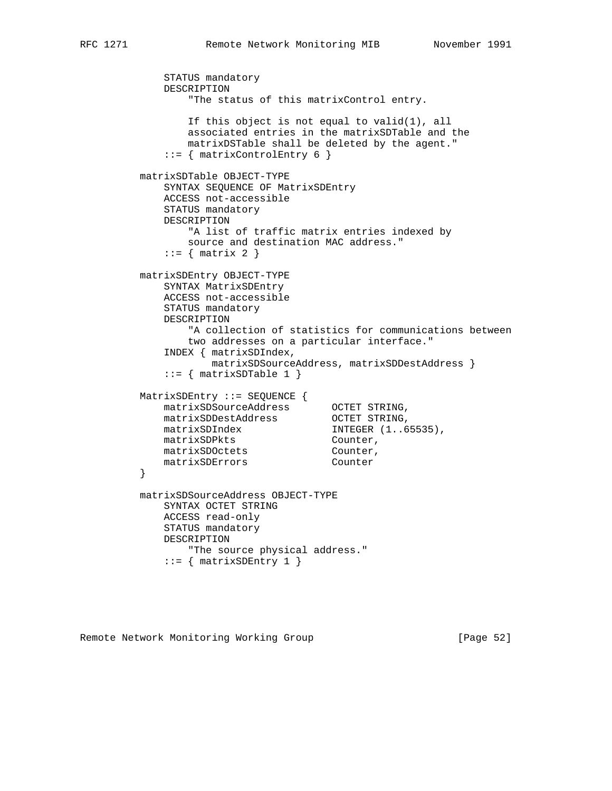STATUS mandatory DESCRIPTION "The status of this matrixControl entry. If this object is not equal to valid(1), all associated entries in the matrixSDTable and the matrixDSTable shall be deleted by the agent." ::= { matrixControlEntry 6 } matrixSDTable OBJECT-TYPE SYNTAX SEQUENCE OF MatrixSDEntry ACCESS not-accessible STATUS mandatory DESCRIPTION "A list of traffic matrix entries indexed by source and destination MAC address."  $::=$  { matrix 2 } matrixSDEntry OBJECT-TYPE SYNTAX MatrixSDEntry ACCESS not-accessible STATUS mandatory DESCRIPTION "A collection of statistics for communications between two addresses on a particular interface." INDEX { matrixSDIndex, matrixSDSourceAddress, matrixSDDestAddress }  $::=$  { matrixSDTable 1 } MatrixSDEntry ::= SEQUENCE { matrixSDSourceAddress OCTET STRING, matrixSDDestAddress OCTET STRING, matrixSDIndex **INTEGER** (1..65535), matrixSDPkts Counter, matrixSDOctets Counter, matrixSDErrors Counter } matrixSDSourceAddress OBJECT-TYPE SYNTAX OCTET STRING ACCESS read-only STATUS mandatory DESCRIPTION "The source physical address."  $::=$  { matrixSDEntry 1 }

Remote Network Monitoring Working Group [Page 52]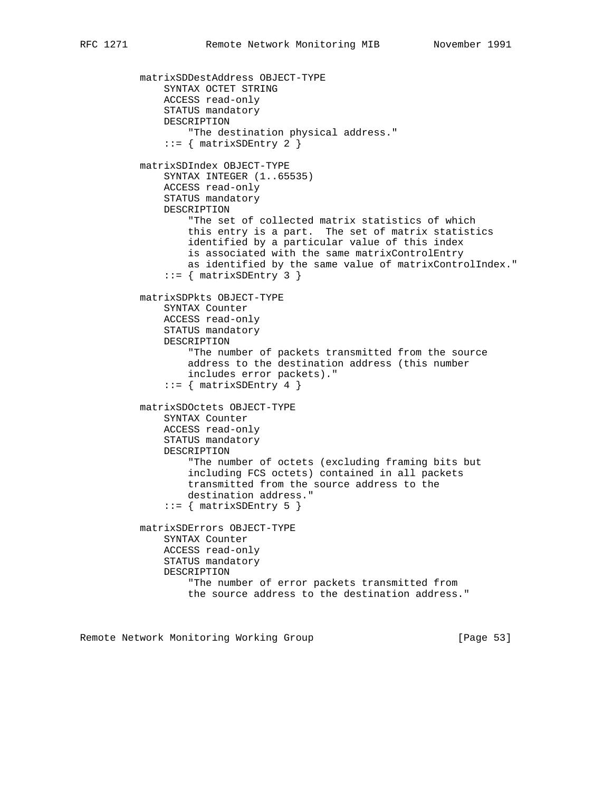```
 matrixSDDestAddress OBJECT-TYPE
     SYNTAX OCTET STRING
     ACCESS read-only
     STATUS mandatory
     DESCRIPTION
         "The destination physical address."
    ::= { matrixSDEntry 2 }
 matrixSDIndex OBJECT-TYPE
    SYNTAX INTEGER (1..65535)
    ACCESS read-only
     STATUS mandatory
     DESCRIPTION
         "The set of collected matrix statistics of which
         this entry is a part. The set of matrix statistics
         identified by a particular value of this index
         is associated with the same matrixControlEntry
         as identified by the same value of matrixControlIndex."
    ::= { matrixSDEntry 3 }
 matrixSDPkts OBJECT-TYPE
     SYNTAX Counter
     ACCESS read-only
     STATUS mandatory
     DESCRIPTION
         "The number of packets transmitted from the source
         address to the destination address (this number
         includes error packets)."
    ::= { matrixSDEntry 4 }
 matrixSDOctets OBJECT-TYPE
     SYNTAX Counter
     ACCESS read-only
     STATUS mandatory
     DESCRIPTION
         "The number of octets (excluding framing bits but
         including FCS octets) contained in all packets
         transmitted from the source address to the
         destination address."
    ::= { matrixSDEntry 5 }
 matrixSDErrors OBJECT-TYPE
     SYNTAX Counter
     ACCESS read-only
     STATUS mandatory
     DESCRIPTION
         "The number of error packets transmitted from
         the source address to the destination address."
```
Remote Network Monitoring Working Group [Page 53]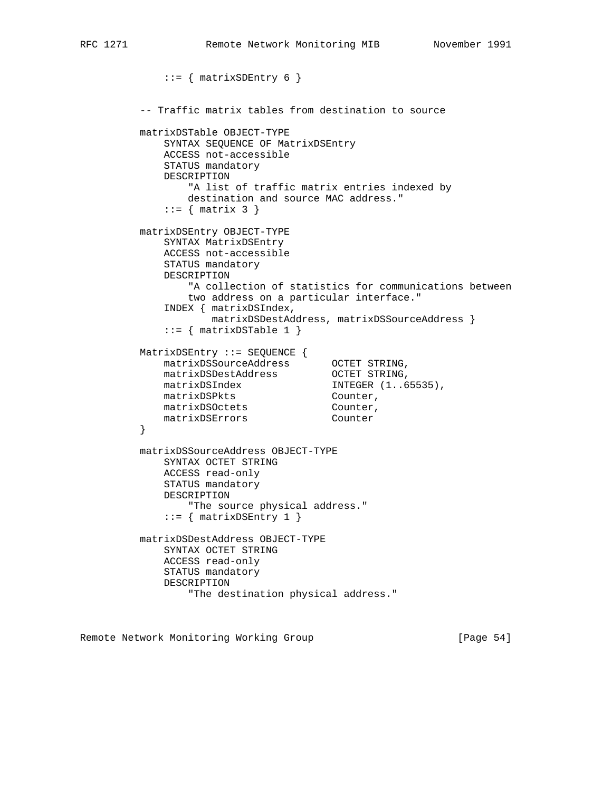```
::= { matrixSDEntry 6 }
          -- Traffic matrix tables from destination to source
         matrixDSTable OBJECT-TYPE
             SYNTAX SEQUENCE OF MatrixDSEntry
             ACCESS not-accessible
             STATUS mandatory
             DESCRIPTION
                 "A list of traffic matrix entries indexed by
                 destination and source MAC address."
            ::= { matrix 3 }
         matrixDSEntry OBJECT-TYPE
             SYNTAX MatrixDSEntry
             ACCESS not-accessible
             STATUS mandatory
             DESCRIPTION
                 "A collection of statistics for communications between
                 two address on a particular interface."
             INDEX { matrixDSIndex,
                    matrixDSDestAddress, matrixDSSourceAddress }
            ::= { matrixDSTable 1 }
 MatrixDSEntry ::= SEQUENCE {
matrixDSSourceAddress OCTET STRING,
matrixDSDestAddress OCTET STRING,
matrixDSIndex INTEGER (1..65535),
matrixDSPkts Counter,
            matrixDSOctets Counter,
             matrixDSErrors Counter
 }
         matrixDSSourceAddress OBJECT-TYPE
             SYNTAX OCTET STRING
             ACCESS read-only
             STATUS mandatory
             DESCRIPTION
                "The source physical address."
            ::= { matrixDSEntry 1 }
         matrixDSDestAddress OBJECT-TYPE
             SYNTAX OCTET STRING
             ACCESS read-only
             STATUS mandatory
             DESCRIPTION
                 "The destination physical address."
```
Remote Network Monitoring Working Group [Page 54]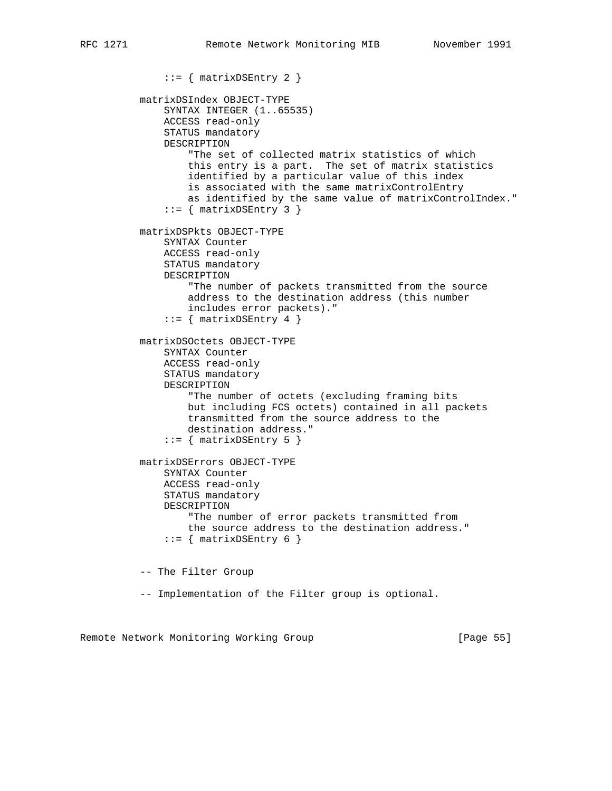```
 ::= { matrixDSEntry 2 }
 matrixDSIndex OBJECT-TYPE
     SYNTAX INTEGER (1..65535)
     ACCESS read-only
     STATUS mandatory
     DESCRIPTION
         "The set of collected matrix statistics of which
         this entry is a part. The set of matrix statistics
         identified by a particular value of this index
         is associated with the same matrixControlEntry
         as identified by the same value of matrixControlIndex."
    ::= { matrixDSEntry 3 }
 matrixDSPkts OBJECT-TYPE
     SYNTAX Counter
     ACCESS read-only
     STATUS mandatory
     DESCRIPTION
         "The number of packets transmitted from the source
         address to the destination address (this number
         includes error packets)."
    ::= { matrixDSEntry 4 }
 matrixDSOctets OBJECT-TYPE
     SYNTAX Counter
     ACCESS read-only
     STATUS mandatory
     DESCRIPTION
         "The number of octets (excluding framing bits
         but including FCS octets) contained in all packets
         transmitted from the source address to the
         destination address."
    ::= { matrixDSEntry 5 }
 matrixDSErrors OBJECT-TYPE
     SYNTAX Counter
     ACCESS read-only
     STATUS mandatory
     DESCRIPTION
         "The number of error packets transmitted from
         the source address to the destination address."
    ::= { matrixDSEntry 6 }
 -- The Filter Group
 -- Implementation of the Filter group is optional.
```
Remote Network Monitoring Working Group [Page 55]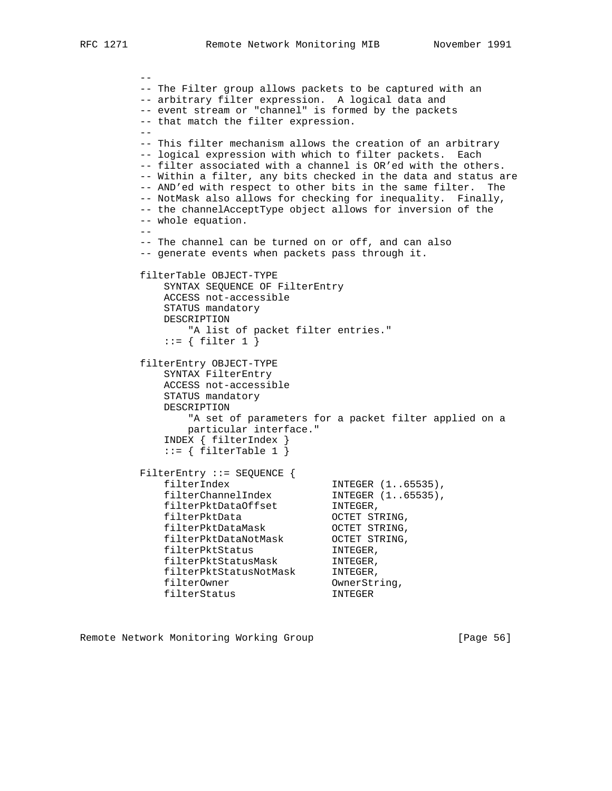```
 --
         -- The Filter group allows packets to be captured with an
         -- arbitrary filter expression. A logical data and
         -- event stream or "channel" is formed by the packets
         -- that match the filter expression.
 --
         -- This filter mechanism allows the creation of an arbitrary
         -- logical expression with which to filter packets. Each
         -- filter associated with a channel is OR'ed with the others.
         -- Within a filter, any bits checked in the data and status are
         -- AND'ed with respect to other bits in the same filter. The
         -- NotMask also allows for checking for inequality. Finally,
         -- the channelAcceptType object allows for inversion of the
         -- whole equation.
 --
         -- The channel can be turned on or off, and can also
         -- generate events when packets pass through it.
         filterTable OBJECT-TYPE
             SYNTAX SEQUENCE OF FilterEntry
             ACCESS not-accessible
             STATUS mandatory
             DESCRIPTION
                 "A list of packet filter entries."
             ::= { filter 1 }
         filterEntry OBJECT-TYPE
             SYNTAX FilterEntry
             ACCESS not-accessible
             STATUS mandatory
             DESCRIPTION
                 "A set of parameters for a packet filter applied on a
                particular interface."
             INDEX { filterIndex }
            ::= { filterTable 1 }
        FilterEntry ::= SEQUENCE {
filterIndex INTEGER (1..65535),
 filterChannelIndex INTEGER (1..65535),
filterPktDataOffset INTEGER,
filterPktData CCTET STRING,
filterPktDataMask OCTET STRING,
            FilterFRebaca<br>
filterPktDataMask OCTET STRING,<br>
filterPktStatus INTEGER,<br>
filterPktStatus INTEGER,
filterPktStatus INTEGER,
 filterPktStatusMask INTEGER,
 filterPktStatusNotMask INTEGER,
filterOwner CwnerString,
             filterStatus INTEGER
```
Remote Network Monitoring Working Group [Page 56]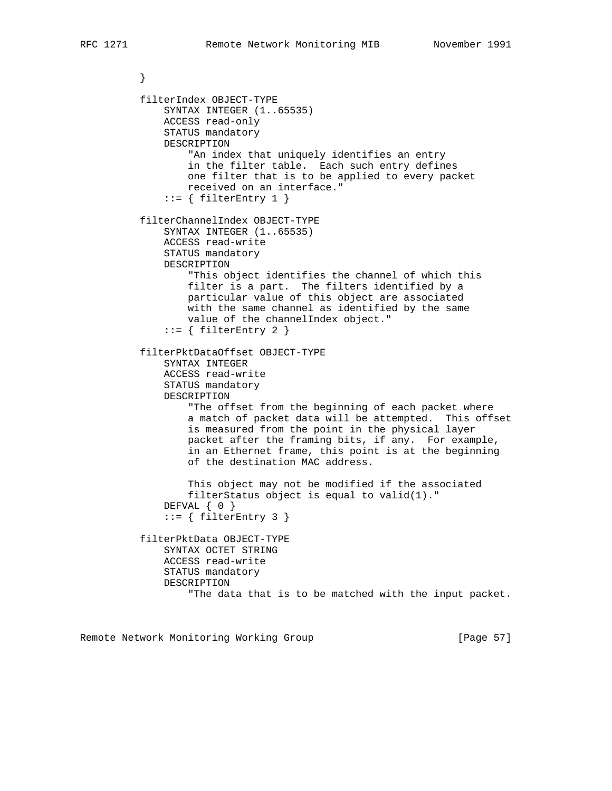} filterIndex OBJECT-TYPE SYNTAX INTEGER (1..65535) ACCESS read-only STATUS mandatory DESCRIPTION "An index that uniquely identifies an entry in the filter table. Each such entry defines one filter that is to be applied to every packet received on an interface."  $::=$  { filterEntry 1 } filterChannelIndex OBJECT-TYPE SYNTAX INTEGER (1..65535) ACCESS read-write STATUS mandatory DESCRIPTION "This object identifies the channel of which this filter is a part. The filters identified by a particular value of this object are associated with the same channel as identified by the same value of the channelIndex object." ::= { filterEntry 2 } filterPktDataOffset OBJECT-TYPE SYNTAX INTEGER ACCESS read-write STATUS mandatory DESCRIPTION "The offset from the beginning of each packet where a match of packet data will be attempted. This offset is measured from the point in the physical layer packet after the framing bits, if any. For example, in an Ethernet frame, this point is at the beginning of the destination MAC address. This object may not be modified if the associated filterStatus object is equal to valid(1)." DEFVAL { 0 }  $::=$  { filterEntry 3 } filterPktData OBJECT-TYPE SYNTAX OCTET STRING ACCESS read-write STATUS mandatory DESCRIPTION "The data that is to be matched with the input packet.

Remote Network Monitoring Working Group [Page 57]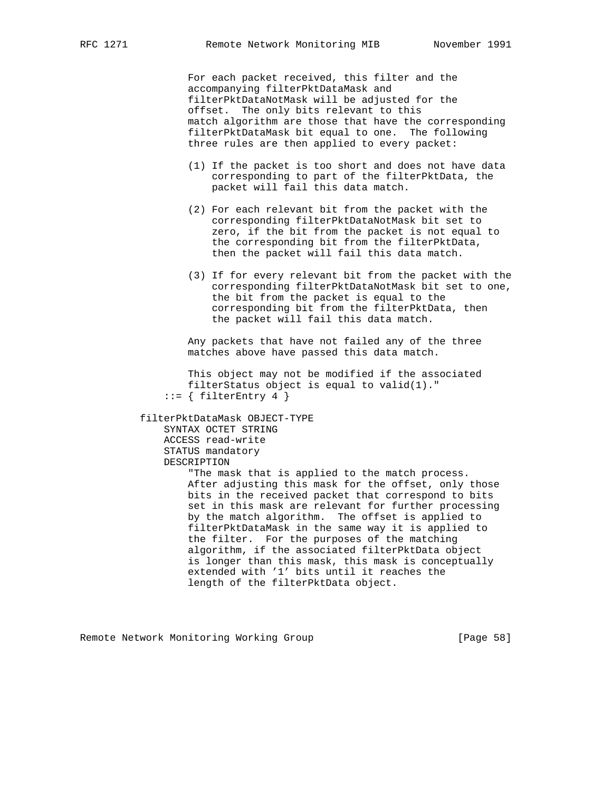For each packet received, this filter and the accompanying filterPktDataMask and filterPktDataNotMask will be adjusted for the offset. The only bits relevant to this match algorithm are those that have the corresponding filterPktDataMask bit equal to one. The following three rules are then applied to every packet:

- (1) If the packet is too short and does not have data corresponding to part of the filterPktData, the packet will fail this data match.
- (2) For each relevant bit from the packet with the corresponding filterPktDataNotMask bit set to zero, if the bit from the packet is not equal to the corresponding bit from the filterPktData, then the packet will fail this data match.
- (3) If for every relevant bit from the packet with the corresponding filterPktDataNotMask bit set to one, the bit from the packet is equal to the corresponding bit from the filterPktData, then the packet will fail this data match.

 Any packets that have not failed any of the three matches above have passed this data match.

 This object may not be modified if the associated filterStatus object is equal to valid(1)."  $::=$  { filterEntry 4 }

 filterPktDataMask OBJECT-TYPE SYNTAX OCTET STRING ACCESS read-write STATUS mandatory DESCRIPTION "The mask that is applied to the match process.

 After adjusting this mask for the offset, only those bits in the received packet that correspond to bits set in this mask are relevant for further processing by the match algorithm. The offset is applied to filterPktDataMask in the same way it is applied to the filter. For the purposes of the matching algorithm, if the associated filterPktData object is longer than this mask, this mask is conceptually extended with '1' bits until it reaches the length of the filterPktData object.

Remote Network Monitoring Working Group [Page 58]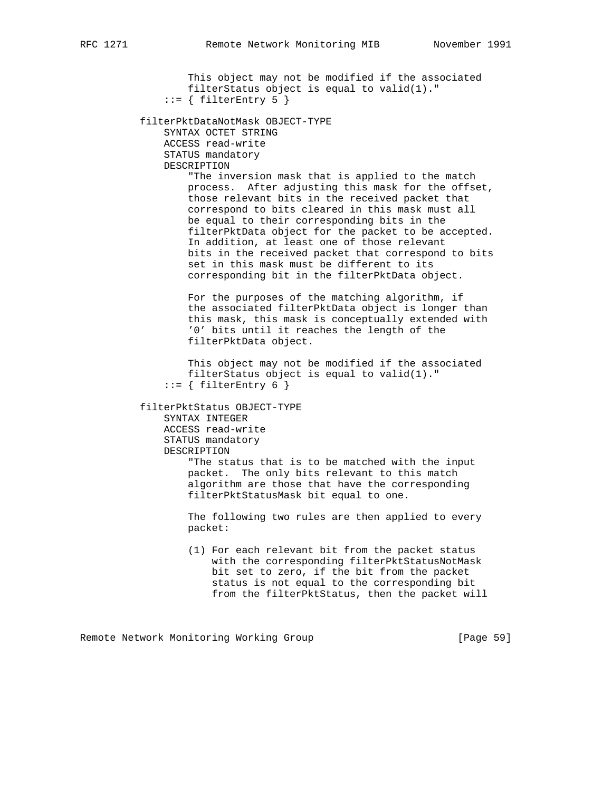This object may not be modified if the associated filterStatus object is equal to valid(1)." ::= { filterEntry 5 } filterPktDataNotMask OBJECT-TYPE SYNTAX OCTET STRING ACCESS read-write STATUS mandatory DESCRIPTION "The inversion mask that is applied to the match process. After adjusting this mask for the offset, those relevant bits in the received packet that correspond to bits cleared in this mask must all be equal to their corresponding bits in the filterPktData object for the packet to be accepted. In addition, at least one of those relevant bits in the received packet that correspond to bits set in this mask must be different to its corresponding bit in the filterPktData object. For the purposes of the matching algorithm, if the associated filterPktData object is longer than this mask, this mask is conceptually extended with '0' bits until it reaches the length of the filterPktData object. This object may not be modified if the associated filterStatus object is equal to valid(1)."  $::=$  { filterEntry 6 } filterPktStatus OBJECT-TYPE SYNTAX INTEGER ACCESS read-write STATUS mandatory DESCRIPTION "The status that is to be matched with the input packet. The only bits relevant to this match algorithm are those that have the corresponding filterPktStatusMask bit equal to one. The following two rules are then applied to every packet: (1) For each relevant bit from the packet status with the corresponding filterPktStatusNotMask bit set to zero, if the bit from the packet status is not equal to the corresponding bit from the filterPktStatus, then the packet will Remote Network Monitoring Working Group [Page 59]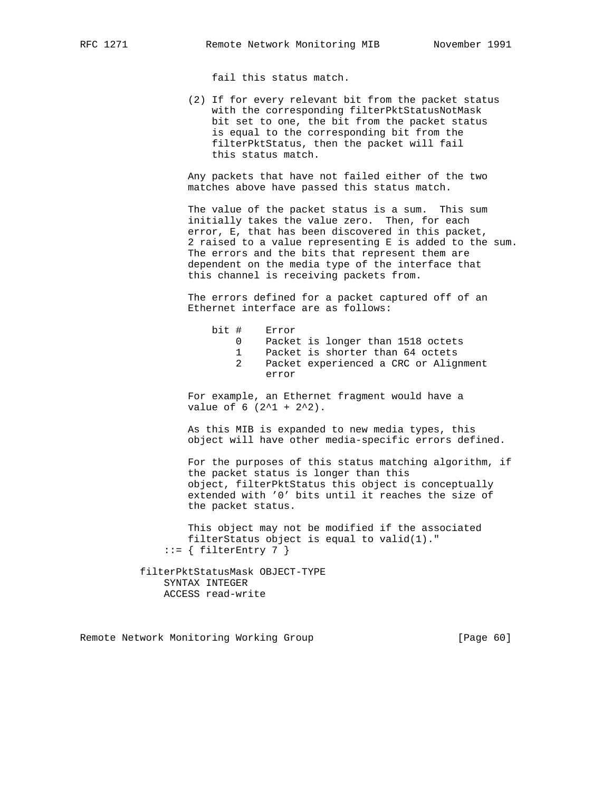fail this status match.

 (2) If for every relevant bit from the packet status with the corresponding filterPktStatusNotMask bit set to one, the bit from the packet status is equal to the corresponding bit from the filterPktStatus, then the packet will fail this status match.

 Any packets that have not failed either of the two matches above have passed this status match.

 The value of the packet status is a sum. This sum initially takes the value zero. Then, for each error, E, that has been discovered in this packet, 2 raised to a value representing E is added to the sum. The errors and the bits that represent them are dependent on the media type of the interface that this channel is receiving packets from.

 The errors defined for a packet captured off of an Ethernet interface are as follows:

| bit # | Error                                 |
|-------|---------------------------------------|
|       | Packet is longer than 1518 octets     |
|       | Packet is shorter than 64 octets      |
| -2.   | Packet experienced a CRC or Alignment |
|       | error                                 |
|       |                                       |

 For example, an Ethernet fragment would have a value of  $6 (2^1 + 2^2)$ .

 As this MIB is expanded to new media types, this object will have other media-specific errors defined.

 For the purposes of this status matching algorithm, if the packet status is longer than this object, filterPktStatus this object is conceptually extended with '0' bits until it reaches the size of the packet status.

 This object may not be modified if the associated filterStatus object is equal to valid(1)."  $::=$  { filterEntry 7 }

 filterPktStatusMask OBJECT-TYPE SYNTAX INTEGER ACCESS read-write

Remote Network Monitoring Working Group [Page 60]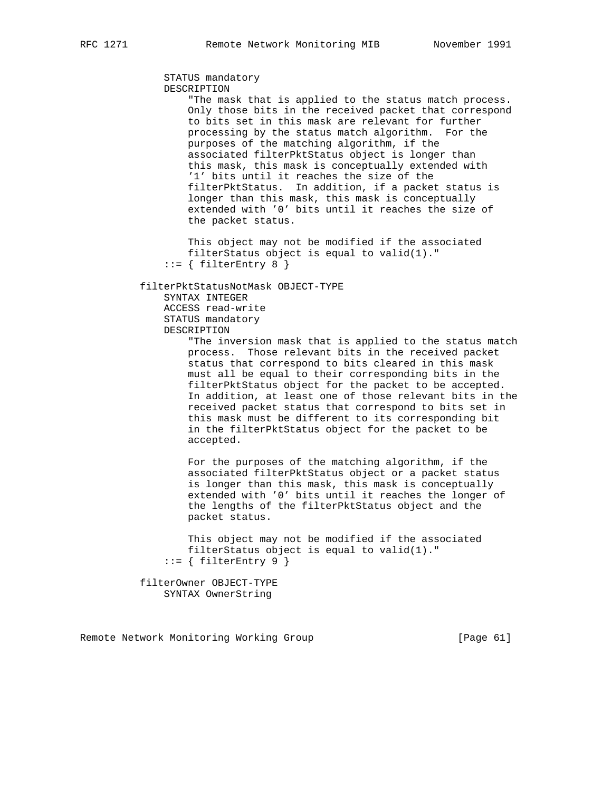STATUS mandatory DESCRIPTION "The mask that is applied to the status match process. Only those bits in the received packet that correspond to bits set in this mask are relevant for further processing by the status match algorithm. For the purposes of the matching algorithm, if the associated filterPktStatus object is longer than this mask, this mask is conceptually extended with '1' bits until it reaches the size of the filterPktStatus. In addition, if a packet status is longer than this mask, this mask is conceptually extended with '0' bits until it reaches the size of the packet status. This object may not be modified if the associated

 filterStatus object is equal to valid(1)."  $::=$  { filterEntry 8 }

 filterPktStatusNotMask OBJECT-TYPE SYNTAX INTEGER ACCESS read-write STATUS mandatory DESCRIPTION "The inversion mask that is applied to the status match

 process. Those relevant bits in the received packet status that correspond to bits cleared in this mask must all be equal to their corresponding bits in the filterPktStatus object for the packet to be accepted. In addition, at least one of those relevant bits in the received packet status that correspond to bits set in this mask must be different to its corresponding bit in the filterPktStatus object for the packet to be accepted.

 For the purposes of the matching algorithm, if the associated filterPktStatus object or a packet status is longer than this mask, this mask is conceptually extended with '0' bits until it reaches the longer of the lengths of the filterPktStatus object and the packet status.

 This object may not be modified if the associated filterStatus object is equal to valid(1)."  $::=$  { filterEntry 9 }

 filterOwner OBJECT-TYPE SYNTAX OwnerString

Remote Network Monitoring Working Group [Page 61]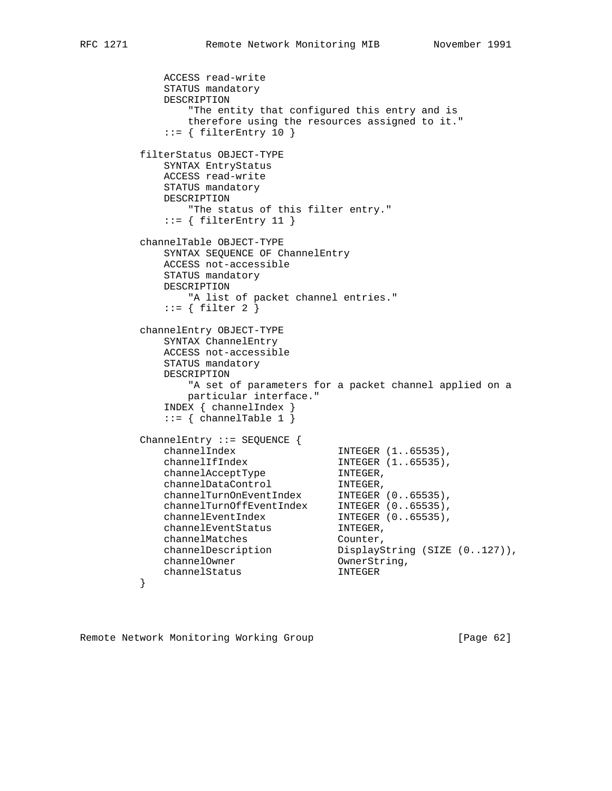```
 ACCESS read-write
            STATUS mandatory
            DESCRIPTION
               "The entity that configured this entry and is
               therefore using the resources assigned to it."
           ::= { filterEntry 10 }
        filterStatus OBJECT-TYPE
            SYNTAX EntryStatus
            ACCESS read-write
            STATUS mandatory
            DESCRIPTION
               "The status of this filter entry."
            ::= { filterEntry 11 }
        channelTable OBJECT-TYPE
            SYNTAX SEQUENCE OF ChannelEntry
            ACCESS not-accessible
            STATUS mandatory
            DESCRIPTION
               "A list of packet channel entries."
           ::= { filter 2 }
        channelEntry OBJECT-TYPE
            SYNTAX ChannelEntry
            ACCESS not-accessible
            STATUS mandatory
            DESCRIPTION
               "A set of parameters for a packet channel applied on a
               particular interface."
            INDEX { channelIndex }
           ::= \{ channelTable 1 \} ChannelEntry ::= SEQUENCE {
 channelIndex INTEGER (1..65535),
 channelIfIndex INTEGER (1..65535),
channelAcceptType INTEGER,
channelDataControl INTEGER,
 channelTurnOnEventIndex INTEGER (0..65535),
 channelTurnOffEventIndex INTEGER (0..65535),
 channelEventIndex INTEGER (0..65535),
channelEventStatus INTEGER,
channelMatches Counter,
 channelDescription DisplayString (SIZE (0..127)),
channelOwner CownerString,
 channelStatus INTEGER
         }
```
Remote Network Monitoring Working Group [Page 62]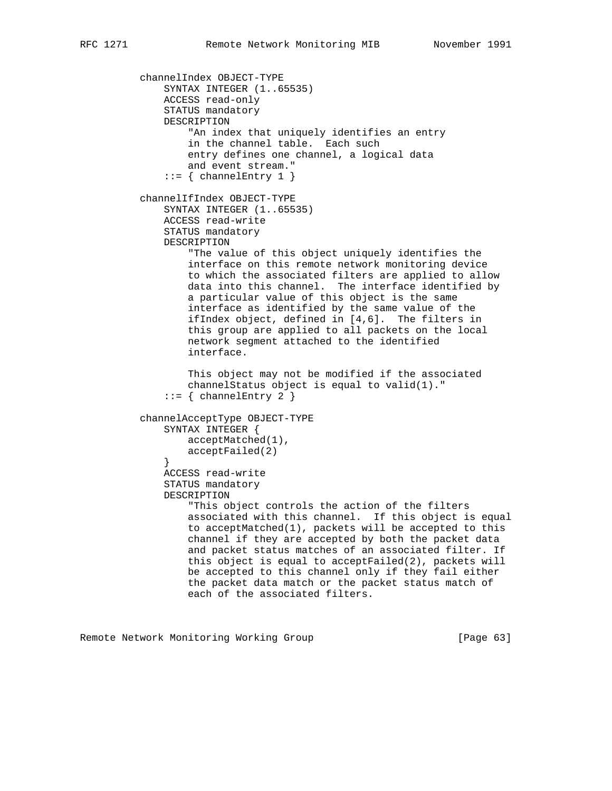```
 channelIndex OBJECT-TYPE
               SYNTAX INTEGER (1..65535)
               ACCESS read-only
               STATUS mandatory
               DESCRIPTION
                   "An index that uniquely identifies an entry
                   in the channel table. Each such
                   entry defines one channel, a logical data
                   and event stream."
              ::= { channelEntry 1 }
          channelIfIndex OBJECT-TYPE
               SYNTAX INTEGER (1..65535)
               ACCESS read-write
               STATUS mandatory
               DESCRIPTION
                   "The value of this object uniquely identifies the
                   interface on this remote network monitoring device
                   to which the associated filters are applied to allow
                   data into this channel. The interface identified by
                   a particular value of this object is the same
                   interface as identified by the same value of the
                   ifIndex object, defined in [4,6]. The filters in
                   this group are applied to all packets on the local
                   network segment attached to the identified
                   interface.
                   This object may not be modified if the associated
                   channelStatus object is equal to valid(1)."
              ::= { channelEntry 2 }
           channelAcceptType OBJECT-TYPE
               SYNTAX INTEGER {
                  acceptMatched(1),
              acceptFailed(2)<br>}
 }
               ACCESS read-write
               STATUS mandatory
               DESCRIPTION
                   "This object controls the action of the filters
                   associated with this channel. If this object is equal
                   to acceptMatched(1), packets will be accepted to this
                   channel if they are accepted by both the packet data
                   and packet status matches of an associated filter. If
                   this object is equal to acceptFailed(2), packets will
                   be accepted to this channel only if they fail either
                   the packet data match or the packet status match of
                   each of the associated filters.
```
Remote Network Monitoring Working Group [Page 63]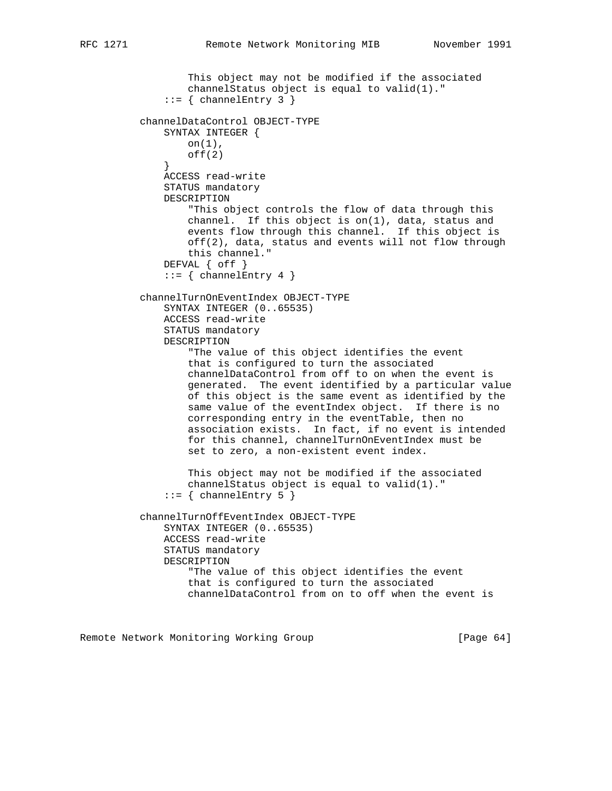```
 This object may not be modified if the associated
                   channelStatus object is equal to valid(1)."
              ::= { channelEntry 3 }
           channelDataControl OBJECT-TYPE
               SYNTAX INTEGER {
                  on(1),
                  off(2) }
               ACCESS read-write
               STATUS mandatory
               DESCRIPTION
                   "This object controls the flow of data through this
                   channel. If this object is on(1), data, status and
                   events flow through this channel. If this object is
                   off(2), data, status and events will not flow through
                   this channel."
               DEFVAL { off }
              ::= { channelEntry 4 }
           channelTurnOnEventIndex OBJECT-TYPE
               SYNTAX INTEGER (0..65535)
               ACCESS read-write
               STATUS mandatory
               DESCRIPTION
                   "The value of this object identifies the event
                   that is configured to turn the associated
                   channelDataControl from off to on when the event is
                   generated. The event identified by a particular value
                   of this object is the same event as identified by the
                   same value of the eventIndex object. If there is no
                   corresponding entry in the eventTable, then no
                  association exists. In fact, if no event is intended
                   for this channel, channelTurnOnEventIndex must be
                   set to zero, a non-existent event index.
                   This object may not be modified if the associated
                   channelStatus object is equal to valid(1)."
              ::= { channelEntry 5 }
          channelTurnOffEventIndex OBJECT-TYPE
               SYNTAX INTEGER (0..65535)
               ACCESS read-write
               STATUS mandatory
               DESCRIPTION
                   "The value of this object identifies the event
                   that is configured to turn the associated
                   channelDataControl from on to off when the event is
```
Remote Network Monitoring Working Group [Page 64]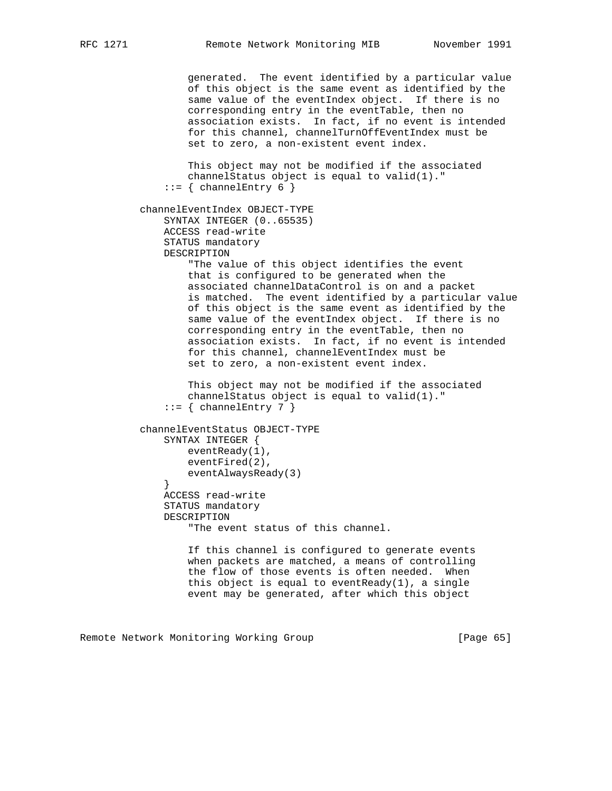generated. The event identified by a particular value of this object is the same event as identified by the same value of the eventIndex object. If there is no corresponding entry in the eventTable, then no association exists. In fact, if no event is intended for this channel, channelTurnOffEventIndex must be set to zero, a non-existent event index.

 This object may not be modified if the associated channelStatus object is equal to valid(1)."  $::=$  { channelEntry 6 }

 channelEventIndex OBJECT-TYPE SYNTAX INTEGER (0..65535) ACCESS read-write STATUS mandatory

DESCRIPTION

 "The value of this object identifies the event that is configured to be generated when the associated channelDataControl is on and a packet is matched. The event identified by a particular value of this object is the same event as identified by the same value of the eventIndex object. If there is no corresponding entry in the eventTable, then no association exists. In fact, if no event is intended for this channel, channelEventIndex must be set to zero, a non-existent event index.

 This object may not be modified if the associated channelStatus object is equal to valid(1)."  $::=$  { channelEntry 7 }

 channelEventStatus OBJECT-TYPE SYNTAX INTEGER { eventReady(1), eventFired(2), eventAlwaysReady(3) } ACCESS read-write STATUS mandatory DESCRIPTION "The event status of this channel.

> If this channel is configured to generate events when packets are matched, a means of controlling the flow of those events is often needed. When this object is equal to eventReady(1), a single event may be generated, after which this object

Remote Network Monitoring Working Group [Page 65]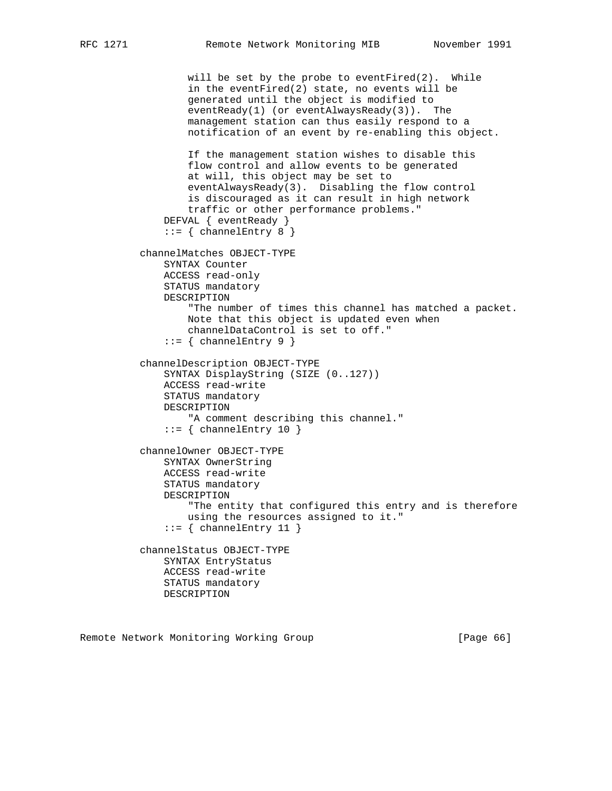```
 will be set by the probe to eventFired(2). While
         in the eventFired(2) state, no events will be
         generated until the object is modified to
         eventReady(1) (or eventAlwaysReady(3)). The
         management station can thus easily respond to a
         notification of an event by re-enabling this object.
         If the management station wishes to disable this
         flow control and allow events to be generated
         at will, this object may be set to
         eventAlwaysReady(3). Disabling the flow control
         is discouraged as it can result in high network
         traffic or other performance problems."
     DEFVAL { eventReady }
     ::= { channelEntry 8 }
 channelMatches OBJECT-TYPE
     SYNTAX Counter
     ACCESS read-only
     STATUS mandatory
     DESCRIPTION
         "The number of times this channel has matched a packet.
         Note that this object is updated even when
         channelDataControl is set to off."
     ::= { channelEntry 9 }
 channelDescription OBJECT-TYPE
     SYNTAX DisplayString (SIZE (0..127))
     ACCESS read-write
     STATUS mandatory
     DESCRIPTION
         "A comment describing this channel."
    ::= { channelEntry 10 }
 channelOwner OBJECT-TYPE
     SYNTAX OwnerString
     ACCESS read-write
     STATUS mandatory
     DESCRIPTION
         "The entity that configured this entry and is therefore
         using the resources assigned to it."
    ::= { channelEntry 11 }
 channelStatus OBJECT-TYPE
     SYNTAX EntryStatus
     ACCESS read-write
     STATUS mandatory
    DESCRIPTION
```
Remote Network Monitoring Working Group [Page 66]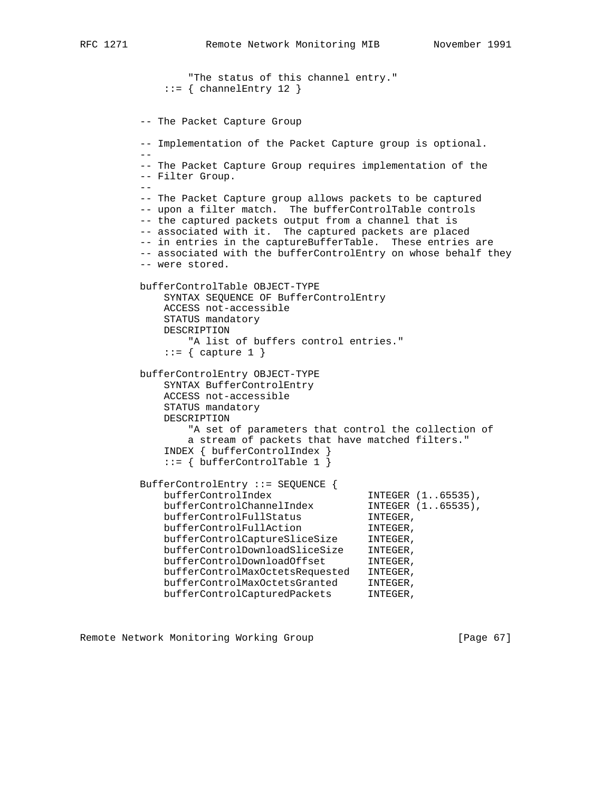```
 "The status of this channel entry."
             ::= { channelEntry 12 }
          -- The Packet Capture Group
          -- Implementation of the Packet Capture group is optional.
         - -- The Packet Capture Group requires implementation of the
          -- Filter Group.
 --
          -- The Packet Capture group allows packets to be captured
          -- upon a filter match. The bufferControlTable controls
          -- the captured packets output from a channel that is
         -- associated with it. The captured packets are placed
          -- in entries in the captureBufferTable. These entries are
          -- associated with the bufferControlEntry on whose behalf they
          -- were stored.
          bufferControlTable OBJECT-TYPE
              SYNTAX SEQUENCE OF BufferControlEntry
              ACCESS not-accessible
             STATUS mandatory
              DESCRIPTION
                  "A list of buffers control entries."
             ::= { capture 1 }
          bufferControlEntry OBJECT-TYPE
              SYNTAX BufferControlEntry
              ACCESS not-accessible
              STATUS mandatory
              DESCRIPTION
                  "A set of parameters that control the collection of
                  a stream of packets that have matched filters."
              INDEX { bufferControlIndex }
              ::= { bufferControlTable 1 }
          BufferControlEntry ::= SEQUENCE {
             bufferControlIndex INTEGER (1..65535),<br>bufferControlChannelIndex INTEGER (1..65535),
 bufferControlChannelIndex INTEGER (1..65535),
 bufferControlFullStatus INTEGER,
bufferControlFullAction INTEGER,
 bufferControlCaptureSliceSize INTEGER,
 bufferControlDownloadSliceSize INTEGER,
             bufferControlDownloadOffset INTEGER,
              bufferControlMaxOctetsRequested INTEGER,
 bufferControlMaxOctetsGranted INTEGER,
```
Remote Network Monitoring Working Group [Page 67]

bufferControlCapturedPackets INTEGER,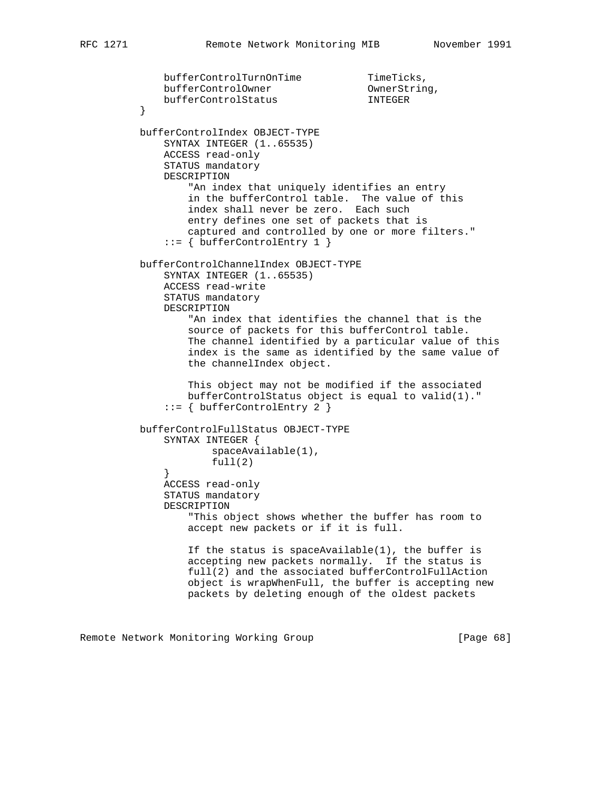bufferControlTurnOnTime TimeTicks, bufferControlOwner CownerString, bufferControlStatus INTEGER } bufferControlIndex OBJECT-TYPE SYNTAX INTEGER (1..65535) ACCESS read-only STATUS mandatory DESCRIPTION "An index that uniquely identifies an entry in the bufferControl table. The value of this index shall never be zero. Each such entry defines one set of packets that is captured and controlled by one or more filters." ::= { bufferControlEntry 1 } bufferControlChannelIndex OBJECT-TYPE SYNTAX INTEGER (1..65535) ACCESS read-write STATUS mandatory DESCRIPTION "An index that identifies the channel that is the source of packets for this bufferControl table. The channel identified by a particular value of this index is the same as identified by the same value of the channelIndex object. This object may not be modified if the associated bufferControlStatus object is equal to valid(1)." ::= { bufferControlEntry 2 } bufferControlFullStatus OBJECT-TYPE SYNTAX INTEGER { spaceAvailable(1),  $full(2)$  } ACCESS read-only STATUS mandatory DESCRIPTION "This object shows whether the buffer has room to accept new packets or if it is full. If the status is spaceAvailable(1), the buffer is accepting new packets normally. If the status is full(2) and the associated bufferControlFullAction object is wrapWhenFull, the buffer is accepting new packets by deleting enough of the oldest packets

Remote Network Monitoring Working Group [Page 68]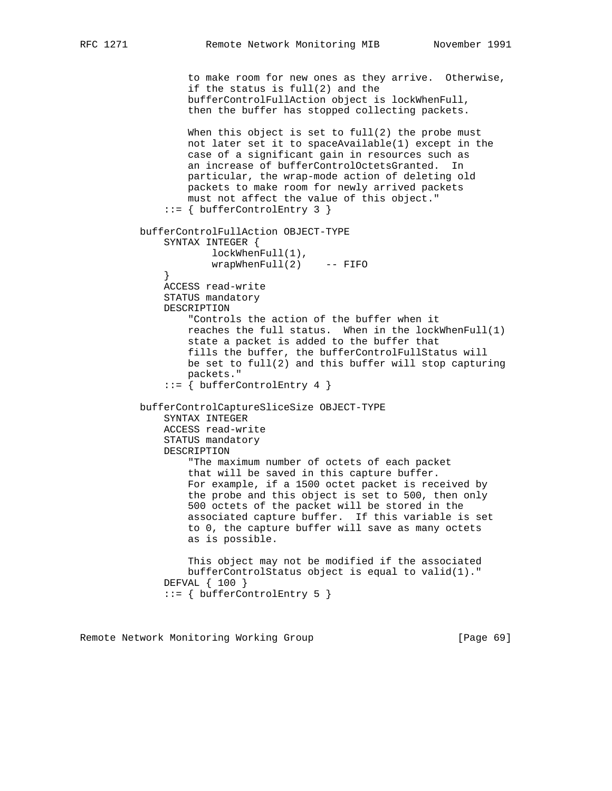```
 to make room for new ones as they arrive. Otherwise,
                   if the status is full(2) and the
                   bufferControlFullAction object is lockWhenFull,
                   then the buffer has stopped collecting packets.
                  When this object is set to full(2) the probe must
                   not later set it to spaceAvailable(1) except in the
                   case of a significant gain in resources such as
                   an increase of bufferControlOctetsGranted. In
                   particular, the wrap-mode action of deleting old
                  packets to make room for newly arrived packets
                  must not affect the value of this object."
               ::= { bufferControlEntry 3 }
          bufferControlFullAction OBJECT-TYPE
               SYNTAX INTEGER {
                       lockWhenFull(1),
                       wrapWhenFull(2) -- FIFO
 }
               ACCESS read-write
               STATUS mandatory
               DESCRIPTION
                   "Controls the action of the buffer when it
                   reaches the full status. When in the lockWhenFull(1)
                   state a packet is added to the buffer that
                   fills the buffer, the bufferControlFullStatus will
                   be set to full(2) and this buffer will stop capturing
                   packets."
               ::= { bufferControlEntry 4 }
          bufferControlCaptureSliceSize OBJECT-TYPE
               SYNTAX INTEGER
               ACCESS read-write
               STATUS mandatory
               DESCRIPTION
                   "The maximum number of octets of each packet
                   that will be saved in this capture buffer.
                   For example, if a 1500 octet packet is received by
                   the probe and this object is set to 500, then only
                   500 octets of the packet will be stored in the
                   associated capture buffer. If this variable is set
                   to 0, the capture buffer will save as many octets
                   as is possible.
                   This object may not be modified if the associated
                   bufferControlStatus object is equal to valid(1)."
               DEFVAL { 100 }
               ::= { bufferControlEntry 5 }
```
Remote Network Monitoring Working Group [Page 69]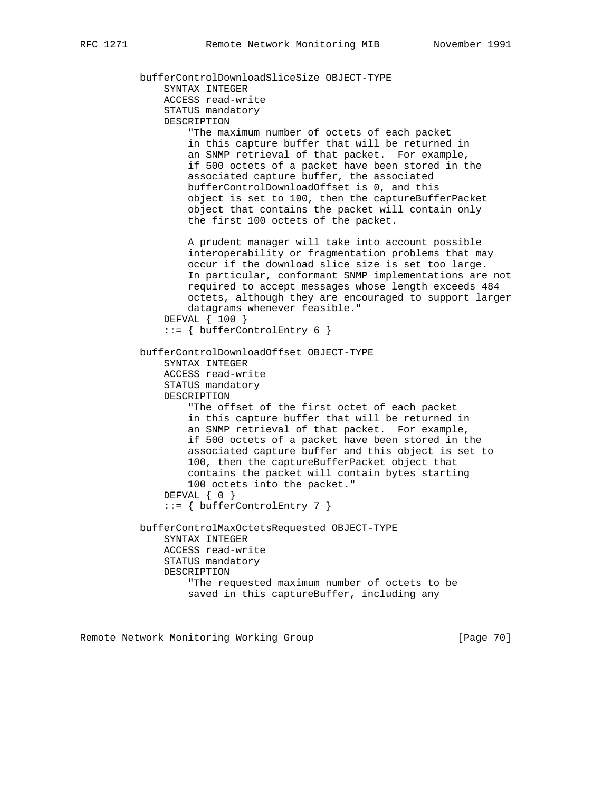```
 bufferControlDownloadSliceSize OBJECT-TYPE
     SYNTAX INTEGER
     ACCESS read-write
     STATUS mandatory
     DESCRIPTION
         "The maximum number of octets of each packet
         in this capture buffer that will be returned in
         an SNMP retrieval of that packet. For example,
         if 500 octets of a packet have been stored in the
         associated capture buffer, the associated
         bufferControlDownloadOffset is 0, and this
         object is set to 100, then the captureBufferPacket
         object that contains the packet will contain only
         the first 100 octets of the packet.
         A prudent manager will take into account possible
         interoperability or fragmentation problems that may
         occur if the download slice size is set too large.
         In particular, conformant SNMP implementations are not
         required to accept messages whose length exceeds 484
         octets, although they are encouraged to support larger
         datagrams whenever feasible."
     DEFVAL { 100 }
     ::= { bufferControlEntry 6 }
 bufferControlDownloadOffset OBJECT-TYPE
     SYNTAX INTEGER
     ACCESS read-write
     STATUS mandatory
     DESCRIPTION
         "The offset of the first octet of each packet
         in this capture buffer that will be returned in
         an SNMP retrieval of that packet. For example,
         if 500 octets of a packet have been stored in the
         associated capture buffer and this object is set to
         100, then the captureBufferPacket object that
         contains the packet will contain bytes starting
         100 octets into the packet."
    DEFVAL { 0 }
     ::= { bufferControlEntry 7 }
 bufferControlMaxOctetsRequested OBJECT-TYPE
     SYNTAX INTEGER
     ACCESS read-write
     STATUS mandatory
     DESCRIPTION
         "The requested maximum number of octets to be
         saved in this captureBuffer, including any
```
Remote Network Monitoring Working Group [Page 70]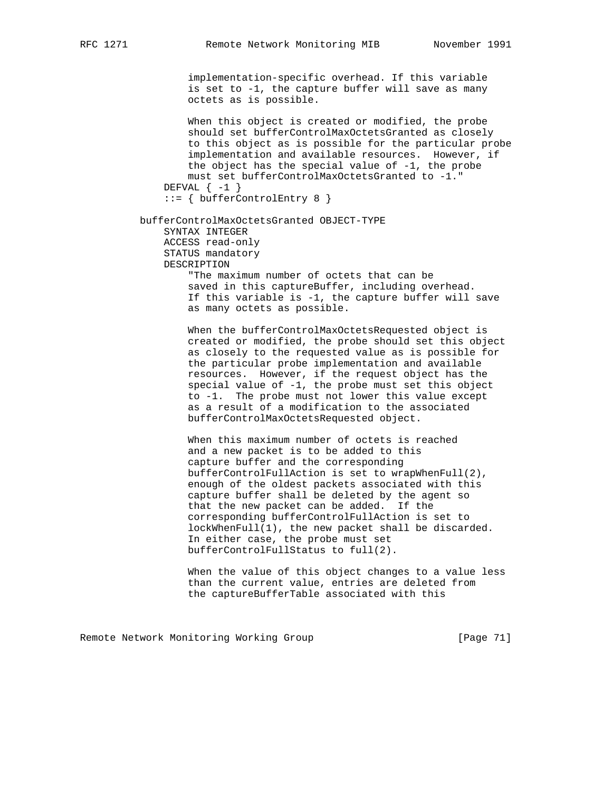implementation-specific overhead. If this variable is set to -1, the capture buffer will save as many octets as is possible.

 When this object is created or modified, the probe should set bufferControlMaxOctetsGranted as closely to this object as is possible for the particular probe implementation and available resources. However, if the object has the special value of -1, the probe must set bufferControlMaxOctetsGranted to -1." DEFVAL  $\{-1\}$ 

::= { bufferControlEntry 8 }

 bufferControlMaxOctetsGranted OBJECT-TYPE SYNTAX INTEGER ACCESS read-only STATUS mandatory DESCRIPTION "The maximum number of octets that can be saved in this captureBuffer, including overhead. If this variable is -1, the capture buffer will save as many octets as possible.

> When the bufferControlMaxOctetsRequested object is created or modified, the probe should set this object as closely to the requested value as is possible for the particular probe implementation and available resources. However, if the request object has the special value of -1, the probe must set this object to -1. The probe must not lower this value except as a result of a modification to the associated bufferControlMaxOctetsRequested object.

 When this maximum number of octets is reached and a new packet is to be added to this capture buffer and the corresponding bufferControlFullAction is set to wrapWhenFull(2), enough of the oldest packets associated with this capture buffer shall be deleted by the agent so that the new packet can be added. If the corresponding bufferControlFullAction is set to lockWhenFull(1), the new packet shall be discarded. In either case, the probe must set bufferControlFullStatus to full(2).

 When the value of this object changes to a value less than the current value, entries are deleted from the captureBufferTable associated with this

Remote Network Monitoring Working Group [Page 71]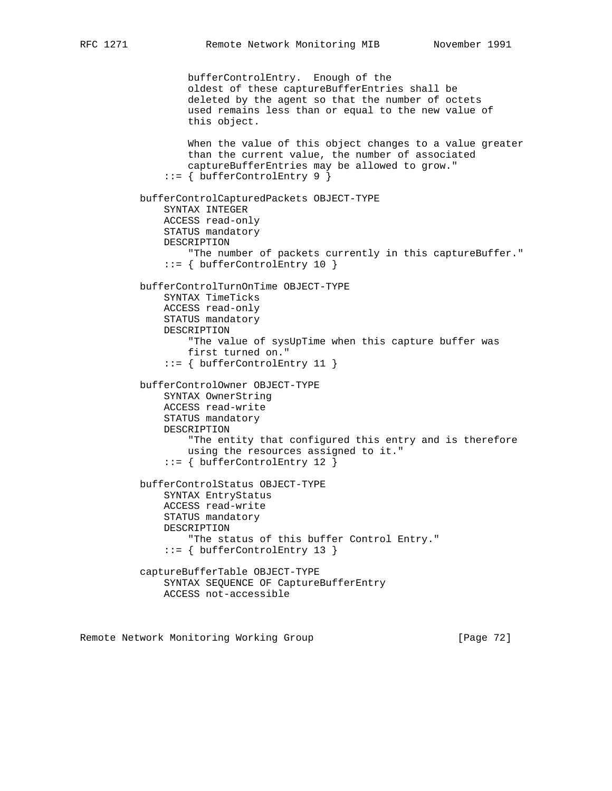bufferControlEntry. Enough of the oldest of these captureBufferEntries shall be deleted by the agent so that the number of octets used remains less than or equal to the new value of this object. When the value of this object changes to a value greater than the current value, the number of associated captureBufferEntries may be allowed to grow." ::= { bufferControlEntry 9 } bufferControlCapturedPackets OBJECT-TYPE SYNTAX INTEGER ACCESS read-only STATUS mandatory DESCRIPTION "The number of packets currently in this captureBuffer." ::= { bufferControlEntry 10 } bufferControlTurnOnTime OBJECT-TYPE SYNTAX TimeTicks ACCESS read-only STATUS mandatory DESCRIPTION "The value of sysUpTime when this capture buffer was first turned on." ::= { bufferControlEntry 11 } bufferControlOwner OBJECT-TYPE SYNTAX OwnerString ACCESS read-write STATUS mandatory DESCRIPTION "The entity that configured this entry and is therefore using the resources assigned to it." ::= { bufferControlEntry 12 } bufferControlStatus OBJECT-TYPE SYNTAX EntryStatus ACCESS read-write STATUS mandatory DESCRIPTION "The status of this buffer Control Entry." ::= { bufferControlEntry 13 } captureBufferTable OBJECT-TYPE SYNTAX SEQUENCE OF CaptureBufferEntry ACCESS not-accessible

Remote Network Monitoring Working Group [Page 72]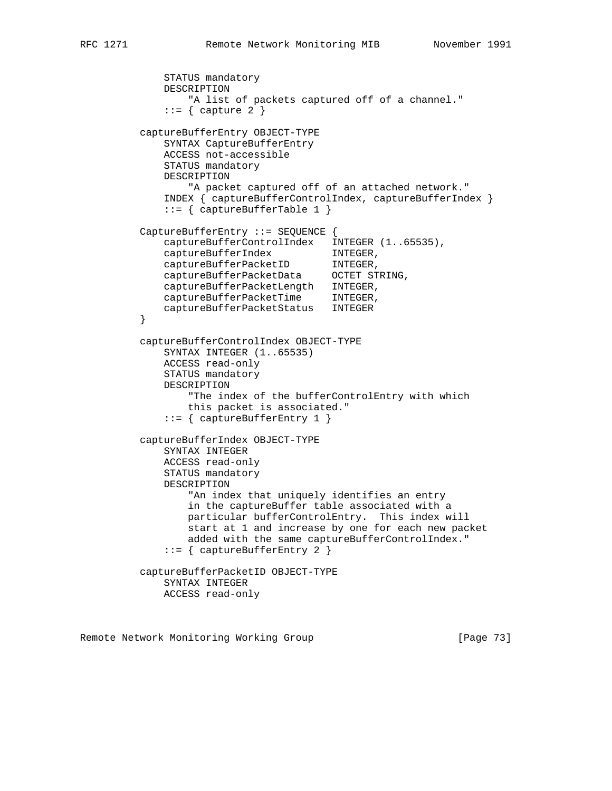```
 STATUS mandatory
              DESCRIPTION
                  "A list of packets captured off of a channel."
             ::= { capture 2 }
          captureBufferEntry OBJECT-TYPE
              SYNTAX CaptureBufferEntry
              ACCESS not-accessible
              STATUS mandatory
              DESCRIPTION
                  "A packet captured off of an attached network."
              INDEX { captureBufferControlIndex, captureBufferIndex }
              ::= { captureBufferTable 1 }
          CaptureBufferEntry ::= SEQUENCE {
              captureBufferControlIndex INTEGER (1..65535),
 captureBufferIndex INTEGER,
 captureBufferPacketID INTEGER,
 captureBufferPacketData OCTET STRING,
              captureBufferPacketLength INTEGER,
              captureBufferPacketTime INTEGER,
          captureBufferPacketStatus INTEGER
 }
          captureBufferControlIndex OBJECT-TYPE
              SYNTAX INTEGER (1..65535)
              ACCESS read-only
              STATUS mandatory
              DESCRIPTION
                  "The index of the bufferControlEntry with which
                  this packet is associated."
             ::= { captureBufferEntry 1 }
          captureBufferIndex OBJECT-TYPE
              SYNTAX INTEGER
              ACCESS read-only
              STATUS mandatory
              DESCRIPTION
                  "An index that uniquely identifies an entry
                  in the captureBuffer table associated with a
                  particular bufferControlEntry. This index will
                  start at 1 and increase by one for each new packet
                  added with the same captureBufferControlIndex."
              ::= { captureBufferEntry 2 }
          captureBufferPacketID OBJECT-TYPE
              SYNTAX INTEGER
              ACCESS read-only
```
Remote Network Monitoring Working Group [Page 73]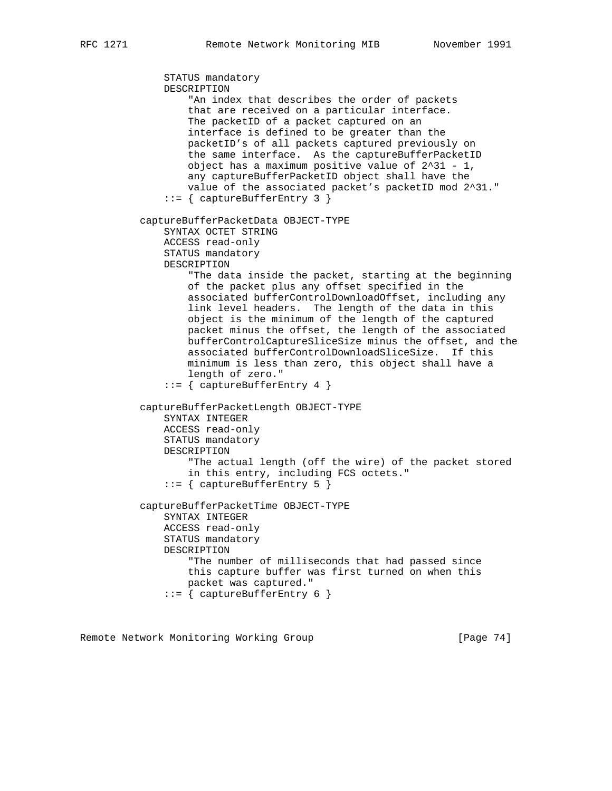```
 STATUS mandatory
     DESCRIPTION
         "An index that describes the order of packets
         that are received on a particular interface.
         The packetID of a packet captured on an
         interface is defined to be greater than the
         packetID's of all packets captured previously on
         the same interface. As the captureBufferPacketID
        object has a maximum positive value of 2^31 - 1,
         any captureBufferPacketID object shall have the
         value of the associated packet's packetID mod 2^31."
     ::= { captureBufferEntry 3 }
 captureBufferPacketData OBJECT-TYPE
     SYNTAX OCTET STRING
     ACCESS read-only
     STATUS mandatory
     DESCRIPTION
         "The data inside the packet, starting at the beginning
         of the packet plus any offset specified in the
         associated bufferControlDownloadOffset, including any
         link level headers. The length of the data in this
         object is the minimum of the length of the captured
         packet minus the offset, the length of the associated
        bufferControlCaptureSliceSize minus the offset, and the
         associated bufferControlDownloadSliceSize. If this
         minimum is less than zero, this object shall have a
         length of zero."
     ::= { captureBufferEntry 4 }
 captureBufferPacketLength OBJECT-TYPE
     SYNTAX INTEGER
     ACCESS read-only
     STATUS mandatory
     DESCRIPTION
         "The actual length (off the wire) of the packet stored
         in this entry, including FCS octets."
     ::= { captureBufferEntry 5 }
 captureBufferPacketTime OBJECT-TYPE
     SYNTAX INTEGER
     ACCESS read-only
     STATUS mandatory
     DESCRIPTION
         "The number of milliseconds that had passed since
         this capture buffer was first turned on when this
        packet was captured."
     ::= { captureBufferEntry 6 }
```
Remote Network Monitoring Working Group [Page 74]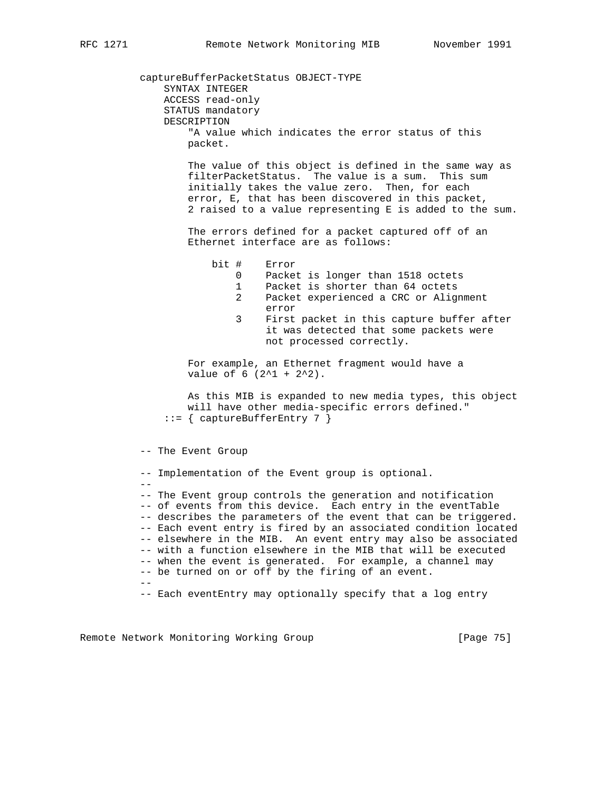captureBufferPacketStatus OBJECT-TYPE SYNTAX INTEGER ACCESS read-only STATUS mandatory DESCRIPTION "A value which indicates the error status of this packet. The value of this object is defined in the same way as filterPacketStatus. The value is a sum. This sum initially takes the value zero. Then, for each error, E, that has been discovered in this packet, 2 raised to a value representing E is added to the sum. The errors defined for a packet captured off of an Ethernet interface are as follows: bit # Error 0 Packet is longer than 1518 octets 1 Packet is shorter than 64 octets 2 Packet experienced a CRC or Alignment error 3 First packet in this capture buffer after it was detected that some packets were not processed correctly. For example, an Ethernet fragment would have a value of  $6$   $(2^1 + 2^2)$ . As this MIB is expanded to new media types, this object will have other media-specific errors defined."  $::=$  { captureBufferEntry 7 } -- The Event Group -- Implementation of the Event group is optional. -- -- The Event group controls the generation and notification -- of events from this device. Each entry in the eventTable -- describes the parameters of the event that can be triggered. -- Each event entry is fired by an associated condition located -- elsewhere in the MIB. An event entry may also be associated -- with a function elsewhere in the MIB that will be executed -- when the event is generated. For example, a channel may -- be turned on or off by the firing of an event. -- -- Each eventEntry may optionally specify that a log entry

Remote Network Monitoring Working Group [Page 75]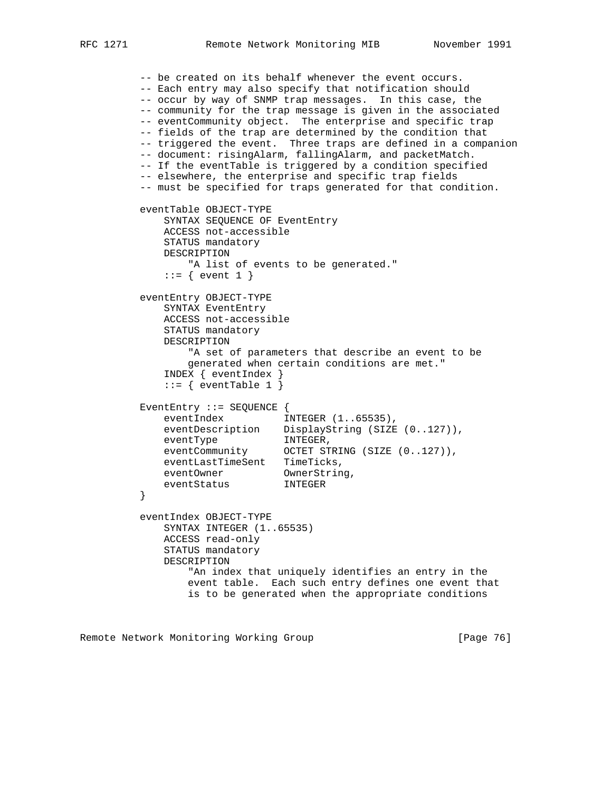-- be created on its behalf whenever the event occurs. -- Each entry may also specify that notification should -- occur by way of SNMP trap messages. In this case, the -- community for the trap message is given in the associated -- eventCommunity object. The enterprise and specific trap -- fields of the trap are determined by the condition that -- triggered the event. Three traps are defined in a companion -- document: risingAlarm, fallingAlarm, and packetMatch. -- If the eventTable is triggered by a condition specified -- elsewhere, the enterprise and specific trap fields -- must be specified for traps generated for that condition. eventTable OBJECT-TYPE SYNTAX SEQUENCE OF EventEntry ACCESS not-accessible STATUS mandatory DESCRIPTION "A list of events to be generated."  $::=$  { event 1 } eventEntry OBJECT-TYPE SYNTAX EventEntry ACCESS not-accessible STATUS mandatory DESCRIPTION "A set of parameters that describe an event to be generated when certain conditions are met." INDEX { eventIndex }  $::=$  { eventTable 1 } EventEntry ::= SEQUENCE { eventIndex INTEGER (1..65535), eventDescription DisplayString (SIZE (0..127)), eventType INTEGER, eventCommunity OCTET STRING (SIZE (0..127)), eventLastTimeSent TimeTicks, eventOwner **OwnerString**, eventStatus INTEGER } eventIndex OBJECT-TYPE SYNTAX INTEGER (1..65535) ACCESS read-only STATUS mandatory DESCRIPTION "An index that uniquely identifies an entry in the event table. Each such entry defines one event that is to be generated when the appropriate conditions

Remote Network Monitoring Working Group [Page 76]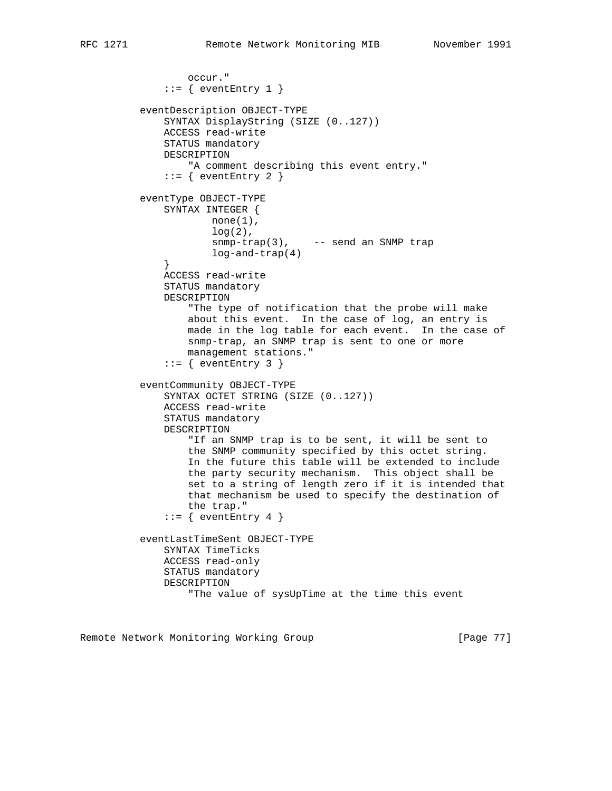```
 occur."
              ::= { eventEntry 1 }
          eventDescription OBJECT-TYPE
               SYNTAX DisplayString (SIZE (0..127))
               ACCESS read-write
               STATUS mandatory
              DESCRIPTION
                   "A comment describing this event entry."
              ::= { eventEntry 2 }
          eventType OBJECT-TYPE
              SYNTAX INTEGER {
                      none(1),
                      log(2),
                      snmp-trap(3), -- send an SNMP trap
              log-and-trap(4)<br>}
 }
               ACCESS read-write
               STATUS mandatory
               DESCRIPTION
                   "The type of notification that the probe will make
                   about this event. In the case of log, an entry is
                  made in the log table for each event. In the case of
                  snmp-trap, an SNMP trap is sent to one or more
                   management stations."
              ::= { eventEntry 3 }
          eventCommunity OBJECT-TYPE
               SYNTAX OCTET STRING (SIZE (0..127))
               ACCESS read-write
               STATUS mandatory
               DESCRIPTION
                   "If an SNMP trap is to be sent, it will be sent to
                   the SNMP community specified by this octet string.
                   In the future this table will be extended to include
                   the party security mechanism. This object shall be
                   set to a string of length zero if it is intended that
                   that mechanism be used to specify the destination of
                   the trap."
              ::= { eventEntry 4 }
          eventLastTimeSent OBJECT-TYPE
              SYNTAX TimeTicks
               ACCESS read-only
               STATUS mandatory
               DESCRIPTION
                   "The value of sysUpTime at the time this event
```
Remote Network Monitoring Working Group [Page 77]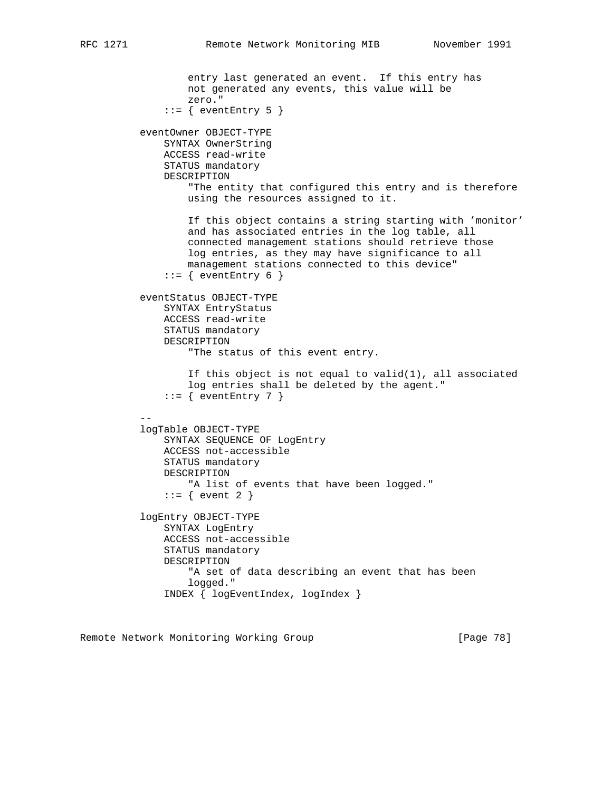```
 entry last generated an event. If this entry has
                   not generated any events, this value will be
                   zero."
              ::= { eventEntry 5 }
           eventOwner OBJECT-TYPE
               SYNTAX OwnerString
               ACCESS read-write
               STATUS mandatory
               DESCRIPTION
                   "The entity that configured this entry and is therefore
                   using the resources assigned to it.
                   If this object contains a string starting with 'monitor'
                   and has associated entries in the log table, all
                   connected management stations should retrieve those
                   log entries, as they may have significance to all
                   management stations connected to this device"
              ::= { eventEntry 6 }
           eventStatus OBJECT-TYPE
               SYNTAX EntryStatus
               ACCESS read-write
               STATUS mandatory
               DESCRIPTION
                   "The status of this event entry.
                   If this object is not equal to valid(1), all associated
                   log entries shall be deleted by the agent."
              ::= { eventEntry 7 }
 --
           logTable OBJECT-TYPE
               SYNTAX SEQUENCE OF LogEntry
               ACCESS not-accessible
               STATUS mandatory
               DESCRIPTION
                   "A list of events that have been logged."
              ::= { event 2 }
           logEntry OBJECT-TYPE
               SYNTAX LogEntry
               ACCESS not-accessible
               STATUS mandatory
               DESCRIPTION
                   "A set of data describing an event that has been
                   logged."
               INDEX { logEventIndex, logIndex }
```
Remote Network Monitoring Working Group [Page 78]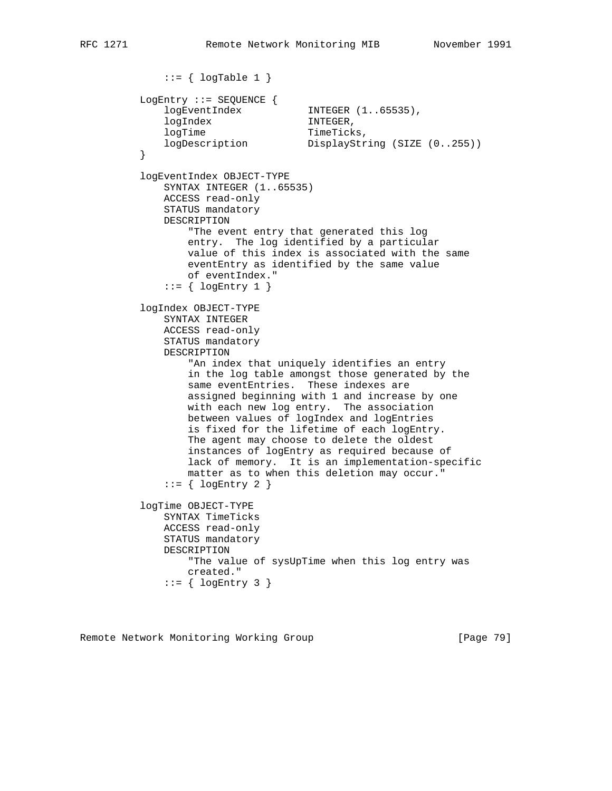```
::= \{ logTable 1 \} LogEntry ::= SEQUENCE {
             logEventIndex INTEGER (1..65535),
              logIndex INTEGER,
logTime TimeTicks,
 logDescription DisplayString (SIZE (0..255))
 }
          logEventIndex OBJECT-TYPE
              SYNTAX INTEGER (1..65535)
              ACCESS read-only
              STATUS mandatory
              DESCRIPTION
                  "The event entry that generated this log
                  entry. The log identified by a particular
                  value of this index is associated with the same
                  eventEntry as identified by the same value
                  of eventIndex."
             ::= \{ logEntry 1 \} logIndex OBJECT-TYPE
              SYNTAX INTEGER
              ACCESS read-only
              STATUS mandatory
              DESCRIPTION
                  "An index that uniquely identifies an entry
                  in the log table amongst those generated by the
                  same eventEntries. These indexes are
                  assigned beginning with 1 and increase by one
                  with each new log entry. The association
                  between values of logIndex and logEntries
                  is fixed for the lifetime of each logEntry.
                  The agent may choose to delete the oldest
                  instances of logEntry as required because of
                  lack of memory. It is an implementation-specific
                  matter as to when this deletion may occur."
             ::= \{ logEntry 2 \} logTime OBJECT-TYPE
              SYNTAX TimeTicks
              ACCESS read-only
              STATUS mandatory
              DESCRIPTION
                  "The value of sysUpTime when this log entry was
                  created."
             ::= \{ logEntry 3 \}
```
Remote Network Monitoring Working Group [Page 79]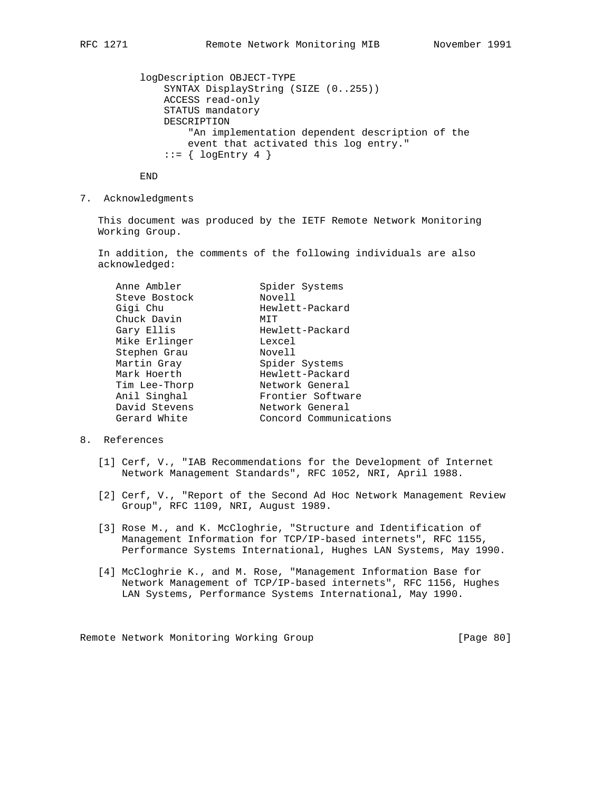```
 logDescription OBJECT-TYPE
     SYNTAX DisplayString (SIZE (0..255))
     ACCESS read-only
     STATUS mandatory
     DESCRIPTION
         "An implementation dependent description of the
         event that activated this log entry."
    ::= \{ logEntry 4 }
```
END

7. Acknowledgments

 This document was produced by the IETF Remote Network Monitoring Working Group.

 In addition, the comments of the following individuals are also acknowledged:

| Anne Ambler   | Spider Systems         |
|---------------|------------------------|
| Steve Bostock | Novell                 |
| Gigi Chu      | Hewlett-Packard        |
| Chuck Davin   | MTT                    |
| Gary Ellis    | Hewlett-Packard        |
| Mike Erlinger | Lexcel                 |
| Stephen Grau  | Novell                 |
| Martin Gray   | Spider Systems         |
| Mark Hoerth   | Hewlett-Packard        |
| Tim Lee-Thorp | Network General        |
| Anil Singhal  | Frontier Software      |
| David Stevens | Network General        |
| Gerard White  | Concord Communications |
|               |                        |

## 8. References

- [1] Cerf, V., "IAB Recommendations for the Development of Internet Network Management Standards", RFC 1052, NRI, April 1988.
- [2] Cerf, V., "Report of the Second Ad Hoc Network Management Review Group", RFC 1109, NRI, August 1989.
- [3] Rose M., and K. McCloghrie, "Structure and Identification of Management Information for TCP/IP-based internets", RFC 1155, Performance Systems International, Hughes LAN Systems, May 1990.
- [4] McCloghrie K., and M. Rose, "Management Information Base for Network Management of TCP/IP-based internets", RFC 1156, Hughes LAN Systems, Performance Systems International, May 1990.

Remote Network Monitoring Working Group [Page 80]